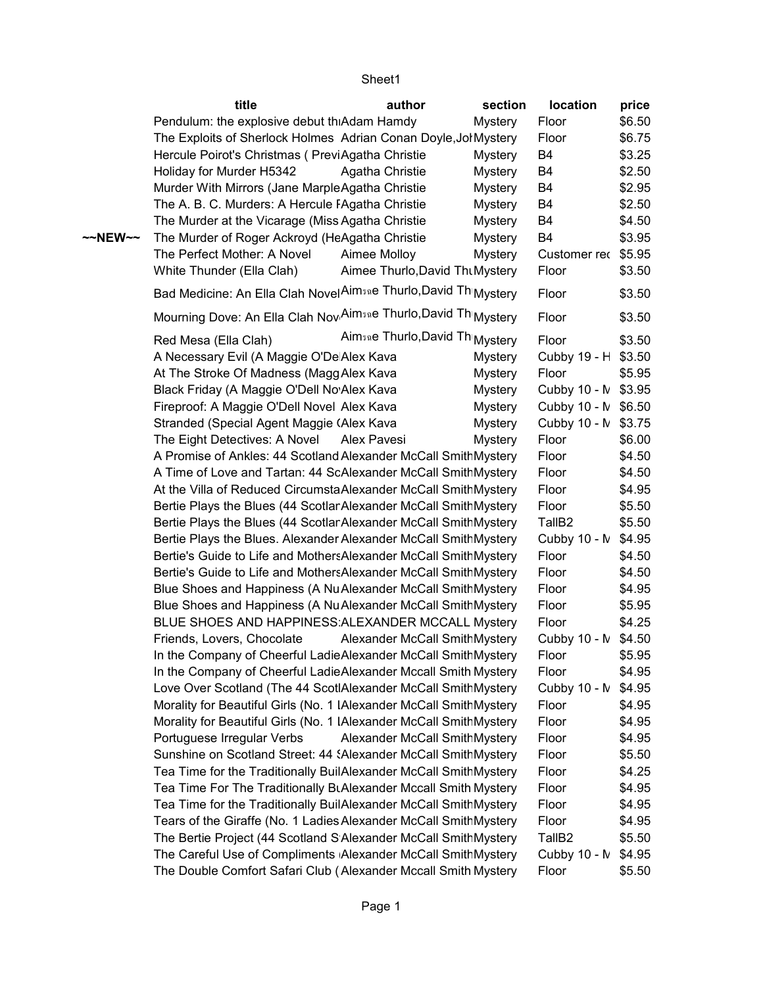|                   | title                                                              | author                          | section        | location            | price  |
|-------------------|--------------------------------------------------------------------|---------------------------------|----------------|---------------------|--------|
|                   | Pendulum: the explosive debut thiAdam Hamdy                        |                                 | <b>Mystery</b> | Floor               | \$6.50 |
|                   | The Exploits of Sherlock Holmes Adrian Conan Doyle, Jol Mystery    |                                 |                | Floor               | \$6.75 |
|                   | Hercule Poirot's Christmas (PreviAgatha Christie                   |                                 | Mystery        | B <sub>4</sub>      | \$3.25 |
|                   | Holiday for Murder H5342                                           | Agatha Christie                 | <b>Mystery</b> | B4                  | \$2.50 |
|                   | Murder With Mirrors (Jane MarpleAgatha Christie                    |                                 | <b>Mystery</b> | B <sub>4</sub>      | \$2.95 |
|                   | The A. B. C. Murders: A Hercule FAgatha Christie                   |                                 | <b>Mystery</b> | B <sub>4</sub>      | \$2.50 |
|                   | The Murder at the Vicarage (Miss Agatha Christie                   |                                 | <b>Mystery</b> | B4                  | \$4.50 |
| $\sim$ NEW $\sim$ | The Murder of Roger Ackroyd (HeAgatha Christie                     |                                 | <b>Mystery</b> | B <sub>4</sub>      | \$3.95 |
|                   | The Perfect Mother: A Novel                                        | Aimee Molloy                    | <b>Mystery</b> | Customer rec \$5.95 |        |
|                   | White Thunder (Ella Clah)                                          | Aimee Thurlo, David Tht Mystery |                | Floor               | \$3.50 |
|                   | Bad Medicine: An Ella Clah Novel Aimsne Thurlo, David Th Mystery   |                                 |                | Floor               | \$3.50 |
|                   | Mourning Dove: An Ella Clah Nov Aimsne Thurlo, David Th Mystery    |                                 |                | Floor               | \$3.50 |
|                   | Red Mesa (Ella Clah)                                               | Aimsne Thurlo, David Th Mystery |                | Floor               | \$3.50 |
|                   | A Necessary Evil (A Maggie O'De Alex Kava                          |                                 | <b>Mystery</b> | Cubby 19 - H \$3.50 |        |
|                   | At The Stroke Of Madness (Magg Alex Kava                           |                                 | <b>Mystery</b> | Floor               | \$5.95 |
|                   | Black Friday (A Maggie O'Dell No Alex Kava                         |                                 | <b>Mystery</b> | Cubby 10 - N \$3.95 |        |
|                   | Fireproof: A Maggie O'Dell Novel Alex Kava                         |                                 | Mystery        | Cubby 10 - N \$6.50 |        |
|                   | Stranded (Special Agent Maggie (Alex Kava                          |                                 | <b>Mystery</b> | Cubby 10 - N \$3.75 |        |
|                   | The Eight Detectives: A Novel                                      | Alex Pavesi                     | Mystery        | Floor               | \$6.00 |
|                   | A Promise of Ankles: 44 Scotland Alexander McCall SmithMystery     |                                 |                | Floor               | \$4.50 |
|                   | A Time of Love and Tartan: 44 ScAlexander McCall SmithMystery      |                                 |                | Floor               | \$4.50 |
|                   | At the Villa of Reduced CircumstaAlexander McCall SmithMystery     |                                 |                | Floor               | \$4.95 |
|                   | Bertie Plays the Blues (44 Scotlar Alexander McCall SmithMystery   |                                 |                | Floor               | \$5.50 |
|                   | Bertie Plays the Blues (44 Scotlar Alexander McCall SmithMystery   |                                 |                | TallB <sub>2</sub>  | \$5.50 |
|                   | Bertie Plays the Blues. Alexander Alexander McCall SmithMystery    |                                 |                | Cubby 10 - N \$4.95 |        |
|                   | Bertie's Guide to Life and MothersAlexander McCall SmithMystery    |                                 |                | Floor               | \$4.50 |
|                   | Bertie's Guide to Life and MothersAlexander McCall SmithMystery    |                                 |                | Floor               | \$4.50 |
|                   | Blue Shoes and Happiness (A NuAlexander McCall SmithMystery        |                                 |                | Floor               | \$4.95 |
|                   | Blue Shoes and Happiness (A NuAlexander McCall SmithMystery        |                                 |                | Floor               | \$5.95 |
|                   | BLUE SHOES AND HAPPINESS ALEXANDER MCCALL Mystery                  |                                 |                | Floor               | \$4.25 |
|                   | Friends, Lovers, Chocolate                                         | Alexander McCall SmithMystery   |                | Cubby 10 - N \$4.50 |        |
|                   | In the Company of Cheerful LadieAlexander McCall SmithMystery      |                                 |                | Floor               | \$5.95 |
|                   | In the Company of Cheerful LadieAlexander Mccall Smith Mystery     |                                 |                | Floor               | \$4.95 |
|                   | Love Over Scotland (The 44 ScotlAlexander McCall SmithMystery      |                                 |                | Cubby 10 - N        | \$4.95 |
|                   | Morality for Beautiful Girls (No. 1 IAlexander McCall SmithMystery |                                 |                | Floor               | \$4.95 |
|                   | Morality for Beautiful Girls (No. 1 IAlexander McCall SmithMystery |                                 |                | Floor               | \$4.95 |
|                   | Portuguese Irregular Verbs                                         | Alexander McCall SmithMystery   |                | Floor               | \$4.95 |
|                   | Sunshine on Scotland Street: 44 {Alexander McCall SmithMystery     |                                 |                | Floor               | \$5.50 |
|                   | Tea Time for the Traditionally BuilAlexander McCall SmithMystery   |                                 |                | Floor               | \$4.25 |
|                   | Tea Time For The Traditionally BLAlexander Mccall Smith Mystery    |                                 |                | Floor               | \$4.95 |
|                   | Tea Time for the Traditionally BuilAlexander McCall SmithMystery   |                                 |                | Floor               | \$4.95 |
|                   | Tears of the Giraffe (No. 1 Ladies Alexander McCall SmithMystery   |                                 |                | Floor               | \$4.95 |
|                   | The Bertie Project (44 Scotland S Alexander McCall SmithMystery    |                                 |                | TallB <sub>2</sub>  | \$5.50 |
|                   | The Careful Use of Compliments Alexander McCall SmithMystery       |                                 |                | Cubby 10 - N \$4.95 |        |
|                   | The Double Comfort Safari Club (Alexander Mccall Smith Mystery     |                                 |                | Floor               | \$5.50 |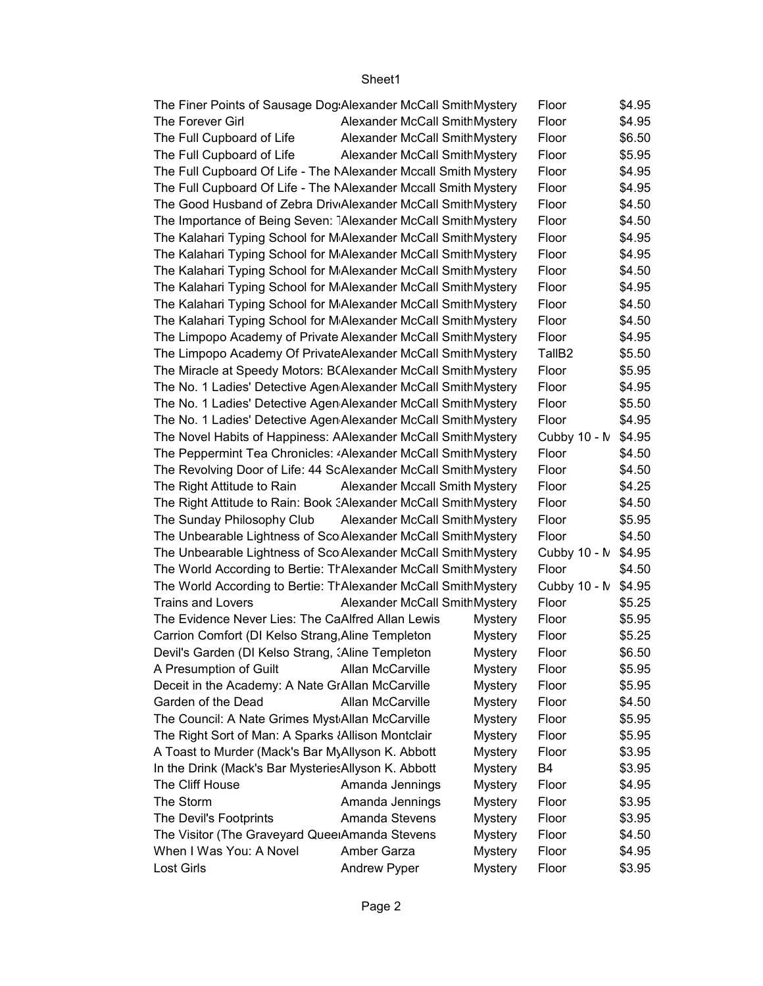| The Finer Points of Sausage Dog Alexander McCall SmithMystery                                          |                                       |                                  | Floor               | \$4.95           |
|--------------------------------------------------------------------------------------------------------|---------------------------------------|----------------------------------|---------------------|------------------|
| The Forever Girl                                                                                       | <b>Alexander McCall SmithMystery</b>  |                                  | Floor               | \$4.95           |
| The Full Cupboard of Life                                                                              | Alexander McCall SmithMystery         |                                  | Floor               | \$6.50           |
| The Full Cupboard of Life                                                                              | Alexander McCall SmithMystery         |                                  | Floor               | \$5.95           |
| The Full Cupboard Of Life - The MAlexander Mccall Smith Mystery                                        |                                       |                                  | Floor               | \$4.95           |
| The Full Cupboard Of Life - The NAlexander Mccall Smith Mystery                                        |                                       |                                  | Floor               | \$4.95           |
| The Good Husband of Zebra Driv <sub>'</sub> Alexander McCall SmithMystery                              |                                       |                                  | Floor               | \$4.50           |
| The Importance of Being Seven: Alexander McCall SmithMystery                                           |                                       |                                  | Floor               | \$4.50           |
| The Kalahari Typing School for MAlexander McCall SmithMystery                                          |                                       |                                  | Floor               | \$4.95           |
| The Kalahari Typing School for MAlexander McCall SmithMystery                                          |                                       |                                  | Floor               | \$4.95           |
| The Kalahari Typing School for MAlexander McCall SmithMystery                                          |                                       |                                  | Floor               | \$4.50           |
| The Kalahari Typing School for M Alexander McCall SmithMystery                                         |                                       |                                  | Floor               | \$4.95           |
| The Kalahari Typing School for MAlexander McCall SmithMystery                                          |                                       |                                  | Floor               | \$4.50           |
| The Kalahari Typing School for MAlexander McCall SmithMystery                                          |                                       |                                  | Floor               | \$4.50           |
| The Limpopo Academy of Private Alexander McCall SmithMystery                                           |                                       |                                  | Floor               | \$4.95           |
| The Limpopo Academy Of PrivateAlexander McCall SmithMystery                                            |                                       |                                  | TallB <sub>2</sub>  | \$5.50           |
| The Miracle at Speedy Motors: B(Alexander McCall SmithMystery                                          |                                       |                                  | Floor               | \$5.95           |
| The No. 1 Ladies' Detective Agen Alexander McCall SmithMystery                                         |                                       |                                  | Floor               | \$4.95           |
| The No. 1 Ladies' Detective Agen Alexander McCall SmithMystery                                         |                                       |                                  | Floor               | \$5.50           |
| The No. 1 Ladies' Detective Agen Alexander McCall SmithMystery                                         |                                       |                                  | Floor               | \$4.95           |
| The Novel Habits of Happiness: AAlexander McCall SmithMystery                                          |                                       |                                  | Cubby 10 - N        | \$4.95           |
| The Peppermint Tea Chronicles: «Alexander McCall SmithMystery                                          |                                       |                                  | Floor               | \$4.50           |
| The Revolving Door of Life: 44 ScAlexander McCall SmithMystery                                         |                                       |                                  | Floor               | \$4.50           |
| The Right Attitude to Rain                                                                             | <b>Alexander Mccall Smith Mystery</b> |                                  | Floor               | \$4.25           |
| The Right Attitude to Rain: Book : Alexander McCall SmithMystery                                       |                                       |                                  | Floor               | \$4.50           |
| The Sunday Philosophy Club                                                                             | Alexander McCall SmithMystery         |                                  | Floor               | \$5.95           |
| The Unbearable Lightness of Sco Alexander McCall SmithMystery                                          |                                       |                                  | Floor               | \$4.50           |
| The Unbearable Lightness of Sco Alexander McCall SmithMystery                                          |                                       |                                  | Cubby 10 - N \$4.95 |                  |
| The World According to Bertie: TrAlexander McCall SmithMystery                                         |                                       |                                  | Floor               | \$4.50           |
| The World According to Bertie: TrAlexander McCall SmithMystery                                         |                                       |                                  | Cubby 10 - N \$4.95 |                  |
| <b>Trains and Lovers</b>                                                                               | Alexander McCall SmithMystery         |                                  | Floor               | \$5.25           |
| The Evidence Never Lies: The CaAlfred Allan Lewis                                                      |                                       | Mystery                          | Floor               | \$5.95           |
| Carrion Comfort (DI Kelso Strang, Aline Templeton                                                      |                                       | <b>Mystery</b>                   | Floor               | \$5.25           |
| Devil's Garden (DI Kelso Strang, : Aline Templeton                                                     |                                       | <b>Mystery</b>                   | Floor               | \$6.50           |
| A Presumption of Guilt                                                                                 | Allan McCarville                      | <b>Mystery</b><br><b>Mystery</b> | Floor               | \$5.95<br>\$5.95 |
| Deceit in the Academy: A Nate GrAllan McCarville<br>Garden of the Dead                                 | Allan McCarville                      |                                  | Floor               |                  |
|                                                                                                        |                                       | <b>Mystery</b>                   | Floor               | \$4.50           |
| The Council: A Nate Grimes Myst Allan McCarville<br>The Right Sort of Man: A Sparks {Allison Montclair |                                       | <b>Mystery</b><br><b>Mystery</b> | Floor<br>Floor      | \$5.95<br>\$5.95 |
| A Toast to Murder (Mack's Bar MyAllyson K. Abbott                                                      |                                       | <b>Mystery</b>                   | Floor               | \$3.95           |
| In the Drink (Mack's Bar Mysteries Allyson K. Abbott                                                   |                                       | <b>Mystery</b>                   | B4                  | \$3.95           |
| The Cliff House                                                                                        | Amanda Jennings                       | <b>Mystery</b>                   | Floor               | \$4.95           |
| The Storm                                                                                              | Amanda Jennings                       | <b>Mystery</b>                   | Floor               | \$3.95           |
| The Devil's Footprints                                                                                 | Amanda Stevens                        | <b>Mystery</b>                   | Floor               | \$3.95           |
| The Visitor (The Graveyard Quee Amanda Stevens                                                         |                                       | <b>Mystery</b>                   | Floor               | \$4.50           |
| When I Was You: A Novel                                                                                | Amber Garza                           | <b>Mystery</b>                   | Floor               | \$4.95           |
| Lost Girls                                                                                             | Andrew Pyper                          | <b>Mystery</b>                   | Floor               | \$3.95           |
|                                                                                                        |                                       |                                  |                     |                  |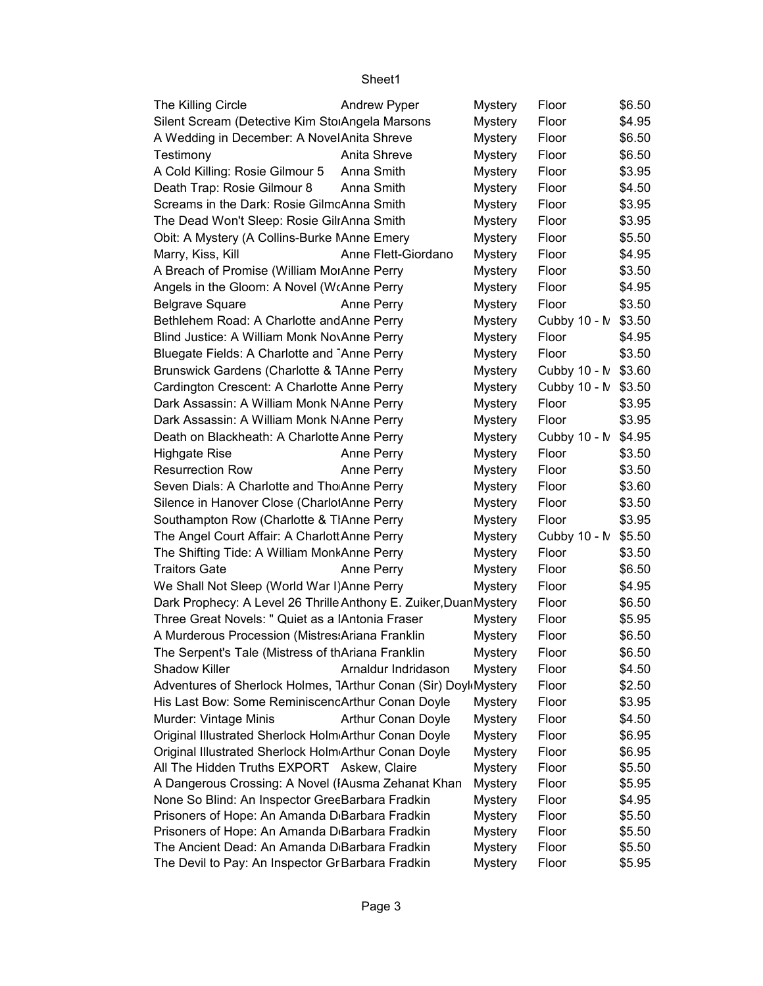| The Killing Circle                                               | <b>Andrew Pyper</b>       | <b>Mystery</b> | Floor               | \$6.50 |
|------------------------------------------------------------------|---------------------------|----------------|---------------------|--------|
| Silent Scream (Detective Kim StorAngela Marsons                  |                           | <b>Mystery</b> | Floor               | \$4.95 |
| A Wedding in December: A Novel Anita Shreve                      |                           | <b>Mystery</b> | Floor               | \$6.50 |
| Testimony                                                        | Anita Shreve              | <b>Mystery</b> | Floor               | \$6.50 |
| A Cold Killing: Rosie Gilmour 5                                  | Anna Smith                | <b>Mystery</b> | Floor               | \$3.95 |
| Death Trap: Rosie Gilmour 8                                      | Anna Smith                | <b>Mystery</b> | Floor               | \$4.50 |
| Screams in the Dark: Rosie GilmcAnna Smith                       |                           | <b>Mystery</b> | Floor               | \$3.95 |
| The Dead Won't Sleep: Rosie GilrAnna Smith                       |                           | <b>Mystery</b> | Floor               | \$3.95 |
| Obit: A Mystery (A Collins-Burke NAnne Emery                     |                           | <b>Mystery</b> | Floor               | \$5.50 |
| Marry, Kiss, Kill                                                | Anne Flett-Giordano       | <b>Mystery</b> | Floor               | \$4.95 |
| A Breach of Promise (William MorAnne Perry                       |                           | <b>Mystery</b> | Floor               | \$3.50 |
| Angels in the Gloom: A Novel (WrAnne Perry                       |                           | <b>Mystery</b> | Floor               | \$4.95 |
| <b>Belgrave Square</b>                                           | Anne Perry                | <b>Mystery</b> | Floor               | \$3.50 |
| Bethlehem Road: A Charlotte and Anne Perry                       |                           | <b>Mystery</b> | Cubby 10 - N        | \$3.50 |
| Blind Justice: A William Monk NovAnne Perry                      |                           | <b>Mystery</b> | Floor               | \$4.95 |
| Bluegate Fields: A Charlotte and Anne Perry                      |                           | <b>Mystery</b> | Floor               | \$3.50 |
| Brunswick Gardens (Charlotte & TAnne Perry                       |                           | <b>Mystery</b> | Cubby 10 - N \$3.60 |        |
| Cardington Crescent: A Charlotte Anne Perry                      |                           | <b>Mystery</b> | Cubby 10 - M        | \$3.50 |
| Dark Assassin: A William Monk N Anne Perry                       |                           | <b>Mystery</b> | Floor               | \$3.95 |
| Dark Assassin: A William Monk N Anne Perry                       |                           | <b>Mystery</b> | Floor               | \$3.95 |
| Death on Blackheath: A Charlotte Anne Perry                      |                           | <b>Mystery</b> | Cubby 10 - N        | \$4.95 |
| <b>Highgate Rise</b>                                             | Anne Perry                | Mystery        | Floor               | \$3.50 |
| <b>Resurrection Row</b>                                          | Anne Perry                | <b>Mystery</b> | Floor               | \$3.50 |
| Seven Dials: A Charlotte and Tho Anne Perry                      |                           | <b>Mystery</b> | Floor               | \$3.60 |
| Silence in Hanover Close (CharlolAnne Perry                      |                           | <b>Mystery</b> | Floor               | \$3.50 |
| Southampton Row (Charlotte & TIAnne Perry                        |                           | <b>Mystery</b> | Floor               | \$3.95 |
| The Angel Court Affair: A Charlott Anne Perry                    |                           | <b>Mystery</b> | Cubby 10 - N        | \$5.50 |
| The Shifting Tide: A William MonkAnne Perry                      |                           | <b>Mystery</b> | Floor               | \$3.50 |
| <b>Traitors Gate</b>                                             | Anne Perry                | <b>Mystery</b> | Floor               | \$6.50 |
| We Shall Not Sleep (World War I) Anne Perry                      |                           | <b>Mystery</b> | Floor               | \$4.95 |
| Dark Prophecy: A Level 26 Thrille Anthony E. Zuiker, DuanMystery |                           |                | Floor               | \$6.50 |
| Three Great Novels: " Quiet as a lAntonia Fraser                 |                           | <b>Mystery</b> | Floor               | \$5.95 |
| A Murderous Procession (Mistres: Ariana Franklin                 |                           | <b>Mystery</b> | Floor               | \$6.50 |
| The Serpent's Tale (Mistress of thAriana Franklin                |                           | <b>Mystery</b> | Floor               | \$6.50 |
| <b>Shadow Killer</b>                                             | Arnaldur Indridason       | <b>Mystery</b> | Floor               | \$4.50 |
| Adventures of Sherlock Holmes, 7Arthur Conan (Sir) Doyl Mystery  |                           |                | Floor               | \$2.50 |
| His Last Bow: Some ReminiscencArthur Conan Doyle                 |                           | <b>Mystery</b> | Floor               | \$3.95 |
| Murder: Vintage Minis                                            | <b>Arthur Conan Doyle</b> | <b>Mystery</b> | Floor               | \$4.50 |
| Original Illustrated Sherlock Holm Arthur Conan Doyle            |                           | <b>Mystery</b> | Floor               | \$6.95 |
| Original Illustrated Sherlock Holm Arthur Conan Doyle            |                           | <b>Mystery</b> | Floor               | \$6.95 |
| All The Hidden Truths EXPORT Askew, Claire                       |                           | <b>Mystery</b> | Floor               | \$5.50 |
| A Dangerous Crossing: A Novel (IAusma Zehanat Khan               |                           | <b>Mystery</b> | Floor               | \$5.95 |
| None So Blind: An Inspector GreeBarbara Fradkin                  |                           | <b>Mystery</b> | Floor               | \$4.95 |
| Prisoners of Hope: An Amanda D <sub>'Barbara Fradkin</sub>       |                           | <b>Mystery</b> | Floor               | \$5.50 |
| Prisoners of Hope: An Amanda D <sub>'Barbara</sub> Fradkin       |                           | <b>Mystery</b> | Floor               | \$5.50 |
| The Ancient Dead: An Amanda D <sub>'</sub> Barbara Fradkin       |                           | <b>Mystery</b> | Floor               | \$5.50 |
| The Devil to Pay: An Inspector Gr Barbara Fradkin                |                           | <b>Mystery</b> | Floor               | \$5.95 |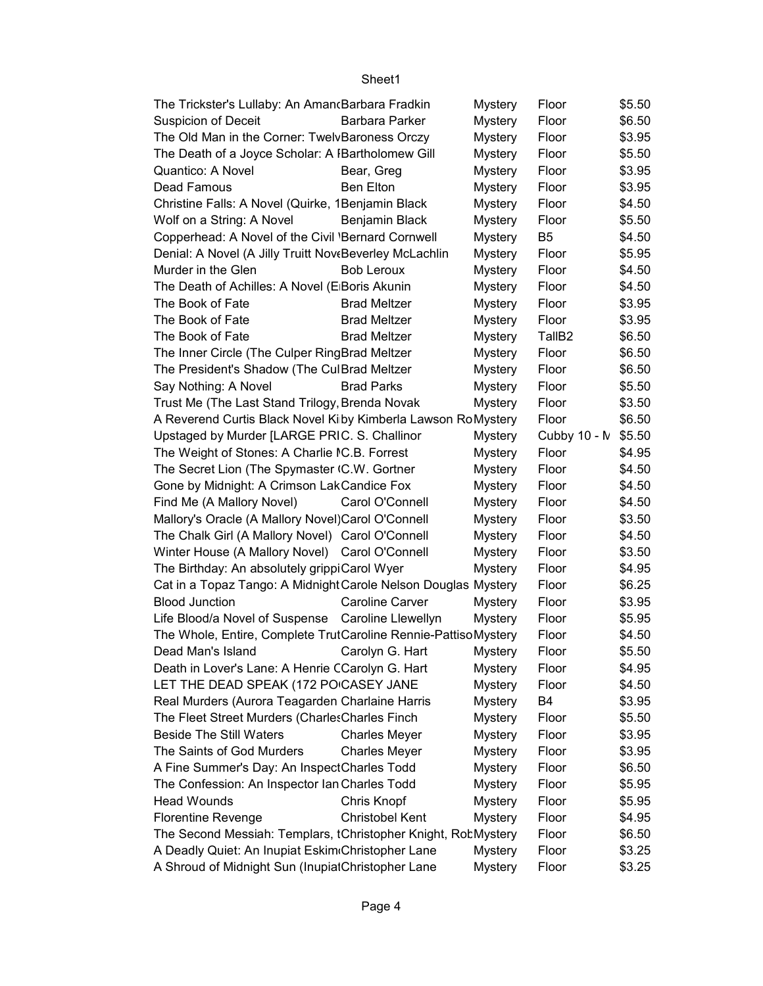| The Trickster's Lullaby: An Aman(Barbara Fradkin               |                        | <b>Mystery</b> | Floor              | \$5.50 |
|----------------------------------------------------------------|------------------------|----------------|--------------------|--------|
| <b>Suspicion of Deceit</b>                                     | Barbara Parker         | <b>Mystery</b> | Floor              | \$6.50 |
| The Old Man in the Corner: TwelvBaroness Orczy                 |                        | <b>Mystery</b> | Floor              | \$3.95 |
| The Death of a Joyce Scholar: A IBartholomew Gill              |                        | <b>Mystery</b> | Floor              | \$5.50 |
| Quantico: A Novel                                              | Bear, Greg             | <b>Mystery</b> | Floor              | \$3.95 |
| Dead Famous                                                    | <b>Ben Elton</b>       | <b>Mystery</b> | Floor              | \$3.95 |
| Christine Falls: A Novel (Quirke, 1Benjamin Black              |                        | <b>Mystery</b> | Floor              | \$4.50 |
| Wolf on a String: A Novel                                      | Benjamin Black         | <b>Mystery</b> | Floor              | \$5.50 |
| Copperhead: A Novel of the Civil 'Bernard Cornwell             |                        | <b>Mystery</b> | B <sub>5</sub>     | \$4.50 |
| Denial: A Novel (A Jilly Truitt NoveBeverley McLachlin         |                        | <b>Mystery</b> | Floor              | \$5.95 |
| Murder in the Glen                                             | <b>Bob Leroux</b>      | <b>Mystery</b> | Floor              | \$4.50 |
| The Death of Achilles: A Novel (E Boris Akunin                 |                        | <b>Mystery</b> | Floor              | \$4.50 |
| The Book of Fate                                               | <b>Brad Meltzer</b>    | <b>Mystery</b> | Floor              | \$3.95 |
| The Book of Fate                                               | <b>Brad Meltzer</b>    | <b>Mystery</b> | Floor              | \$3.95 |
| The Book of Fate                                               | <b>Brad Meltzer</b>    | <b>Mystery</b> | TallB <sub>2</sub> | \$6.50 |
| The Inner Circle (The Culper RingBrad Meltzer                  |                        | <b>Mystery</b> | Floor              | \$6.50 |
| The President's Shadow (The CulBrad Meltzer                    |                        | <b>Mystery</b> | Floor              | \$6.50 |
| Say Nothing: A Novel                                           | <b>Brad Parks</b>      | <b>Mystery</b> | Floor              | \$5.50 |
| Trust Me (The Last Stand Trilogy, Brenda Novak                 |                        | <b>Mystery</b> | Floor              | \$3.50 |
| A Reverend Curtis Black Novel Kiby Kimberla Lawson RoMystery   |                        |                | Floor              | \$6.50 |
| Upstaged by Murder [LARGE PRIC. S. Challinor                   |                        | <b>Mystery</b> | Cubby 10 - M       | \$5.50 |
| The Weight of Stones: A Charlie IC.B. Forrest                  |                        | <b>Mystery</b> | Floor              | \$4.95 |
| The Secret Lion (The Spymaster (C.W. Gortner                   |                        | <b>Mystery</b> | Floor              | \$4.50 |
| Gone by Midnight: A Crimson LakCandice Fox                     |                        | <b>Mystery</b> | Floor              | \$4.50 |
| Find Me (A Mallory Novel)                                      | Carol O'Connell        | <b>Mystery</b> | Floor              | \$4.50 |
| Mallory's Oracle (A Mallory Novel)Carol O'Connell              |                        | <b>Mystery</b> | Floor              | \$3.50 |
| The Chalk Girl (A Mallory Novel) Carol O'Connell               |                        | <b>Mystery</b> | Floor              | \$4.50 |
| Winter House (A Mallory Novel) Carol O'Connell                 |                        | <b>Mystery</b> | Floor              | \$3.50 |
| The Birthday: An absolutely grippiCarol Wyer                   |                        | <b>Mystery</b> | Floor              | \$4.95 |
| Cat in a Topaz Tango: A Midnight Carole Nelson Douglas Mystery |                        |                | Floor              | \$6.25 |
| <b>Blood Junction</b>                                          | <b>Caroline Carver</b> | <b>Mystery</b> | Floor              | \$3.95 |
| Life Blood/a Novel of Suspense                                 | Caroline Llewellyn     | <b>Mystery</b> | Floor              | \$5.95 |
| The Whole, Entire, Complete TrutCaroline Rennie-PattisoMystery |                        |                | Floor              | \$4.50 |
| Dead Man's Island Carolyn G. Hart                              |                        | <b>Mystery</b> | Floor              | \$5.50 |
| Death in Lover's Lane: A Henrie CCarolyn G. Hart               |                        | <b>Mystery</b> | Floor              | \$4.95 |
| LET THE DEAD SPEAK (172 POICASEY JANE                          |                        | <b>Mystery</b> | Floor              | \$4.50 |
| Real Murders (Aurora Teagarden Charlaine Harris                |                        | <b>Mystery</b> | B4                 | \$3.95 |
| The Fleet Street Murders (Charles Charles Finch                |                        | <b>Mystery</b> | Floor              | \$5.50 |
| <b>Beside The Still Waters</b>                                 | <b>Charles Meyer</b>   | <b>Mystery</b> | Floor              | \$3.95 |
| The Saints of God Murders                                      | <b>Charles Meyer</b>   | Mystery        | Floor              | \$3.95 |
| A Fine Summer's Day: An InspectCharles Todd                    |                        | <b>Mystery</b> | Floor              | \$6.50 |
| The Confession: An Inspector Ian Charles Todd                  |                        | <b>Mystery</b> | Floor              | \$5.95 |
| <b>Head Wounds</b>                                             | Chris Knopf            | <b>Mystery</b> | Floor              | \$5.95 |
| <b>Florentine Revenge</b>                                      | <b>Christobel Kent</b> | <b>Mystery</b> | Floor              | \$4.95 |
| The Second Messiah: Templars, tChristopher Knight, RobMystery  |                        |                | Floor              | \$6.50 |
| A Deadly Quiet: An Inupiat Eskim Christopher Lane              |                        | <b>Mystery</b> | Floor              | \$3.25 |
| A Shroud of Midnight Sun (InupialChristopher Lane              |                        | <b>Mystery</b> | Floor              | \$3.25 |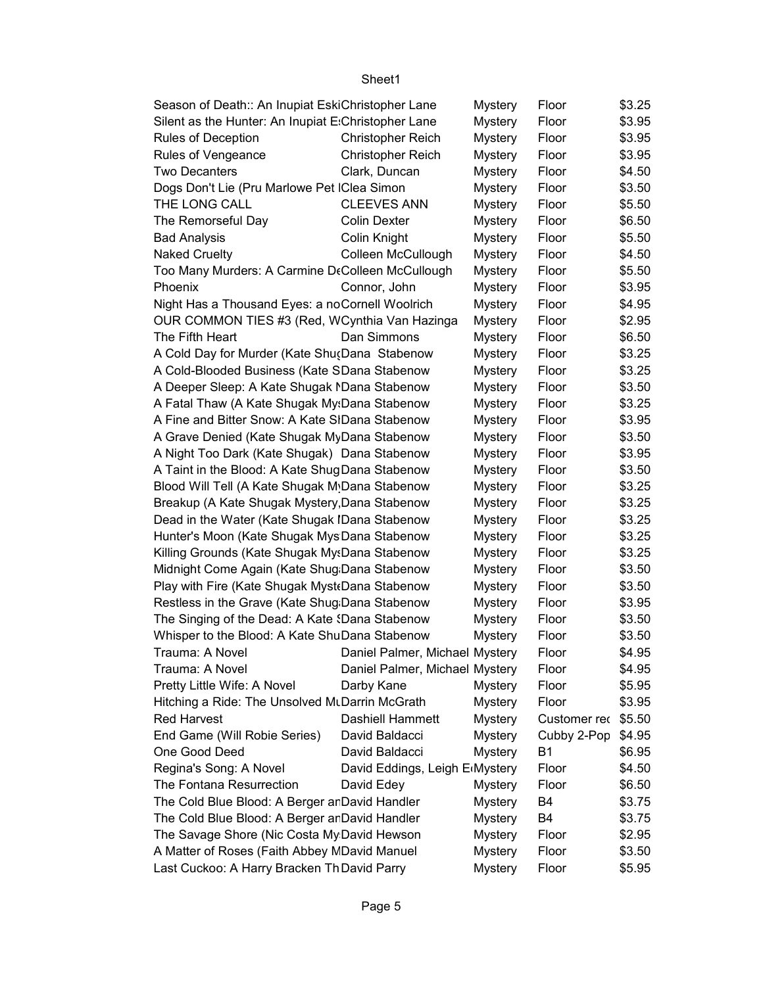| Season of Death:: An Inupiat EskiChristopher Lane   |                                | Mystery        | Floor        | \$3.25 |
|-----------------------------------------------------|--------------------------------|----------------|--------------|--------|
| Silent as the Hunter: An Inupiat E:Christopher Lane |                                | <b>Mystery</b> | Floor        | \$3.95 |
| Rules of Deception                                  | <b>Christopher Reich</b>       | Mystery        | Floor        | \$3.95 |
| Rules of Vengeance                                  | <b>Christopher Reich</b>       | <b>Mystery</b> | Floor        | \$3.95 |
| <b>Two Decanters</b>                                | Clark, Duncan                  | <b>Mystery</b> | Floor        | \$4.50 |
| Dogs Don't Lie (Pru Marlowe Pet IClea Simon         |                                | <b>Mystery</b> | Floor        | \$3.50 |
| THE LONG CALL                                       | <b>CLEEVES ANN</b>             | <b>Mystery</b> | Floor        | \$5.50 |
| The Remorseful Day                                  | <b>Colin Dexter</b>            | <b>Mystery</b> | Floor        | \$6.50 |
| <b>Bad Analysis</b>                                 | Colin Knight                   | <b>Mystery</b> | Floor        | \$5.50 |
| <b>Naked Cruelty</b>                                | Colleen McCullough             | <b>Mystery</b> | Floor        | \$4.50 |
| Too Many Murders: A Carmine DtColleen McCullough    |                                | <b>Mystery</b> | Floor        | \$5.50 |
| Phoenix                                             | Connor, John                   | <b>Mystery</b> | Floor        | \$3.95 |
| Night Has a Thousand Eyes: a noCornell Woolrich     |                                | <b>Mystery</b> | Floor        | \$4.95 |
| OUR COMMON TIES #3 (Red, WCynthia Van Hazinga       |                                | <b>Mystery</b> | Floor        | \$2.95 |
| The Fifth Heart                                     | Dan Simmons                    | <b>Mystery</b> | Floor        | \$6.50 |
| A Cold Day for Murder (Kate Shu(Dana Stabenow       |                                | <b>Mystery</b> | Floor        | \$3.25 |
| A Cold-Blooded Business (Kate SDana Stabenow        |                                | <b>Mystery</b> | Floor        | \$3.25 |
| A Deeper Sleep: A Kate Shugak MDana Stabenow        |                                | <b>Mystery</b> | Floor        | \$3.50 |
| A Fatal Thaw (A Kate Shugak My:Dana Stabenow        |                                | <b>Mystery</b> | Floor        | \$3.25 |
| A Fine and Bitter Snow: A Kate SIDana Stabenow      |                                | <b>Mystery</b> | Floor        | \$3.95 |
| A Grave Denied (Kate Shugak MyDana Stabenow         |                                | <b>Mystery</b> | Floor        | \$3.50 |
| A Night Too Dark (Kate Shugak) Dana Stabenow        |                                | <b>Mystery</b> | Floor        | \$3.95 |
| A Taint in the Blood: A Kate ShugDana Stabenow      |                                | <b>Mystery</b> | Floor        | \$3.50 |
| Blood Will Tell (A Kate Shugak M.Dana Stabenow      |                                | <b>Mystery</b> | Floor        | \$3.25 |
| Breakup (A Kate Shugak Mystery, Dana Stabenow       |                                | <b>Mystery</b> | Floor        | \$3.25 |
| Dead in the Water (Kate Shugak IDana Stabenow       |                                | <b>Mystery</b> | Floor        | \$3.25 |
| Hunter's Moon (Kate Shugak MysDana Stabenow         |                                | <b>Mystery</b> | Floor        | \$3.25 |
| Killing Grounds (Kate Shugak MysDana Stabenow       |                                | <b>Mystery</b> | Floor        | \$3.25 |
| Midnight Come Again (Kate Shug Dana Stabenow        |                                | <b>Mystery</b> | Floor        | \$3.50 |
| Play with Fire (Kate Shugak Myst Dana Stabenow      |                                | <b>Mystery</b> | Floor        | \$3.50 |
| Restless in the Grave (Kate Shug Dana Stabenow      |                                | <b>Mystery</b> | Floor        | \$3.95 |
| The Singing of the Dead: A Kate {Dana Stabenow      |                                | <b>Mystery</b> | Floor        | \$3.50 |
| Whisper to the Blood: A Kate ShuDana Stabenow       |                                | <b>Mystery</b> | Floor        | \$3.50 |
| Trauma: A Novel                                     | Daniel Palmer, Michael Mystery |                | Floor        | \$4.95 |
| Trauma: A Novel                                     | Daniel Palmer, Michael Mystery |                | Floor        | \$4.95 |
| Pretty Little Wife: A Novel                         | Darby Kane                     | <b>Mystery</b> | Floor        | \$5.95 |
| Hitching a Ride: The Unsolved MtDarrin McGrath      |                                | <b>Mystery</b> | Floor        | \$3.95 |
| <b>Red Harvest</b>                                  | Dashiell Hammett               | <b>Mystery</b> | Customer rec | \$5.50 |
| End Game (Will Robie Series)                        | David Baldacci                 | <b>Mystery</b> | Cubby 2-Pop  | \$4.95 |
| One Good Deed                                       | David Baldacci                 | <b>Mystery</b> | <b>B1</b>    | \$6.95 |
| Regina's Song: A Novel                              | David Eddings, Leigh E(Mystery |                | Floor        | \$4.50 |
| The Fontana Resurrection                            | David Edey                     | <b>Mystery</b> | Floor        | \$6.50 |
| The Cold Blue Blood: A Berger ar David Handler      |                                | <b>Mystery</b> | B4           | \$3.75 |
| The Cold Blue Blood: A Berger ar David Handler      |                                | <b>Mystery</b> | B4           | \$3.75 |
| The Savage Shore (Nic Costa My David Hewson         |                                | <b>Mystery</b> | Floor        | \$2.95 |
| A Matter of Roses (Faith Abbey MDavid Manuel        |                                | <b>Mystery</b> | Floor        | \$3.50 |
| Last Cuckoo: A Harry Bracken Th David Parry         |                                | <b>Mystery</b> | Floor        | \$5.95 |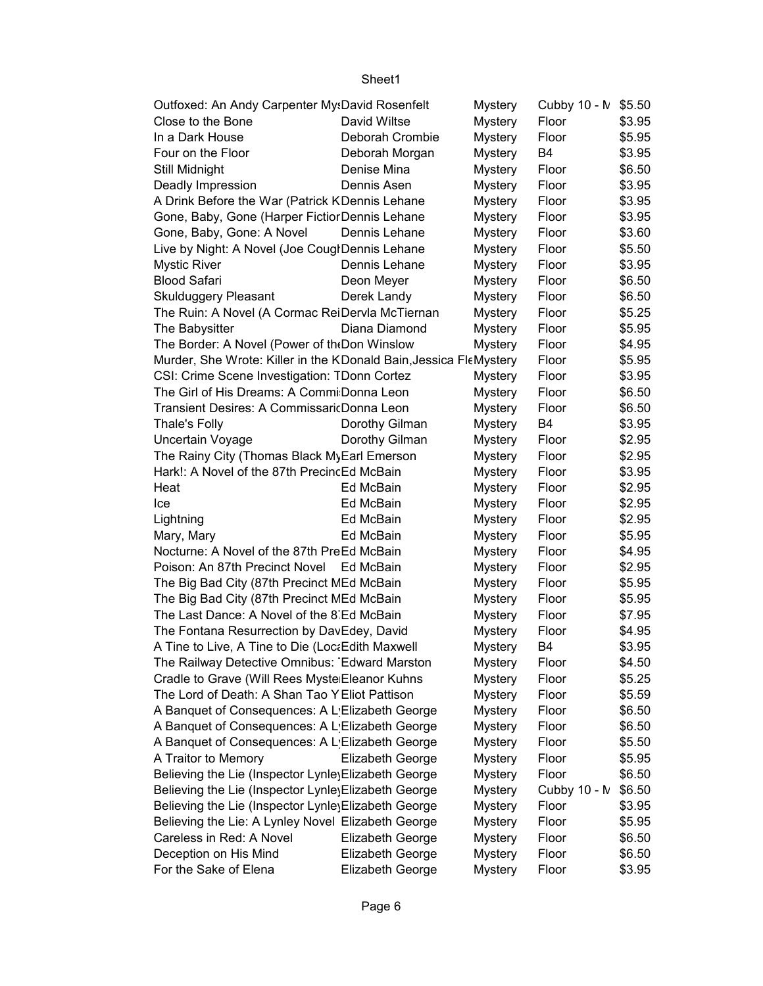| Outfoxed: An Andy Carpenter My: David Rosenfelt                   |                  | <b>Mystery</b> | Cubby 10 - N \$5.50 |        |
|-------------------------------------------------------------------|------------------|----------------|---------------------|--------|
| Close to the Bone                                                 | David Wiltse     | <b>Mystery</b> | Floor               | \$3.95 |
| In a Dark House                                                   | Deborah Crombie  | <b>Mystery</b> | Floor               | \$5.95 |
| Four on the Floor                                                 | Deborah Morgan   | <b>Mystery</b> | B4                  | \$3.95 |
| Still Midnight                                                    | Denise Mina      | Mystery        | Floor               | \$6.50 |
| Deadly Impression                                                 | Dennis Asen      | Mystery        | Floor               | \$3.95 |
| A Drink Before the War (Patrick KDennis Lehane                    |                  | <b>Mystery</b> | Floor               | \$3.95 |
| Gone, Baby, Gone (Harper Fictior Dennis Lehane                    |                  | <b>Mystery</b> | Floor               | \$3.95 |
| Gone, Baby, Gone: A Novel                                         | Dennis Lehane    | <b>Mystery</b> | Floor               | \$3.60 |
| Live by Night: A Novel (Joe CouglDennis Lehane                    |                  | <b>Mystery</b> | Floor               | \$5.50 |
| <b>Mystic River</b>                                               | Dennis Lehane    | <b>Mystery</b> | Floor               | \$3.95 |
| <b>Blood Safari</b>                                               | Deon Meyer       | <b>Mystery</b> | Floor               | \$6.50 |
| <b>Skulduggery Pleasant</b>                                       | Derek Landy      | <b>Mystery</b> | Floor               | \$6.50 |
| The Ruin: A Novel (A Cormac ReiDervla McTiernan                   |                  | <b>Mystery</b> | Floor               | \$5.25 |
| The Babysitter                                                    | Diana Diamond    | <b>Mystery</b> | Floor               | \$5.95 |
| The Border: A Novel (Power of the Don Winslow                     |                  | <b>Mystery</b> | Floor               | \$4.95 |
| Murder, She Wrote: Killer in the KDonald Bain, Jessica FleMystery |                  |                | Floor               | \$5.95 |
| CSI: Crime Scene Investigation: TDonn Cortez                      |                  | <b>Mystery</b> | Floor               | \$3.95 |
| The Girl of His Dreams: A Commi Donna Leon                        |                  | Mystery        | Floor               | \$6.50 |
| Transient Desires: A CommissaricDonna Leon                        |                  | <b>Mystery</b> | Floor               | \$6.50 |
| <b>Thale's Folly</b>                                              | Dorothy Gilman   | <b>Mystery</b> | B4                  | \$3.95 |
| Uncertain Voyage                                                  | Dorothy Gilman   | <b>Mystery</b> | Floor               | \$2.95 |
| The Rainy City (Thomas Black MyEarl Emerson                       |                  | <b>Mystery</b> | Floor               | \$2.95 |
| Hark!: A Novel of the 87th PrecincEd McBain                       |                  | <b>Mystery</b> | Floor               | \$3.95 |
| Heat                                                              | Ed McBain        | <b>Mystery</b> | Floor               | \$2.95 |
| Ice                                                               | Ed McBain        | <b>Mystery</b> | Floor               | \$2.95 |
| Lightning                                                         | Ed McBain        | Mystery        | Floor               | \$2.95 |
| Mary, Mary                                                        | Ed McBain        | <b>Mystery</b> | Floor               | \$5.95 |
| Nocturne: A Novel of the 87th PreEd McBain                        |                  | <b>Mystery</b> | Floor               | \$4.95 |
| Poison: An 87th Precinct Novel Ed McBain                          |                  | <b>Mystery</b> | Floor               | \$2.95 |
| The Big Bad City (87th Precinct MEd McBain                        |                  | <b>Mystery</b> | Floor               | \$5.95 |
| The Big Bad City (87th Precinct MEd McBain                        |                  | <b>Mystery</b> | Floor               | \$5.95 |
| The Last Dance: A Novel of the 8 Ed McBain                        |                  | <b>Mystery</b> | Floor               | \$7.95 |
| The Fontana Resurrection by DavEdey, David                        |                  | <b>Mystery</b> | Floor               | \$4.95 |
| A Tine to Live, A Tine to Die (LocaEdith Maxwell                  |                  | <b>Mystery</b> | B4                  | \$3.95 |
| The Railway Detective Omnibus: Edward Marston                     |                  | <b>Mystery</b> | Floor               | \$4.50 |
| Cradle to Grave (Will Rees Myste Eleanor Kuhns                    |                  | <b>Mystery</b> | Floor               | \$5.25 |
| The Lord of Death: A Shan Tao Y Eliot Pattison                    |                  | <b>Mystery</b> | Floor               | \$5.59 |
| A Banquet of Consequences: A L'Elizabeth George                   |                  | <b>Mystery</b> | Floor               | \$6.50 |
| A Banquet of Consequences: A L Elizabeth George                   |                  | <b>Mystery</b> | Floor               | \$6.50 |
| A Banquet of Consequences: A L'Elizabeth George                   |                  | <b>Mystery</b> | Floor               | \$5.50 |
| A Traitor to Memory                                               | Elizabeth George | <b>Mystery</b> | Floor               | \$5.95 |
| Believing the Lie (Inspector Lynle) Elizabeth George              |                  | <b>Mystery</b> | Floor               | \$6.50 |
| Believing the Lie (Inspector Lynle) Elizabeth George              |                  | <b>Mystery</b> | Cubby 10 - N        | \$6.50 |
| Believing the Lie (Inspector Lynle) Elizabeth George              |                  | <b>Mystery</b> | Floor               | \$3.95 |
| Believing the Lie: A Lynley Novel Elizabeth George                |                  | <b>Mystery</b> | Floor               | \$5.95 |
| Careless in Red: A Novel                                          | Elizabeth George | <b>Mystery</b> | Floor               | \$6.50 |
| Deception on His Mind                                             | Elizabeth George | <b>Mystery</b> | Floor               | \$6.50 |
| For the Sake of Elena                                             | Elizabeth George | <b>Mystery</b> | Floor               | \$3.95 |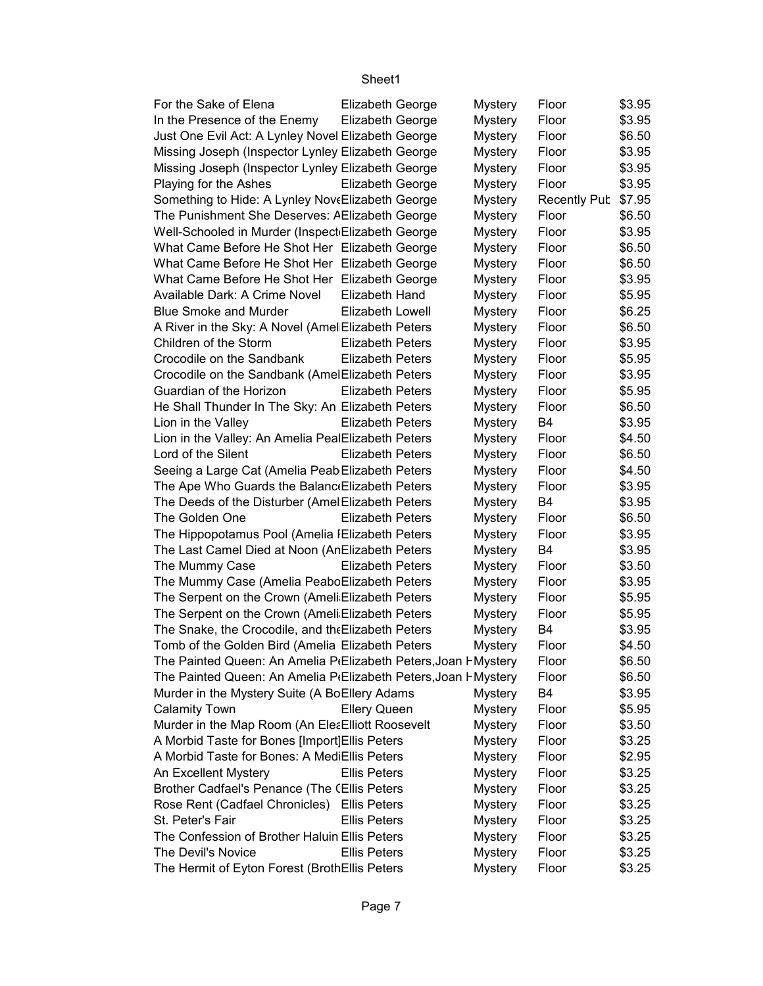| For the Sake of Elena                                                       | <b>Elizabeth George</b> | <b>Mystery</b> | Floor               | \$3.95 |
|-----------------------------------------------------------------------------|-------------------------|----------------|---------------------|--------|
| In the Presence of the Enemy                                                | <b>Elizabeth George</b> | <b>Mystery</b> | Floor               | \$3.95 |
| Just One Evil Act: A Lynley Novel Elizabeth George                          |                         | <b>Mystery</b> | Floor               | \$6.50 |
| Missing Joseph (Inspector Lynley Elizabeth George                           |                         | <b>Mystery</b> | Floor               | \$3.95 |
| Missing Joseph (Inspector Lynley Elizabeth George                           |                         | <b>Mystery</b> | Floor               | \$3.95 |
| Playing for the Ashes                                                       | Elizabeth George        | <b>Mystery</b> | Floor               | \$3.95 |
| Something to Hide: A Lynley NoveElizabeth George                            |                         | <b>Mystery</b> | <b>Recently Pub</b> | \$7.95 |
| The Punishment She Deserves: AElizabeth George                              |                         | <b>Mystery</b> | Floor               | \$6.50 |
| Well-Schooled in Murder (Inspect Elizabeth George                           |                         | Mystery        | Floor               | \$3.95 |
| What Came Before He Shot Her Elizabeth George                               |                         | <b>Mystery</b> | Floor               | \$6.50 |
| What Came Before He Shot Her Elizabeth George                               |                         | <b>Mystery</b> | Floor               | \$6.50 |
| What Came Before He Shot Her Elizabeth George                               |                         | <b>Mystery</b> | Floor               | \$3.95 |
| Available Dark: A Crime Novel                                               | Elizabeth Hand          | <b>Mystery</b> | Floor               | \$5.95 |
| <b>Blue Smoke and Murder</b>                                                | Elizabeth Lowell        | <b>Mystery</b> | Floor               | \$6.25 |
| A River in the Sky: A Novel (Amel Elizabeth Peters                          |                         | <b>Mystery</b> | Floor               | \$6.50 |
| Children of the Storm                                                       | <b>Elizabeth Peters</b> | <b>Mystery</b> | Floor               | \$3.95 |
| Crocodile on the Sandbank                                                   | <b>Elizabeth Peters</b> | <b>Mystery</b> | Floor               | \$5.95 |
| Crocodile on the Sandbank (AmelElizabeth Peters                             |                         | <b>Mystery</b> | Floor               | \$3.95 |
| Guardian of the Horizon                                                     | <b>Elizabeth Peters</b> | <b>Mystery</b> | Floor               | \$5.95 |
| He Shall Thunder In The Sky: An Elizabeth Peters                            |                         | <b>Mystery</b> | Floor               | \$6.50 |
| Lion in the Valley                                                          | <b>Elizabeth Peters</b> | <b>Mystery</b> | B <sub>4</sub>      | \$3.95 |
| Lion in the Valley: An Amelia PealElizabeth Peters                          |                         | <b>Mystery</b> | Floor               | \$4.50 |
| Lord of the Silent                                                          | <b>Elizabeth Peters</b> | <b>Mystery</b> | Floor               | \$6.50 |
| Seeing a Large Cat (Amelia Peab Elizabeth Peters                            |                         | <b>Mystery</b> | Floor               | \$4.50 |
| The Ape Who Guards the Balanc Elizabeth Peters                              |                         | <b>Mystery</b> | Floor               | \$3.95 |
| The Deeds of the Disturber (Amel Elizabeth Peters                           |                         | Mystery        | <b>B4</b>           | \$3.95 |
| The Golden One                                                              | <b>Elizabeth Peters</b> | <b>Mystery</b> | Floor               | \$6.50 |
| The Hippopotamus Pool (Amelia IElizabeth Peters                             |                         | <b>Mystery</b> | Floor               | \$3.95 |
| The Last Camel Died at Noon (AnElizabeth Peters                             |                         | <b>Mystery</b> | B <sub>4</sub>      | \$3.95 |
| The Mummy Case                                                              | <b>Elizabeth Peters</b> | <b>Mystery</b> | Floor               | \$3.50 |
| The Mummy Case (Amelia PeaboElizabeth Peters                                |                         | <b>Mystery</b> | Floor               | \$3.95 |
| The Serpent on the Crown (Ameli Elizabeth Peters                            |                         | <b>Mystery</b> | Floor               | \$5.95 |
| The Serpent on the Crown (Ameli Elizabeth Peters                            |                         | <b>Mystery</b> | Floor               | \$5.95 |
| The Snake, the Crocodile, and the Elizabeth Peters                          |                         | <b>Mystery</b> | <b>B4</b>           | \$3.95 |
| Tomb of the Golden Bird (Amelia Elizabeth Peters                            |                         | <b>Mystery</b> | Floor               | \$4.50 |
| The Painted Queen: An Amelia P <sub>'</sub> Elizabeth Peters, Joan HMystery |                         |                | Floor               | \$6.50 |
| The Painted Queen: An Amelia P(Elizabeth Peters, Joan HMystery              |                         |                | Floor               | \$6.50 |
| Murder in the Mystery Suite (A BoEllery Adams                               |                         | <b>Mystery</b> | B4                  | \$3.95 |
| <b>Calamity Town</b>                                                        | <b>Ellery Queen</b>     | <b>Mystery</b> | Floor               | \$5.95 |
| Murder in the Map Room (An EleaElliott Roosevelt                            |                         | <b>Mystery</b> | Floor               | \$3.50 |
| A Morbid Taste for Bones [Import] Ellis Peters                              |                         | <b>Mystery</b> | Floor               | \$3.25 |
| A Morbid Taste for Bones: A MediEllis Peters                                |                         | <b>Mystery</b> | Floor               | \$2.95 |
| An Excellent Mystery                                                        | <b>Ellis Peters</b>     | <b>Mystery</b> | Floor               | \$3.25 |
| Brother Cadfael's Penance (The CEllis Peters                                |                         | <b>Mystery</b> | Floor               | \$3.25 |
| Rose Rent (Cadfael Chronicles)                                              | <b>Ellis Peters</b>     | <b>Mystery</b> | Floor               | \$3.25 |
| St. Peter's Fair                                                            | <b>Ellis Peters</b>     | <b>Mystery</b> | Floor               | \$3.25 |
| The Confession of Brother Haluin Ellis Peters                               |                         | <b>Mystery</b> | Floor               | \$3.25 |
| The Devil's Novice                                                          | <b>Ellis Peters</b>     | <b>Mystery</b> | Floor               | \$3.25 |
| The Hermit of Eyton Forest (BrothEllis Peters                               |                         | <b>Mystery</b> | Floor               | \$3.25 |
|                                                                             |                         |                |                     |        |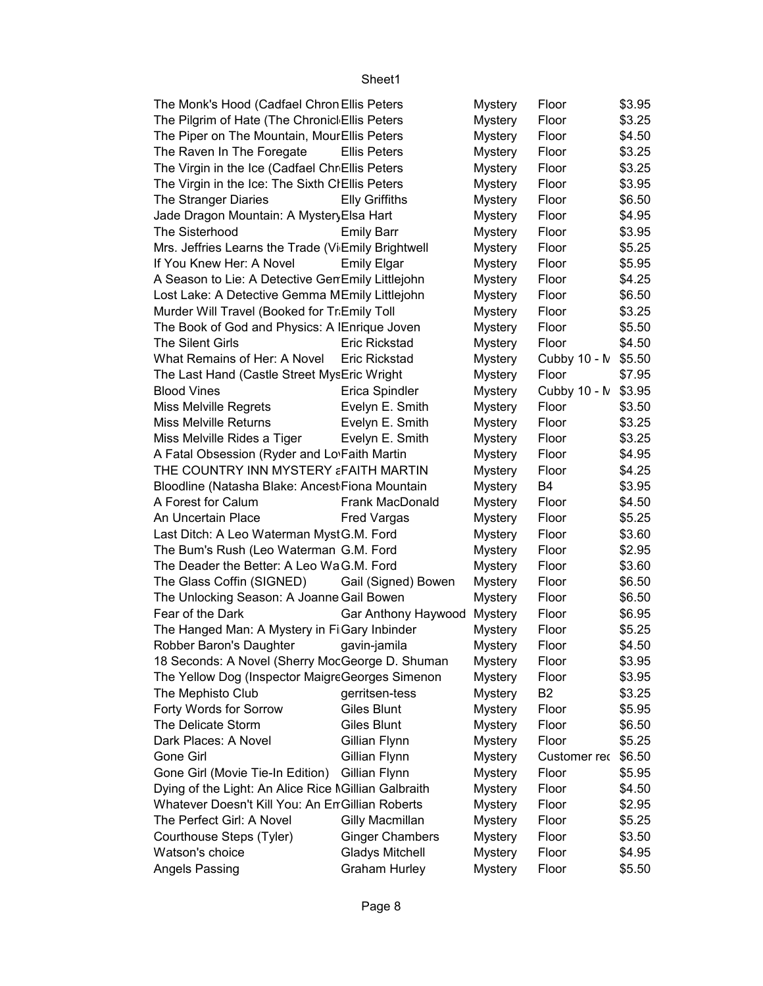| The Monk's Hood (Cadfael Chron Ellis Peters          |                        | Mystery        | Floor          | \$3.95 |
|------------------------------------------------------|------------------------|----------------|----------------|--------|
| The Pilgrim of Hate (The Chronicl Ellis Peters       |                        | <b>Mystery</b> | Floor          | \$3.25 |
| The Piper on The Mountain, MourEllis Peters          |                        | <b>Mystery</b> | Floor          | \$4.50 |
| The Raven In The Foregate                            | <b>Ellis Peters</b>    | <b>Mystery</b> | Floor          | \$3.25 |
| The Virgin in the Ice (Cadfael ChrEllis Peters       |                        | <b>Mystery</b> | Floor          | \$3.25 |
| The Virgin in the Ice: The Sixth CIEllis Peters      |                        | <b>Mystery</b> | Floor          | \$3.95 |
| The Stranger Diaries                                 | <b>Elly Griffiths</b>  | <b>Mystery</b> | Floor          | \$6.50 |
| Jade Dragon Mountain: A MysteryElsa Hart             |                        | <b>Mystery</b> | Floor          | \$4.95 |
| The Sisterhood                                       | <b>Emily Barr</b>      | <b>Mystery</b> | Floor          | \$3.95 |
| Mrs. Jeffries Learns the Trade (Vi Emily Brightwell  |                        | <b>Mystery</b> | Floor          | \$5.25 |
| If You Knew Her: A Novel                             | <b>Emily Elgar</b>     | <b>Mystery</b> | Floor          | \$5.95 |
| A Season to Lie: A Detective GenEmily Littlejohn     |                        | <b>Mystery</b> | Floor          | \$4.25 |
| Lost Lake: A Detective Gemma MEmily Littlejohn       |                        | <b>Mystery</b> | Floor          | \$6.50 |
| Murder Will Travel (Booked for Tr.Emily Toll         |                        | <b>Mystery</b> | Floor          | \$3.25 |
| The Book of God and Physics: A IEnrique Joven        |                        | <b>Mystery</b> | Floor          | \$5.50 |
| <b>The Silent Girls</b>                              | <b>Eric Rickstad</b>   | <b>Mystery</b> | Floor          | \$4.50 |
| What Remains of Her: A Novel                         | <b>Eric Rickstad</b>   | <b>Mystery</b> | Cubby 10 - M   | \$5.50 |
| The Last Hand (Castle Street MysEric Wright          |                        | <b>Mystery</b> | Floor          | \$7.95 |
| <b>Blood Vines</b>                                   | Erica Spindler         | <b>Mystery</b> | Cubby 10 - M   | \$3.95 |
| Miss Melville Regrets                                | Evelyn E. Smith        | <b>Mystery</b> | Floor          | \$3.50 |
| <b>Miss Melville Returns</b>                         | Evelyn E. Smith        | <b>Mystery</b> | Floor          | \$3.25 |
| Miss Melville Rides a Tiger                          | Evelyn E. Smith        | <b>Mystery</b> | Floor          | \$3.25 |
| A Fatal Obsession (Ryder and Lo Faith Martin         |                        | <b>Mystery</b> | Floor          | \$4.95 |
| THE COUNTRY INN MYSTERY ¿FAITH MARTIN                |                        | <b>Mystery</b> | Floor          | \$4.25 |
| Bloodline (Natasha Blake: Ancest Fiona Mountain      |                        | <b>Mystery</b> | B4             | \$3.95 |
| A Forest for Calum                                   | Frank MacDonald        | <b>Mystery</b> | Floor          | \$4.50 |
| An Uncertain Place                                   | <b>Fred Vargas</b>     | <b>Mystery</b> | Floor          | \$5.25 |
| Last Ditch: A Leo Waterman MystG.M. Ford             |                        | <b>Mystery</b> | Floor          | \$3.60 |
| The Bum's Rush (Leo Waterman G.M. Ford               |                        | <b>Mystery</b> | Floor          | \$2.95 |
| The Deader the Better: A Leo WaG.M. Ford             |                        | <b>Mystery</b> | Floor          | \$3.60 |
| The Glass Coffin (SIGNED)                            | Gail (Signed) Bowen    | <b>Mystery</b> | Floor          | \$6.50 |
| The Unlocking Season: A Joanne Gail Bowen            |                        | <b>Mystery</b> | Floor          | \$6.50 |
| Fear of the Dark                                     | Gar Anthony Haywood    | <b>Mystery</b> | Floor          | \$6.95 |
| The Hanged Man: A Mystery in Fi Gary Inbinder        |                        | <b>Mystery</b> | Floor          | \$5.25 |
| Robber Baron's Daughter                              | gavin-jamila           | <b>Mystery</b> | Floor          | \$4.50 |
| 18 Seconds: A Novel (Sherry MocGeorge D. Shuman      |                        | <b>Mystery</b> | Floor          | \$3.95 |
| The Yellow Dog (Inspector MaigreGeorges Simenon      |                        | <b>Mystery</b> | Floor          | \$3.95 |
| The Mephisto Club                                    | gerritsen-tess         | <b>Mystery</b> | B <sub>2</sub> | \$3.25 |
| Forty Words for Sorrow                               | Giles Blunt            | <b>Mystery</b> | Floor          | \$5.95 |
| The Delicate Storm                                   | Giles Blunt            | <b>Mystery</b> | Floor          | \$6.50 |
| Dark Places: A Novel                                 | Gillian Flynn          | <b>Mystery</b> | Floor          | \$5.25 |
| Gone Girl                                            | Gillian Flynn          | <b>Mystery</b> | Customer rec   | \$6.50 |
| Gone Girl (Movie Tie-In Edition)                     | Gillian Flynn          | Mystery        | Floor          | \$5.95 |
| Dying of the Light: An Alice Rice NGillian Galbraith |                        | <b>Mystery</b> | Floor          | \$4.50 |
| Whatever Doesn't Kill You: An En Gillian Roberts     |                        | <b>Mystery</b> | Floor          | \$2.95 |
| The Perfect Girl: A Novel                            | Gilly Macmillan        | <b>Mystery</b> | Floor          | \$5.25 |
| Courthouse Steps (Tyler)                             | <b>Ginger Chambers</b> | <b>Mystery</b> | Floor          | \$3.50 |
| Watson's choice                                      | <b>Gladys Mitchell</b> | <b>Mystery</b> | Floor          | \$4.95 |
| Angels Passing                                       | <b>Graham Hurley</b>   | <b>Mystery</b> | Floor          | \$5.50 |
|                                                      |                        |                |                |        |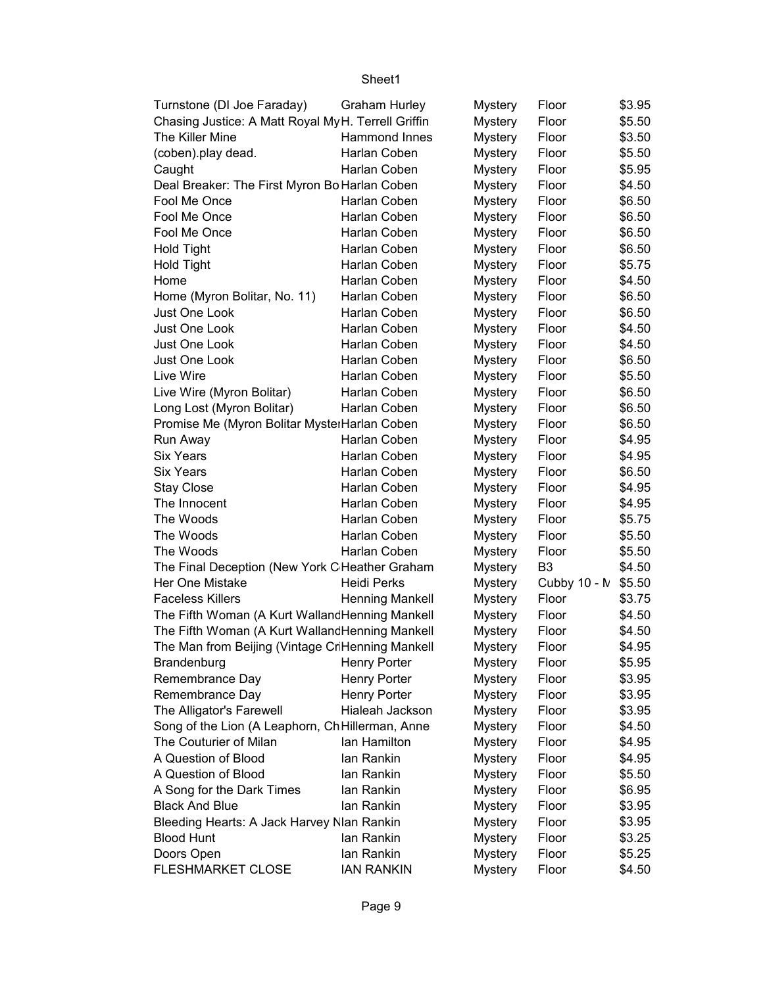| Turnstone (DI Joe Faraday)                          | <b>Graham Hurley</b> | Mystery        | Floor          | \$3.95 |
|-----------------------------------------------------|----------------------|----------------|----------------|--------|
| Chasing Justice: A Matt Royal My H. Terrell Griffin |                      | <b>Mystery</b> | Floor          | \$5.50 |
| The Killer Mine                                     | Hammond Innes        | <b>Mystery</b> | Floor          | \$3.50 |
| (coben).play dead.                                  | Harlan Coben         | <b>Mystery</b> | Floor          | \$5.50 |
| Caught                                              | Harlan Coben         | <b>Mystery</b> | Floor          | \$5.95 |
| Deal Breaker: The First Myron Bo Harlan Coben       |                      | <b>Mystery</b> | Floor          | \$4.50 |
| Fool Me Once                                        | Harlan Coben         | <b>Mystery</b> | Floor          | \$6.50 |
| Fool Me Once                                        | Harlan Coben         | <b>Mystery</b> | Floor          | \$6.50 |
| Fool Me Once                                        | Harlan Coben         | <b>Mystery</b> | Floor          | \$6.50 |
| <b>Hold Tight</b>                                   | Harlan Coben         | <b>Mystery</b> | Floor          | \$6.50 |
| <b>Hold Tight</b>                                   | Harlan Coben         | <b>Mystery</b> | Floor          | \$5.75 |
| Home                                                | Harlan Coben         | <b>Mystery</b> | Floor          | \$4.50 |
| Home (Myron Bolitar, No. 11)                        | Harlan Coben         | <b>Mystery</b> | Floor          | \$6.50 |
| Just One Look                                       | Harlan Coben         | <b>Mystery</b> | Floor          | \$6.50 |
| Just One Look                                       | Harlan Coben         | <b>Mystery</b> | Floor          | \$4.50 |
| Just One Look                                       | Harlan Coben         | <b>Mystery</b> | Floor          | \$4.50 |
| Just One Look                                       | Harlan Coben         | <b>Mystery</b> | Floor          | \$6.50 |
| Live Wire                                           | Harlan Coben         | <b>Mystery</b> | Floor          | \$5.50 |
| Live Wire (Myron Bolitar)                           | Harlan Coben         | <b>Mystery</b> | Floor          | \$6.50 |
| Long Lost (Myron Bolitar)                           | Harlan Coben         | <b>Mystery</b> | Floor          | \$6.50 |
| Promise Me (Myron Bolitar MysterHarlan Coben        |                      | <b>Mystery</b> | Floor          | \$6.50 |
| Run Away                                            | Harlan Coben         | <b>Mystery</b> | Floor          | \$4.95 |
| <b>Six Years</b>                                    | Harlan Coben         | <b>Mystery</b> | Floor          | \$4.95 |
| <b>Six Years</b>                                    | Harlan Coben         | <b>Mystery</b> | Floor          | \$6.50 |
| <b>Stay Close</b>                                   | Harlan Coben         | <b>Mystery</b> | Floor          | \$4.95 |
| The Innocent                                        | Harlan Coben         | <b>Mystery</b> | Floor          | \$4.95 |
| The Woods                                           | Harlan Coben         | <b>Mystery</b> | Floor          | \$5.75 |
| The Woods                                           | Harlan Coben         | <b>Mystery</b> | Floor          | \$5.50 |
| The Woods                                           | Harlan Coben         | <b>Mystery</b> | Floor          | \$5.50 |
| The Final Deception (New York C Heather Graham      |                      | <b>Mystery</b> | B <sub>3</sub> | \$4.50 |
| Her One Mistake                                     | <b>Heidi Perks</b>   | <b>Mystery</b> | Cubby 10 - M   | \$5.50 |
| <b>Faceless Killers</b>                             | Henning Mankell      | <b>Mystery</b> | Floor          | \$3.75 |
| The Fifth Woman (A Kurt Walland Henning Mankell     |                      | <b>Mystery</b> | Floor          | \$4.50 |
| The Fifth Woman (A Kurt Walland Henning Mankell     |                      | <b>Mystery</b> | Floor          | \$4.50 |
| The Man from Beijing (Vintage CriHenning Mankell    |                      | <b>Mystery</b> | Floor          | \$4.95 |
| Brandenburg                                         | <b>Henry Porter</b>  | <b>Mystery</b> | Floor          | \$5.95 |
| Remembrance Day                                     | <b>Henry Porter</b>  | <b>Mystery</b> | Floor          | \$3.95 |
| Remembrance Day                                     | <b>Henry Porter</b>  | <b>Mystery</b> | Floor          | \$3.95 |
| The Alligator's Farewell                            | Hialeah Jackson      | <b>Mystery</b> | Floor          | \$3.95 |
| Song of the Lion (A Leaphorn, Ch Hillerman, Anne    |                      | <b>Mystery</b> | Floor          | \$4.50 |
| The Couturier of Milan                              | lan Hamilton         | <b>Mystery</b> | Floor          | \$4.95 |
| A Question of Blood                                 | lan Rankin           | <b>Mystery</b> | Floor          | \$4.95 |
| A Question of Blood                                 | lan Rankin           | <b>Mystery</b> | Floor          | \$5.50 |
| A Song for the Dark Times                           | lan Rankin           | <b>Mystery</b> | Floor          | \$6.95 |
| <b>Black And Blue</b>                               | lan Rankin           | <b>Mystery</b> | Floor          | \$3.95 |
| Bleeding Hearts: A Jack Harvey Nlan Rankin          |                      | <b>Mystery</b> | Floor          | \$3.95 |
| <b>Blood Hunt</b>                                   | lan Rankin           | <b>Mystery</b> | Floor          | \$3.25 |
| Doors Open                                          | lan Rankin           | <b>Mystery</b> | Floor          | \$5.25 |
| <b>FLESHMARKET CLOSE</b>                            | <b>IAN RANKIN</b>    | <b>Mystery</b> | Floor          | \$4.50 |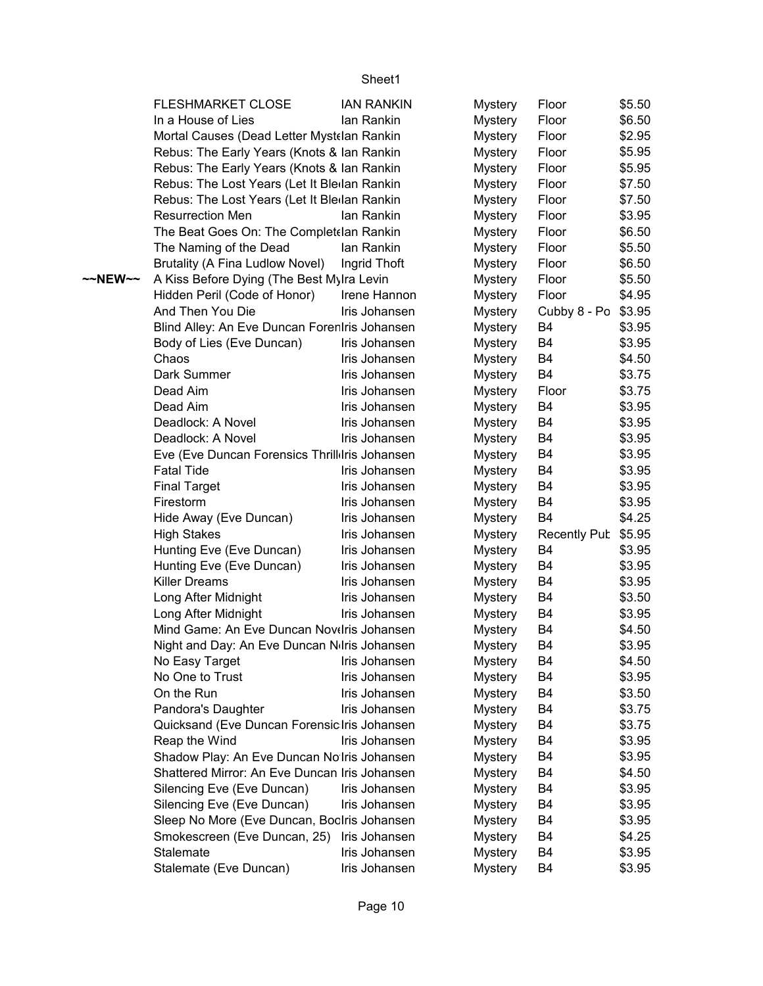|         | <b>FLESHMARKET CLOSE</b>                                                                    | <b>IAN RANKIN</b> | <b>Mystery</b>                   | Floor               | \$5.50           |
|---------|---------------------------------------------------------------------------------------------|-------------------|----------------------------------|---------------------|------------------|
|         | In a House of Lies                                                                          | lan Rankin        | <b>Mystery</b>                   | Floor               | \$6.50           |
|         | Mortal Causes (Dead Letter Mystelan Rankin                                                  |                   | <b>Mystery</b>                   | Floor               | \$2.95           |
|         | Rebus: The Early Years (Knots & Ian Rankin                                                  |                   | <b>Mystery</b>                   | Floor               | \$5.95           |
|         | Rebus: The Early Years (Knots & Ian Rankin                                                  |                   | <b>Mystery</b>                   | Floor               | \$5.95           |
|         | Rebus: The Lost Years (Let It Bledan Rankin                                                 |                   | <b>Mystery</b>                   | Floor               | \$7.50           |
|         | Rebus: The Lost Years (Let It Ble lan Rankin                                                |                   | <b>Mystery</b>                   | Floor               | \$7.50           |
|         | <b>Resurrection Men</b>                                                                     | lan Rankin        | <b>Mystery</b>                   | Floor               | \$3.95           |
|         | The Beat Goes On: The Complet (lan Rankin                                                   |                   | <b>Mystery</b>                   | Floor               | \$6.50           |
|         | The Naming of the Dead                                                                      | lan Rankin        | <b>Mystery</b>                   | Floor               | \$5.50           |
|         | Brutality (A Fina Ludlow Novel)                                                             | Ingrid Thoft      | <b>Mystery</b>                   | Floor               | \$6.50           |
| ~~NEW~~ | A Kiss Before Dying (The Best Mylra Levin                                                   |                   | <b>Mystery</b>                   | Floor               | \$5.50           |
|         | Hidden Peril (Code of Honor)                                                                | Irene Hannon      | <b>Mystery</b>                   | Floor               | \$4.95           |
|         | And Then You Die                                                                            | Iris Johansen     | <b>Mystery</b>                   | Cubby 8 - Po \$3.95 |                  |
|         | Blind Alley: An Eve Duncan Forenlris Johansen                                               |                   | <b>Mystery</b>                   | B4                  | \$3.95           |
|         | Body of Lies (Eve Duncan)                                                                   | Iris Johansen     | <b>Mystery</b>                   | B4                  | \$3.95           |
|         | Chaos                                                                                       | Iris Johansen     | <b>Mystery</b>                   | B4                  | \$4.50           |
|         | Dark Summer                                                                                 | Iris Johansen     | <b>Mystery</b>                   | B4                  | \$3.75           |
|         | Dead Aim                                                                                    | Iris Johansen     | <b>Mystery</b>                   | Floor               | \$3.75           |
|         | Dead Aim                                                                                    | Iris Johansen     | <b>Mystery</b>                   | B4                  | \$3.95           |
|         | Deadlock: A Novel                                                                           | Iris Johansen     | <b>Mystery</b>                   | B4                  | \$3.95           |
|         | Deadlock: A Novel                                                                           | Iris Johansen     | <b>Mystery</b>                   | B4                  | \$3.95           |
|         | Eve (Eve Duncan Forensics Thrilldris Johansen                                               |                   | <b>Mystery</b>                   | B4                  | \$3.95           |
|         | <b>Fatal Tide</b>                                                                           | Iris Johansen     | <b>Mystery</b>                   | B4                  | \$3.95           |
|         | <b>Final Target</b>                                                                         | Iris Johansen     | <b>Mystery</b>                   | B4                  | \$3.95           |
|         | Firestorm                                                                                   | Iris Johansen     | <b>Mystery</b>                   | B <sub>4</sub>      | \$3.95           |
|         | Hide Away (Eve Duncan)                                                                      | Iris Johansen     | <b>Mystery</b>                   | <b>B4</b>           | \$4.25           |
|         | <b>High Stakes</b>                                                                          | Iris Johansen     | <b>Mystery</b>                   | Recently Pub \$5.95 |                  |
|         | Hunting Eve (Eve Duncan)                                                                    | Iris Johansen     | <b>Mystery</b>                   | B4                  | \$3.95           |
|         | Hunting Eve (Eve Duncan)                                                                    | Iris Johansen     | <b>Mystery</b>                   | B4                  | \$3.95           |
|         | <b>Killer Dreams</b>                                                                        | Iris Johansen     | <b>Mystery</b>                   | B4                  | \$3.95           |
|         | Long After Midnight                                                                         | Iris Johansen     | <b>Mystery</b>                   | B4                  | \$3.50           |
|         |                                                                                             | Iris Johansen     |                                  | B4                  |                  |
|         | Long After Midnight<br>Mind Game: An Eve Duncan Novelris Johansen                           |                   | <b>Mystery</b>                   | B <sub>4</sub>      | \$3.95<br>\$4.50 |
|         | Night and Day: An Eve Duncan Nilris Johansen                                                |                   | <b>Mystery</b>                   | B4                  | \$3.95           |
|         | No Easy Target                                                                              | Iris Johansen     | <b>Mystery</b><br><b>Mystery</b> | B4                  | \$4.50           |
|         | No One to Trust                                                                             | Iris Johansen     |                                  | B4                  | \$3.95           |
|         | On the Run                                                                                  | Iris Johansen     | <b>Mystery</b>                   | B4                  | \$3.50           |
|         | Pandora's Daughter                                                                          | Iris Johansen     | <b>Mystery</b>                   | B4                  | \$3.75           |
|         | Quicksand (Eve Duncan Forensic Iris Johansen                                                |                   | <b>Mystery</b>                   | B4                  | \$3.75           |
|         | Reap the Wind                                                                               | Iris Johansen     | <b>Mystery</b>                   | B <sub>4</sub>      | \$3.95           |
|         |                                                                                             |                   | <b>Mystery</b>                   |                     |                  |
|         | Shadow Play: An Eve Duncan Nolris Johansen<br>Shattered Mirror: An Eve Duncan Iris Johansen |                   | <b>Mystery</b>                   | B4                  | \$3.95           |
|         |                                                                                             | Iris Johansen     | <b>Mystery</b>                   | B4                  | \$4.50           |
|         | Silencing Eve (Eve Duncan)                                                                  |                   | <b>Mystery</b>                   | B4                  | \$3.95           |
|         | Silencing Eve (Eve Duncan)                                                                  | Iris Johansen     | <b>Mystery</b>                   | B <sub>4</sub>      | \$3.95           |
|         | Sleep No More (Eve Duncan, BocIris Johansen                                                 |                   | <b>Mystery</b>                   | B4                  | \$3.95           |
|         | Smokescreen (Eve Duncan, 25)                                                                | Iris Johansen     | <b>Mystery</b>                   | B4                  | \$4.25           |
|         | Stalemate                                                                                   | Iris Johansen     | <b>Mystery</b>                   | B4                  | \$3.95           |
|         | Stalemate (Eve Duncan)                                                                      | Iris Johansen     | <b>Mystery</b>                   | B4                  | \$3.95           |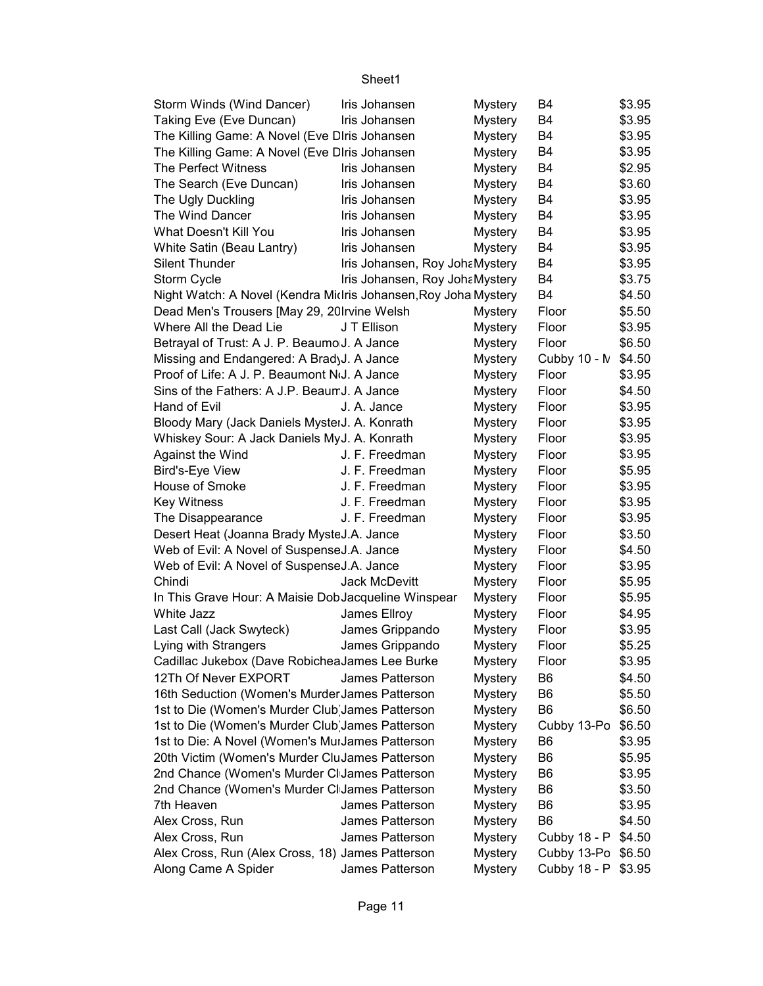| Storm Winds (Wind Dancer)                                              | Iris Johansen                      | <b>Mystery</b> | B4                 | \$3.95 |
|------------------------------------------------------------------------|------------------------------------|----------------|--------------------|--------|
| Taking Eve (Eve Duncan)                                                | Iris Johansen                      | <b>Mystery</b> | B4                 | \$3.95 |
| The Killing Game: A Novel (Eve DIris Johansen                          |                                    | <b>Mystery</b> | B4                 | \$3.95 |
| The Killing Game: A Novel (Eve DIris Johansen                          |                                    | <b>Mystery</b> | B4                 | \$3.95 |
| <b>The Perfect Witness</b>                                             | Iris Johansen                      | <b>Mystery</b> | B4                 | \$2.95 |
| The Search (Eve Duncan)                                                | Iris Johansen                      | <b>Mystery</b> | B <sub>4</sub>     | \$3.60 |
| The Ugly Duckling                                                      | Iris Johansen                      | <b>Mystery</b> | B <sub>4</sub>     | \$3.95 |
| The Wind Dancer                                                        | Iris Johansen                      | <b>Mystery</b> | B4                 | \$3.95 |
| What Doesn't Kill You                                                  | Iris Johansen                      | <b>Mystery</b> | <b>B4</b>          | \$3.95 |
| White Satin (Beau Lantry)                                              | Iris Johansen                      | <b>Mystery</b> | B4                 | \$3.95 |
| <b>Silent Thunder</b>                                                  | Iris Johansen, Roy JohaMystery     |                | B <sub>4</sub>     | \$3.95 |
| <b>Storm Cycle</b>                                                     | Iris Johansen, Roy JohaMystery     |                | B4                 | \$3.75 |
| Night Watch: A Novel (Kendra Midris Johansen, Roy Joha Mystery         |                                    |                | B4                 | \$4.50 |
| Dead Men's Trousers [May 29, 20Irvine Welsh                            |                                    | Mystery        | Floor              | \$5.50 |
| Where All the Dead Lie                                                 | J T Ellison                        | <b>Mystery</b> | Floor              | \$3.95 |
| Betrayal of Trust: A J. P. Beaumo J. A Jance                           |                                    | <b>Mystery</b> | Floor              | \$6.50 |
| Missing and Endangered: A BradyJ. A Jance                              |                                    | <b>Mystery</b> | Cubby 10 - N       | \$4.50 |
| Proof of Life: A J. P. Beaumont NoJ. A Jance                           |                                    | <b>Mystery</b> | Floor              | \$3.95 |
| Sins of the Fathers: A J.P. Beaum J. A Jance                           |                                    | <b>Mystery</b> | Floor              | \$4.50 |
| Hand of Evil                                                           | J. A. Jance                        | <b>Mystery</b> | Floor              | \$3.95 |
| Bloody Mary (Jack Daniels MysterJ. A. Konrath                          |                                    | <b>Mystery</b> | Floor              | \$3.95 |
| Whiskey Sour: A Jack Daniels MyJ. A. Konrath                           |                                    | <b>Mystery</b> | Floor              | \$3.95 |
| Against the Wind                                                       | J. F. Freedman                     | <b>Mystery</b> | Floor              | \$3.95 |
| Bird's-Eye View                                                        | J. F. Freedman                     | <b>Mystery</b> | Floor              | \$5.95 |
| House of Smoke                                                         | J. F. Freedman                     | <b>Mystery</b> | Floor              | \$3.95 |
| <b>Key Witness</b>                                                     | J. F. Freedman                     | <b>Mystery</b> | Floor              | \$3.95 |
| The Disappearance                                                      | J. F. Freedman                     | <b>Mystery</b> | Floor              | \$3.95 |
| Desert Heat (Joanna Brady MysteJ.A. Jance                              |                                    | <b>Mystery</b> | Floor              | \$3.50 |
| Web of Evil: A Novel of SuspenseJ.A. Jance                             |                                    | <b>Mystery</b> | Floor              | \$4.50 |
| Web of Evil: A Novel of SuspenseJ.A. Jance                             |                                    | <b>Mystery</b> | Floor              | \$3.95 |
| Chindi                                                                 | <b>Jack McDevitt</b>               | <b>Mystery</b> | Floor              | \$5.95 |
| In This Grave Hour: A Maisie DobJacqueline Winspear                    |                                    | <b>Mystery</b> | Floor              | \$5.95 |
| White Jazz                                                             | James Ellroy                       |                | Floor              | \$4.95 |
|                                                                        |                                    | <b>Mystery</b> | Floor              | \$3.95 |
| Last Call (Jack Swyteck)<br>Lying with Strangers                       | James Grippando<br>James Grippando | <b>Mystery</b> | Floor              | \$5.25 |
|                                                                        |                                    | <b>Mystery</b> |                    | \$3.95 |
| Cadillac Jukebox (Dave RobicheaJames Lee Burke<br>12Th Of Never EXPORT |                                    | <b>Mystery</b> | Floor              |        |
|                                                                        | James Patterson                    | <b>Mystery</b> | B <sub>6</sub>     | \$4.50 |
| 16th Seduction (Women's Murder James Patterson                         |                                    | <b>Mystery</b> | B <sub>6</sub>     | \$5.50 |
| 1st to Die (Women's Murder Club James Patterson                        |                                    | <b>Mystery</b> | B <sub>6</sub>     | \$6.50 |
| 1st to Die (Women's Murder Club James Patterson                        |                                    | <b>Mystery</b> | Cubby 13-Po        | \$6.50 |
| 1st to Die: A Novel (Women's MuiJames Patterson                        |                                    | <b>Mystery</b> | B <sub>6</sub>     | \$3.95 |
| 20th Victim (Women's Murder CluJames Patterson                         |                                    | <b>Mystery</b> | B <sub>6</sub>     | \$5.95 |
| 2nd Chance (Women's Murder CI James Patterson                          |                                    | <b>Mystery</b> | B <sub>6</sub>     | \$3.95 |
| 2nd Chance (Women's Murder CI James Patterson                          |                                    | <b>Mystery</b> | B <sub>6</sub>     | \$3.50 |
| 7th Heaven                                                             | James Patterson                    | Mystery        | B <sub>6</sub>     | \$3.95 |
| Alex Cross, Run                                                        | James Patterson                    | <b>Mystery</b> | B <sub>6</sub>     | \$4.50 |
| Alex Cross, Run                                                        | James Patterson                    | <b>Mystery</b> | Cubby 18 - P       | \$4.50 |
| Alex Cross, Run (Alex Cross, 18) James Patterson                       |                                    | <b>Mystery</b> | Cubby 13-Po \$6.50 |        |
| Along Came A Spider                                                    | James Patterson                    | <b>Mystery</b> | Cubby 18 - P       | \$3.95 |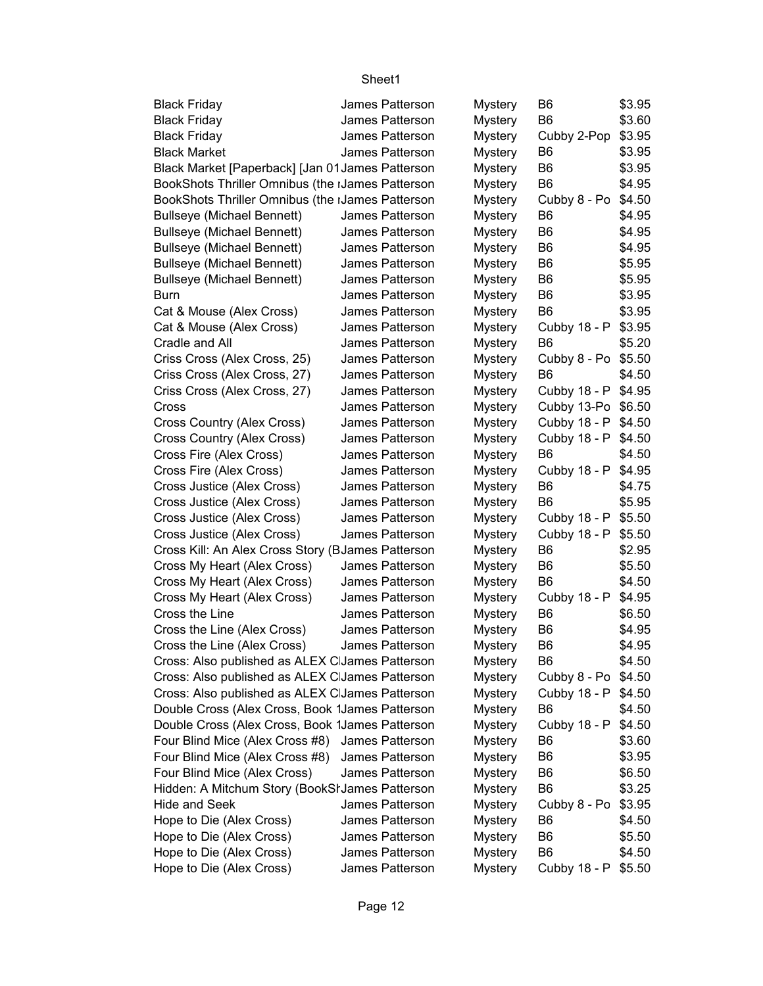| <b>Black Friday</b>                               | James Patterson | <b>Mystery</b> | B <sub>6</sub> | \$3.95 |
|---------------------------------------------------|-----------------|----------------|----------------|--------|
| <b>Black Friday</b>                               | James Patterson | <b>Mystery</b> | B <sub>6</sub> | \$3.60 |
| <b>Black Friday</b>                               | James Patterson | <b>Mystery</b> | Cubby 2-Pop    | \$3.95 |
| <b>Black Market</b>                               | James Patterson | <b>Mystery</b> | B <sub>6</sub> | \$3.95 |
| Black Market [Paperback] [Jan 01 James Patterson  |                 | <b>Mystery</b> | B <sub>6</sub> | \$3.95 |
| BookShots Thriller Omnibus (the IJames Patterson  |                 | <b>Mystery</b> | B <sub>6</sub> | \$4.95 |
| BookShots Thriller Omnibus (the IJames Patterson  |                 | <b>Mystery</b> | Cubby 8 - Po   | \$4.50 |
| <b>Bullseye (Michael Bennett)</b>                 | James Patterson | <b>Mystery</b> | B <sub>6</sub> | \$4.95 |
| <b>Bullseye (Michael Bennett)</b>                 | James Patterson | <b>Mystery</b> | B <sub>6</sub> | \$4.95 |
| <b>Bullseye (Michael Bennett)</b>                 | James Patterson | <b>Mystery</b> | B <sub>6</sub> | \$4.95 |
| <b>Bullseye (Michael Bennett)</b>                 | James Patterson | <b>Mystery</b> | B <sub>6</sub> | \$5.95 |
| <b>Bullseye (Michael Bennett)</b>                 | James Patterson | <b>Mystery</b> | B <sub>6</sub> | \$5.95 |
| Burn                                              | James Patterson | <b>Mystery</b> | B <sub>6</sub> | \$3.95 |
| Cat & Mouse (Alex Cross)                          | James Patterson | <b>Mystery</b> | B <sub>6</sub> | \$3.95 |
| Cat & Mouse (Alex Cross)                          | James Patterson | <b>Mystery</b> | Cubby 18 - P   | \$3.95 |
| Cradle and All                                    | James Patterson | <b>Mystery</b> | B <sub>6</sub> | \$5.20 |
| Criss Cross (Alex Cross, 25)                      | James Patterson | <b>Mystery</b> | Cubby 8 - Po   | \$5.50 |
| Criss Cross (Alex Cross, 27)                      | James Patterson | <b>Mystery</b> | B6             | \$4.50 |
| Criss Cross (Alex Cross, 27)                      | James Patterson | <b>Mystery</b> | Cubby 18 - P   | \$4.95 |
| Cross                                             | James Patterson | <b>Mystery</b> | Cubby 13-Po    | \$6.50 |
| Cross Country (Alex Cross)                        | James Patterson | <b>Mystery</b> | Cubby 18 - P   | \$4.50 |
| Cross Country (Alex Cross)                        | James Patterson | <b>Mystery</b> | Cubby 18 - P   | \$4.50 |
| Cross Fire (Alex Cross)                           | James Patterson | <b>Mystery</b> | B <sub>6</sub> | \$4.50 |
| Cross Fire (Alex Cross)                           | James Patterson | <b>Mystery</b> | Cubby 18 - P   | \$4.95 |
| Cross Justice (Alex Cross)                        | James Patterson | <b>Mystery</b> | B <sub>6</sub> | \$4.75 |
| Cross Justice (Alex Cross)                        | James Patterson | <b>Mystery</b> | B <sub>6</sub> | \$5.95 |
| Cross Justice (Alex Cross)                        | James Patterson |                | Cubby 18 - P   | \$5.50 |
|                                                   | James Patterson | <b>Mystery</b> |                | \$5.50 |
| Cross Justice (Alex Cross)                        |                 | <b>Mystery</b> | Cubby 18 - P   |        |
| Cross Kill: An Alex Cross Story (BJames Patterson |                 | <b>Mystery</b> | B6             | \$2.95 |
| Cross My Heart (Alex Cross)                       | James Patterson | <b>Mystery</b> | B <sub>6</sub> | \$5.50 |
| Cross My Heart (Alex Cross)                       | James Patterson | <b>Mystery</b> | B <sub>6</sub> | \$4.50 |
| Cross My Heart (Alex Cross)                       | James Patterson | <b>Mystery</b> | Cubby 18 - P   | \$4.95 |
| Cross the Line                                    | James Patterson | <b>Mystery</b> | B <sub>6</sub> | \$6.50 |
| Cross the Line (Alex Cross)                       | James Patterson | <b>Mystery</b> | B <sub>6</sub> | \$4.95 |
| Cross the Line (Alex Cross)                       | James Patterson | <b>Mystery</b> | B <sub>6</sub> | \$4.95 |
| Cross: Also published as ALEX CJames Patterson    |                 | Mystery        | B6             | \$4.50 |
| Cross: Also published as ALEX C James Patterson   |                 | <b>Mystery</b> | Cubby 8 - Po   | \$4.50 |
| Cross: Also published as ALEX C James Patterson   |                 | <b>Mystery</b> | Cubby 18 - P   | \$4.50 |
| Double Cross (Alex Cross, Book 1James Patterson   |                 | <b>Mystery</b> | B <sub>6</sub> | \$4.50 |
| Double Cross (Alex Cross, Book 1James Patterson   |                 | <b>Mystery</b> | Cubby 18 - P   | \$4.50 |
| Four Blind Mice (Alex Cross #8)                   | James Patterson | <b>Mystery</b> | B <sub>6</sub> | \$3.60 |
| Four Blind Mice (Alex Cross #8)                   | James Patterson | <b>Mystery</b> | B <sub>6</sub> | \$3.95 |
| Four Blind Mice (Alex Cross)                      | James Patterson | <b>Mystery</b> | B <sub>6</sub> | \$6.50 |
| Hidden: A Mitchum Story (BookSI James Patterson   |                 | <b>Mystery</b> | B <sub>6</sub> | \$3.25 |
| <b>Hide and Seek</b>                              | James Patterson | <b>Mystery</b> | Cubby 8 - Po   | \$3.95 |
| Hope to Die (Alex Cross)                          | James Patterson | <b>Mystery</b> | B <sub>6</sub> | \$4.50 |
| Hope to Die (Alex Cross)                          | James Patterson | <b>Mystery</b> | B <sub>6</sub> | \$5.50 |
| Hope to Die (Alex Cross)                          | James Patterson | <b>Mystery</b> | B <sub>6</sub> | \$4.50 |
| Hope to Die (Alex Cross)                          | James Patterson | <b>Mystery</b> | Cubby 18 - P   | \$5.50 |
|                                                   |                 |                |                |        |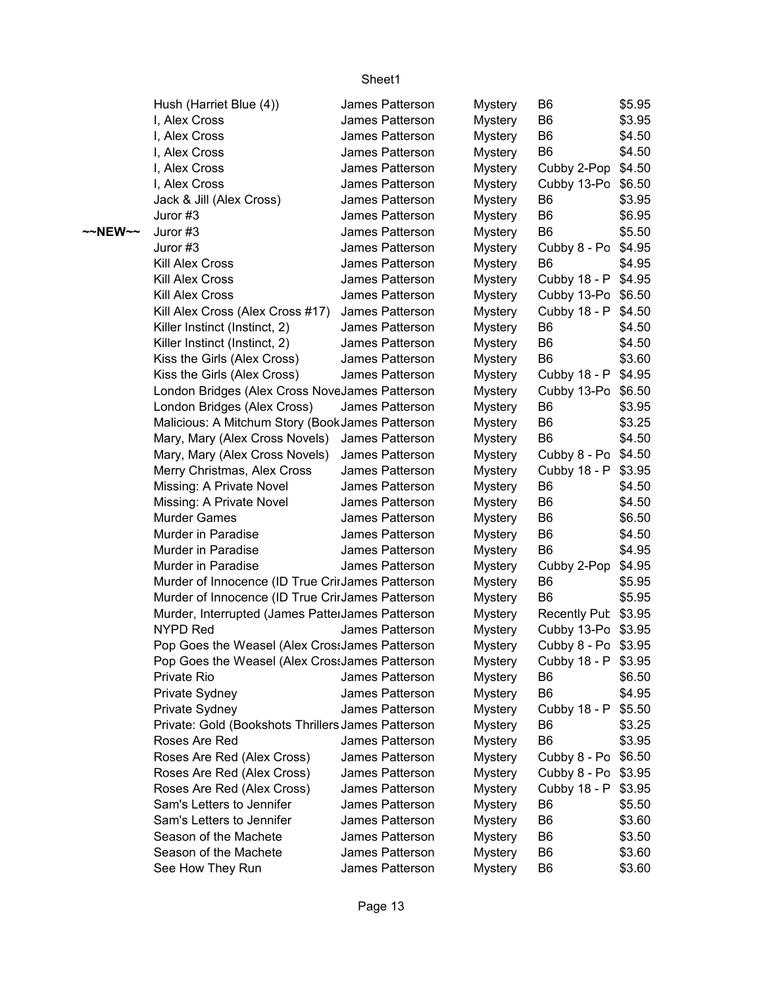|         | Hush (Harriet Blue (4))                            | James Patterson | <b>Mystery</b> | B <sub>6</sub>      | \$5.95 |
|---------|----------------------------------------------------|-----------------|----------------|---------------------|--------|
|         | I, Alex Cross                                      | James Patterson | <b>Mystery</b> | B <sub>6</sub>      | \$3.95 |
|         | I, Alex Cross                                      | James Patterson | <b>Mystery</b> | B <sub>6</sub>      | \$4.50 |
|         | I, Alex Cross                                      | James Patterson | <b>Mystery</b> | B <sub>6</sub>      | \$4.50 |
|         | I, Alex Cross                                      | James Patterson | <b>Mystery</b> | Cubby 2-Pop \$4.50  |        |
|         | I, Alex Cross                                      | James Patterson | <b>Mystery</b> | Cubby 13-Po         | \$6.50 |
|         | Jack & Jill (Alex Cross)                           | James Patterson | <b>Mystery</b> | B <sub>6</sub>      | \$3.95 |
|         | Juror #3                                           | James Patterson | <b>Mystery</b> | B <sub>6</sub>      | \$6.95 |
| ~~NEW~~ | Juror #3                                           | James Patterson | <b>Mystery</b> | B <sub>6</sub>      | \$5.50 |
|         | Juror #3                                           | James Patterson | <b>Mystery</b> | Cubby 8 - Po \$4.95 |        |
|         | <b>Kill Alex Cross</b>                             | James Patterson | <b>Mystery</b> | B <sub>6</sub>      | \$4.95 |
|         | Kill Alex Cross                                    | James Patterson | <b>Mystery</b> | Cubby 18 - P \$4.95 |        |
|         | <b>Kill Alex Cross</b>                             | James Patterson | <b>Mystery</b> | Cubby 13-Po \$6.50  |        |
|         | Kill Alex Cross (Alex Cross #17)                   | James Patterson | <b>Mystery</b> | Cubby 18 - P        | \$4.50 |
|         | Killer Instinct (Instinct, 2)                      | James Patterson | <b>Mystery</b> | B <sub>6</sub>      | \$4.50 |
|         | Killer Instinct (Instinct, 2)                      | James Patterson | <b>Mystery</b> | B <sub>6</sub>      | \$4.50 |
|         | Kiss the Girls (Alex Cross)                        | James Patterson | <b>Mystery</b> | B <sub>6</sub>      | \$3.60 |
|         | Kiss the Girls (Alex Cross)                        | James Patterson | <b>Mystery</b> | Cubby 18 - P \$4.95 |        |
|         | London Bridges (Alex Cross NoveJames Patterson     |                 | <b>Mystery</b> | Cubby 13-Po \$6.50  |        |
|         | London Bridges (Alex Cross)                        | James Patterson | <b>Mystery</b> | B <sub>6</sub>      | \$3.95 |
|         | Malicious: A Mitchum Story (BookJames Patterson    |                 | <b>Mystery</b> | B <sub>6</sub>      | \$3.25 |
|         | Mary, Mary (Alex Cross Novels)                     | James Patterson | <b>Mystery</b> | B <sub>6</sub>      | \$4.50 |
|         | Mary, Mary (Alex Cross Novels)                     | James Patterson | Mystery        | Cubby 8 - Po \$4.50 |        |
|         | Merry Christmas, Alex Cross                        | James Patterson | <b>Mystery</b> | Cubby 18 - P        | \$3.95 |
|         | Missing: A Private Novel                           | James Patterson | Mystery        | B <sub>6</sub>      | \$4.50 |
|         | Missing: A Private Novel                           | James Patterson | <b>Mystery</b> | B <sub>6</sub>      | \$4.50 |
|         | <b>Murder Games</b>                                | James Patterson | <b>Mystery</b> | B <sub>6</sub>      | \$6.50 |
|         | Murder in Paradise                                 | James Patterson | <b>Mystery</b> | B <sub>6</sub>      | \$4.50 |
|         | Murder in Paradise                                 | James Patterson | <b>Mystery</b> | B <sub>6</sub>      | \$4.95 |
|         | Murder in Paradise                                 | James Patterson | <b>Mystery</b> | Cubby 2-Pop         | \$4.95 |
|         | Murder of Innocence (ID True CrirJames Patterson   |                 | <b>Mystery</b> | B <sub>6</sub>      | \$5.95 |
|         | Murder of Innocence (ID True CrirJames Patterson   |                 | <b>Mystery</b> | B <sub>6</sub>      | \$5.95 |
|         | Murder, Interrupted (James PatterJames Patterson   |                 | <b>Mystery</b> | Recently Pub \$3.95 |        |
|         | <b>NYPD Red</b>                                    | James Patterson | <b>Mystery</b> | Cubby 13-Po \$3.95  |        |
|         | Pop Goes the Weasel (Alex Cros: James Patterson    |                 | <b>Mystery</b> | Cubby 8 - Po \$3.95 |        |
|         | Pop Goes the Weasel (Alex Cros: James Patterson    |                 | <b>Mystery</b> | Cubby 18 - P \$3.95 |        |
|         | Private Rio                                        | James Patterson | <b>Mystery</b> | B <sub>6</sub>      | \$6.50 |
|         | Private Sydney                                     | James Patterson | <b>Mystery</b> | B <sub>6</sub>      | \$4.95 |
|         | Private Sydney                                     | James Patterson | <b>Mystery</b> | Cubby 18 - P        | \$5.50 |
|         | Private: Gold (Bookshots Thrillers James Patterson |                 | <b>Mystery</b> | B <sub>6</sub>      | \$3.25 |
|         | Roses Are Red                                      | James Patterson | <b>Mystery</b> | B <sub>6</sub>      | \$3.95 |
|         | Roses Are Red (Alex Cross)                         | James Patterson | <b>Mystery</b> | Cubby 8 - Po \$6.50 |        |
|         | Roses Are Red (Alex Cross)                         | James Patterson | <b>Mystery</b> | Cubby 8 - Po \$3.95 |        |
|         | Roses Are Red (Alex Cross)                         | James Patterson | <b>Mystery</b> | Cubby 18 - P        | \$3.95 |
|         | Sam's Letters to Jennifer                          | James Patterson | <b>Mystery</b> | B <sub>6</sub>      | \$5.50 |
|         | Sam's Letters to Jennifer                          | James Patterson | <b>Mystery</b> | B <sub>6</sub>      | \$3.60 |
|         | Season of the Machete                              | James Patterson | <b>Mystery</b> | B <sub>6</sub>      | \$3.50 |
|         | Season of the Machete                              | James Patterson | <b>Mystery</b> | B <sub>6</sub>      | \$3.60 |
|         | See How They Run                                   | James Patterson | <b>Mystery</b> | B <sub>6</sub>      | \$3.60 |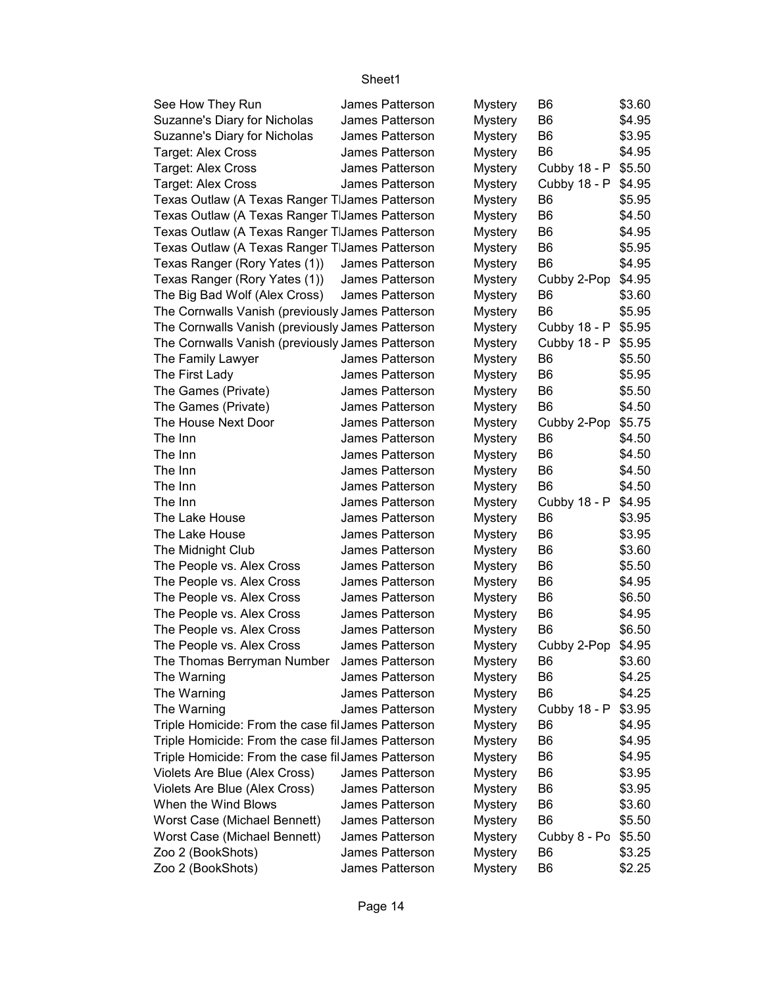| See How They Run                                   | James Patterson | <b>Mystery</b> | B6             | \$3.60 |
|----------------------------------------------------|-----------------|----------------|----------------|--------|
| Suzanne's Diary for Nicholas                       | James Patterson | <b>Mystery</b> | B <sub>6</sub> | \$4.95 |
| Suzanne's Diary for Nicholas                       | James Patterson | <b>Mystery</b> | B <sub>6</sub> | \$3.95 |
| Target: Alex Cross                                 | James Patterson | <b>Mystery</b> | B <sub>6</sub> | \$4.95 |
| <b>Target: Alex Cross</b>                          | James Patterson | <b>Mystery</b> | Cubby 18 - P   | \$5.50 |
| <b>Target: Alex Cross</b>                          | James Patterson | <b>Mystery</b> | Cubby 18 - P   | \$4.95 |
| Texas Outlaw (A Texas Ranger TIJames Patterson     |                 | <b>Mystery</b> | B <sub>6</sub> | \$5.95 |
| Texas Outlaw (A Texas Ranger TIJames Patterson     |                 | <b>Mystery</b> | B <sub>6</sub> | \$4.50 |
| Texas Outlaw (A Texas Ranger TIJames Patterson     |                 | <b>Mystery</b> | B <sub>6</sub> | \$4.95 |
| Texas Outlaw (A Texas Ranger TIJames Patterson     |                 | <b>Mystery</b> | B <sub>6</sub> | \$5.95 |
| Texas Ranger (Rory Yates (1))                      | James Patterson | <b>Mystery</b> | B <sub>6</sub> | \$4.95 |
| Texas Ranger (Rory Yates (1))                      | James Patterson | <b>Mystery</b> | Cubby 2-Pop    | \$4.95 |
| The Big Bad Wolf (Alex Cross)                      | James Patterson | <b>Mystery</b> | B <sub>6</sub> | \$3.60 |
| The Cornwalls Vanish (previously James Patterson   |                 | <b>Mystery</b> | B <sub>6</sub> | \$5.95 |
| The Cornwalls Vanish (previously James Patterson   |                 | Mystery        | Cubby 18 - P   | \$5.95 |
| The Cornwalls Vanish (previously James Patterson   |                 | <b>Mystery</b> | Cubby 18 - P   | \$5.95 |
| The Family Lawyer                                  | James Patterson | <b>Mystery</b> | B <sub>6</sub> | \$5.50 |
| The First Lady                                     | James Patterson | <b>Mystery</b> | B <sub>6</sub> | \$5.95 |
| The Games (Private)                                | James Patterson | <b>Mystery</b> | B <sub>6</sub> | \$5.50 |
| The Games (Private)                                | James Patterson | <b>Mystery</b> | B <sub>6</sub> | \$4.50 |
| The House Next Door                                | James Patterson | <b>Mystery</b> | Cubby 2-Pop    | \$5.75 |
| The Inn                                            | James Patterson | <b>Mystery</b> | B <sub>6</sub> | \$4.50 |
| The Inn                                            | James Patterson | <b>Mystery</b> | B <sub>6</sub> | \$4.50 |
| The Inn                                            | James Patterson | <b>Mystery</b> | B <sub>6</sub> | \$4.50 |
| The Inn                                            | James Patterson | <b>Mystery</b> | B <sub>6</sub> | \$4.50 |
| The Inn                                            | James Patterson | <b>Mystery</b> | Cubby 18 - P   | \$4.95 |
| The Lake House                                     | James Patterson | Mystery        | B <sub>6</sub> | \$3.95 |
| The Lake House                                     | James Patterson | <b>Mystery</b> | B <sub>6</sub> | \$3.95 |
| The Midnight Club                                  | James Patterson | Mystery        | B <sub>6</sub> | \$3.60 |
| The People vs. Alex Cross                          | James Patterson | Mystery        | B <sub>6</sub> | \$5.50 |
| The People vs. Alex Cross                          | James Patterson | Mystery        | B <sub>6</sub> | \$4.95 |
| The People vs. Alex Cross                          | James Patterson | <b>Mystery</b> | B <sub>6</sub> | \$6.50 |
| The People vs. Alex Cross                          | James Patterson | <b>Mystery</b> | B <sub>6</sub> | \$4.95 |
| The People vs. Alex Cross                          | James Patterson | <b>Mystery</b> | B <sub>6</sub> | \$6.50 |
| The People vs. Alex Cross                          | James Patterson | <b>Mystery</b> | Cubby 2-Pop    | \$4.95 |
| The Thomas Berryman Number                         | James Patterson | <b>Mystery</b> | B <sub>6</sub> | \$3.60 |
| The Warning                                        | James Patterson | <b>Mystery</b> | B <sub>6</sub> | \$4.25 |
| The Warning                                        | James Patterson | <b>Mystery</b> | B <sub>6</sub> | \$4.25 |
| The Warning                                        | James Patterson | <b>Mystery</b> | Cubby 18 - P   | \$3.95 |
| Triple Homicide: From the case fil James Patterson |                 | <b>Mystery</b> | B6             | \$4.95 |
| Triple Homicide: From the case fil James Patterson |                 | <b>Mystery</b> | B <sub>6</sub> | \$4.95 |
| Triple Homicide: From the case fil James Patterson |                 | <b>Mystery</b> | B <sub>6</sub> | \$4.95 |
| Violets Are Blue (Alex Cross)                      | James Patterson | <b>Mystery</b> | B6             | \$3.95 |
| Violets Are Blue (Alex Cross)                      | James Patterson | <b>Mystery</b> | B <sub>6</sub> | \$3.95 |
| When the Wind Blows                                | James Patterson | <b>Mystery</b> | B <sub>6</sub> | \$3.60 |
| Worst Case (Michael Bennett)                       | James Patterson | <b>Mystery</b> | B <sub>6</sub> | \$5.50 |
| Worst Case (Michael Bennett)                       | James Patterson | <b>Mystery</b> | Cubby 8 - Po   | \$5.50 |
| Zoo 2 (BookShots)                                  | James Patterson | Mystery        | B <sub>6</sub> | \$3.25 |
| Zoo 2 (BookShots)                                  | James Patterson | <b>Mystery</b> | B <sub>6</sub> | \$2.25 |
|                                                    |                 |                |                |        |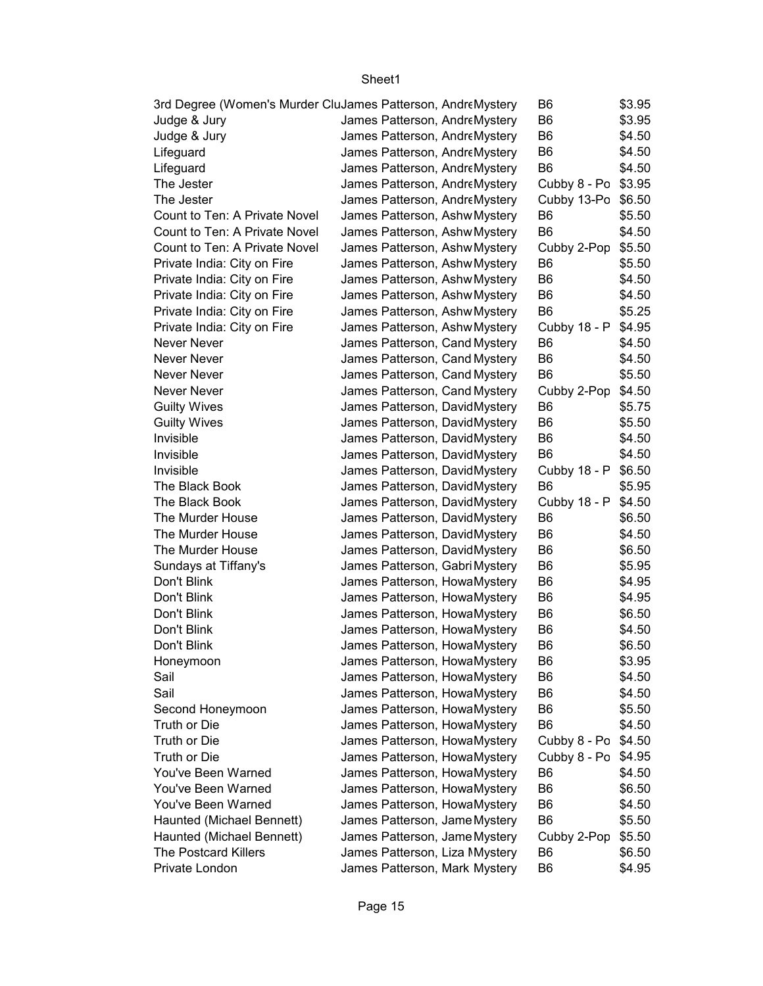| 3rd Degree (Women's Murder CluJames Patterson, AndreMystery |                                | B6                  | \$3.95 |
|-------------------------------------------------------------|--------------------------------|---------------------|--------|
| Judge & Jury                                                | James Patterson, AndreMystery  | B <sub>6</sub>      | \$3.95 |
| Judge & Jury                                                | James Patterson, AndreMystery  | B <sub>6</sub>      | \$4.50 |
| Lifeguard                                                   | James Patterson, AndreMystery  | B <sub>6</sub>      | \$4.50 |
| Lifeguard                                                   | James Patterson, AndreMystery  | B <sub>6</sub>      | \$4.50 |
| The Jester                                                  | James Patterson, AndreMystery  | Cubby 8 - Po \$3.95 |        |
| The Jester                                                  | James Patterson, AndreMystery  | Cubby 13-Po \$6.50  |        |
| Count to Ten: A Private Novel                               | James Patterson, Ashw Mystery  | B <sub>6</sub>      | \$5.50 |
| Count to Ten: A Private Novel                               | James Patterson, Ashw Mystery  | B <sub>6</sub>      | \$4.50 |
| Count to Ten: A Private Novel                               | James Patterson, Ashw Mystery  | Cubby 2-Pop         | \$5.50 |
| Private India: City on Fire                                 | James Patterson, Ashw Mystery  | B <sub>6</sub>      | \$5.50 |
| Private India: City on Fire                                 | James Patterson, Ashw Mystery  | B <sub>6</sub>      | \$4.50 |
| Private India: City on Fire                                 | James Patterson, Ashw Mystery  | B <sub>6</sub>      | \$4.50 |
| Private India: City on Fire                                 | James Patterson, Ashw Mystery  | B <sub>6</sub>      | \$5.25 |
| Private India: City on Fire                                 | James Patterson, Ashw Mystery  | Cubby 18 - P \$4.95 |        |
| Never Never                                                 | James Patterson, Cand Mystery  | B <sub>6</sub>      | \$4.50 |
| Never Never                                                 | James Patterson, Cand Mystery  | B <sub>6</sub>      | \$4.50 |
| Never Never                                                 | James Patterson, Cand Mystery  | B <sub>6</sub>      | \$5.50 |
| Never Never                                                 | James Patterson, Cand Mystery  | Cubby 2-Pop         | \$4.50 |
| <b>Guilty Wives</b>                                         | James Patterson, DavidMystery  | B <sub>6</sub>      | \$5.75 |
| <b>Guilty Wives</b>                                         | James Patterson, DavidMystery  | B <sub>6</sub>      | \$5.50 |
| Invisible                                                   | James Patterson, DavidMystery  | B <sub>6</sub>      | \$4.50 |
| Invisible                                                   | James Patterson, DavidMystery  | B <sub>6</sub>      | \$4.50 |
| Invisible                                                   | James Patterson, DavidMystery  | Cubby 18 - P \$6.50 |        |
| The Black Book                                              | James Patterson, DavidMystery  | B <sub>6</sub>      | \$5.95 |
| The Black Book                                              | James Patterson, DavidMystery  | Cubby 18 - P        | \$4.50 |
| The Murder House                                            | James Patterson, DavidMystery  | B <sub>6</sub>      | \$6.50 |
| The Murder House                                            | James Patterson, DavidMystery  | B <sub>6</sub>      | \$4.50 |
| The Murder House                                            | James Patterson, DavidMystery  | B <sub>6</sub>      | \$6.50 |
| Sundays at Tiffany's                                        | James Patterson, Gabri Mystery | B <sub>6</sub>      | \$5.95 |
| Don't Blink                                                 | James Patterson, HowaMystery   | B <sub>6</sub>      | \$4.95 |
| Don't Blink                                                 | James Patterson, HowaMystery   | B <sub>6</sub>      | \$4.95 |
| Don't Blink                                                 | James Patterson, HowaMystery   | B <sub>6</sub>      | \$6.50 |
| Don't Blink                                                 | James Patterson, HowaMystery   | B <sub>6</sub>      | \$4.50 |
| Don't Blink                                                 | James Patterson, HowaMystery   | B <sub>6</sub>      | \$6.50 |
| Honeymoon                                                   | James Patterson, HowaMystery   | B6                  | \$3.95 |
| Sail                                                        | James Patterson, HowaMystery   | B <sub>6</sub>      | \$4.50 |
| Sail                                                        | James Patterson, HowaMystery   | B <sub>6</sub>      | \$4.50 |
| Second Honeymoon                                            | James Patterson, HowaMystery   | B <sub>6</sub>      | \$5.50 |
| Truth or Die                                                | James Patterson, HowaMystery   | B <sub>6</sub>      | \$4.50 |
| Truth or Die                                                | James Patterson, HowaMystery   | Cubby 8 - Po        | \$4.50 |
| Truth or Die                                                | James Patterson, HowaMystery   | Cubby 8 - Po        | \$4.95 |
| You've Been Warned                                          | James Patterson, HowaMystery   | B <sub>6</sub>      | \$4.50 |
| You've Been Warned                                          | James Patterson, HowaMystery   | B <sub>6</sub>      | \$6.50 |
| You've Been Warned                                          | James Patterson, HowaMystery   | B6                  | \$4.50 |
| Haunted (Michael Bennett)                                   | James Patterson, Jame Mystery  | B <sub>6</sub>      | \$5.50 |
| Haunted (Michael Bennett)                                   | James Patterson, Jame Mystery  | Cubby 2-Pop         | \$5.50 |
| <b>The Postcard Killers</b>                                 | James Patterson, Liza Mystery  | B6                  | \$6.50 |
| Private London                                              | James Patterson, Mark Mystery  | B <sub>6</sub>      | \$4.95 |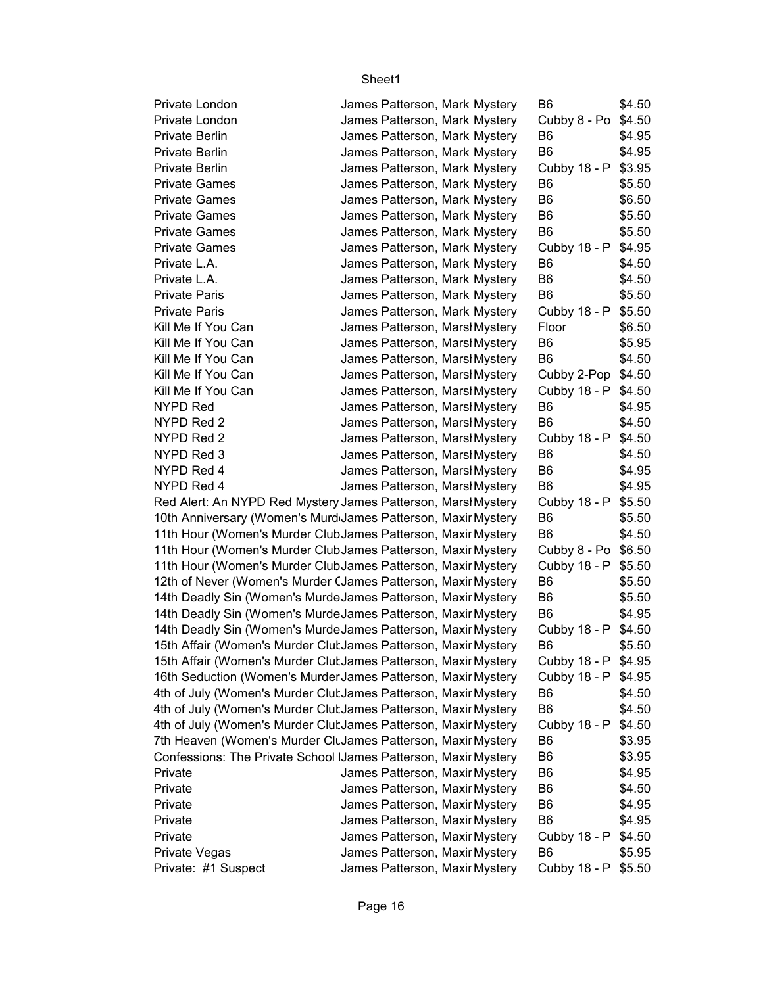|                                                                 |  |                                                                | B6                                    | \$4.50 |
|-----------------------------------------------------------------|--|----------------------------------------------------------------|---------------------------------------|--------|
| Private London<br>Private London                                |  | James Patterson, Mark Mystery<br>James Patterson, Mark Mystery |                                       |        |
| <b>Private Berlin</b>                                           |  |                                                                | Cubby 8 - Po \$4.50<br>B <sub>6</sub> |        |
|                                                                 |  | James Patterson, Mark Mystery                                  | B <sub>6</sub>                        | \$4.95 |
| Private Berlin                                                  |  | James Patterson, Mark Mystery                                  |                                       | \$4.95 |
| Private Berlin                                                  |  | James Patterson, Mark Mystery                                  | Cubby 18 - P \$3.95<br>B <sub>6</sub> |        |
| <b>Private Games</b>                                            |  | James Patterson, Mark Mystery                                  |                                       | \$5.50 |
| <b>Private Games</b>                                            |  | James Patterson, Mark Mystery                                  | B <sub>6</sub>                        | \$6.50 |
| <b>Private Games</b>                                            |  | James Patterson, Mark Mystery                                  | B <sub>6</sub>                        | \$5.50 |
| <b>Private Games</b>                                            |  | James Patterson, Mark Mystery                                  | B <sub>6</sub>                        | \$5.50 |
| <b>Private Games</b>                                            |  | James Patterson, Mark Mystery                                  | Cubby 18 - P \$4.95                   |        |
| Private L.A.                                                    |  | James Patterson, Mark Mystery                                  | B <sub>6</sub>                        | \$4.50 |
| Private L.A.                                                    |  | James Patterson, Mark Mystery                                  | B <sub>6</sub>                        | \$4.50 |
| <b>Private Paris</b>                                            |  | James Patterson, Mark Mystery                                  | B <sub>6</sub>                        | \$5.50 |
| <b>Private Paris</b>                                            |  | James Patterson, Mark Mystery                                  | Cubby 18 - P \$5.50                   |        |
| Kill Me If You Can                                              |  | James Patterson, Marsł Mystery                                 | Floor                                 | \$6.50 |
| Kill Me If You Can                                              |  | James Patterson, Marsł Mystery                                 | B <sub>6</sub>                        | \$5.95 |
| Kill Me If You Can                                              |  | James Patterson, Marsł Mystery                                 | B <sub>6</sub>                        | \$4.50 |
| Kill Me If You Can                                              |  | James Patterson, Marsl Mystery                                 | Cubby 2-Pop \$4.50                    |        |
| Kill Me If You Can                                              |  | James Patterson, MarshMystery                                  | Cubby 18 - P \$4.50                   |        |
| NYPD Red                                                        |  | James Patterson, Marsł Mystery                                 | B <sub>6</sub>                        | \$4.95 |
| NYPD Red 2                                                      |  | James Patterson, Marsł Mystery                                 | B <sub>6</sub>                        | \$4.50 |
| NYPD Red 2                                                      |  | James Patterson, MarshMystery                                  | Cubby 18 - P \$4.50                   |        |
| NYPD Red 3                                                      |  | James Patterson, Marsł Mystery                                 | B <sub>6</sub>                        | \$4.50 |
| NYPD Red 4                                                      |  | James Patterson, Marsł Mystery                                 | B <sub>6</sub>                        | \$4.95 |
| NYPD Red 4                                                      |  | James Patterson, Marsł Mystery                                 | B <sub>6</sub>                        | \$4.95 |
| Red Alert: An NYPD Red Mystery James Patterson, MarshMystery    |  |                                                                | Cubby 18 - P \$5.50                   |        |
| 10th Anniversary (Women's Murd James Patterson, Maxir Mystery   |  |                                                                | B <sub>6</sub>                        | \$5.50 |
| 11th Hour (Women's Murder ClubJames Patterson, Maxir Mystery    |  |                                                                | B <sub>6</sub>                        | \$4.50 |
| 11th Hour (Women's Murder ClubJames Patterson, Maxir Mystery    |  |                                                                | Cubby 8 - Po \$6.50                   |        |
| 11th Hour (Women's Murder ClubJames Patterson, Maxir Mystery    |  |                                                                | Cubby 18 - P \$5.50                   |        |
| 12th of Never (Women's Murder CJames Patterson, Maxir Mystery   |  |                                                                | B6                                    | \$5.50 |
| 14th Deadly Sin (Women's MurdeJames Patterson, Maxir Mystery    |  |                                                                | B <sub>6</sub>                        | \$5.50 |
| 14th Deadly Sin (Women's MurdeJames Patterson, Maxir Mystery    |  |                                                                | B <sub>6</sub>                        | \$4.95 |
| 14th Deadly Sin (Women's MurdeJames Patterson, Maxir Mystery    |  |                                                                | Cubby 18 - P \$4.50                   |        |
| 15th Affair (Women's Murder Clut James Patterson, Maxir Mystery |  |                                                                | B <sub>6</sub>                        | \$5.50 |
| 15th Affair (Women's Murder Clut James Patterson, Maxir Mystery |  |                                                                | Cubby 18 - P \$4.95                   |        |
| 16th Seduction (Women's Murder James Patterson, Maxir Mystery   |  |                                                                | Cubby 18 - P \$4.95                   |        |
| 4th of July (Women's Murder Clut James Patterson, Maxir Mystery |  |                                                                | B <sub>6</sub>                        | \$4.50 |
| 4th of July (Women's Murder Clut James Patterson, Maxir Mystery |  |                                                                | B <sub>6</sub>                        | \$4.50 |
| 4th of July (Women's Murder Clut James Patterson, Maxir Mystery |  |                                                                | Cubby 18 - P                          | \$4.50 |
| 7th Heaven (Women's Murder CluJames Patterson, Maxir Mystery    |  |                                                                | B <sub>6</sub>                        | \$3.95 |
| Confessions: The Private School IJames Patterson, Maxir Mystery |  |                                                                | B <sub>6</sub>                        | \$3.95 |
| Private                                                         |  | James Patterson, Maxir Mystery                                 | B6                                    | \$4.95 |
| Private                                                         |  | James Patterson, Maxir Mystery                                 | B <sub>6</sub>                        | \$4.50 |
| Private                                                         |  | James Patterson, Maxir Mystery                                 | B <sub>6</sub>                        | \$4.95 |
| Private                                                         |  | James Patterson, Maxir Mystery                                 | B <sub>6</sub>                        | \$4.95 |
| Private                                                         |  | James Patterson, Maxir Mystery                                 | Cubby 18 - P                          | \$4.50 |
| Private Vegas                                                   |  | James Patterson, Maxir Mystery                                 | B <sub>6</sub>                        | \$5.95 |
| Private: #1 Suspect                                             |  | James Patterson, Maxir Mystery                                 | Cubby 18 - P \$5.50                   |        |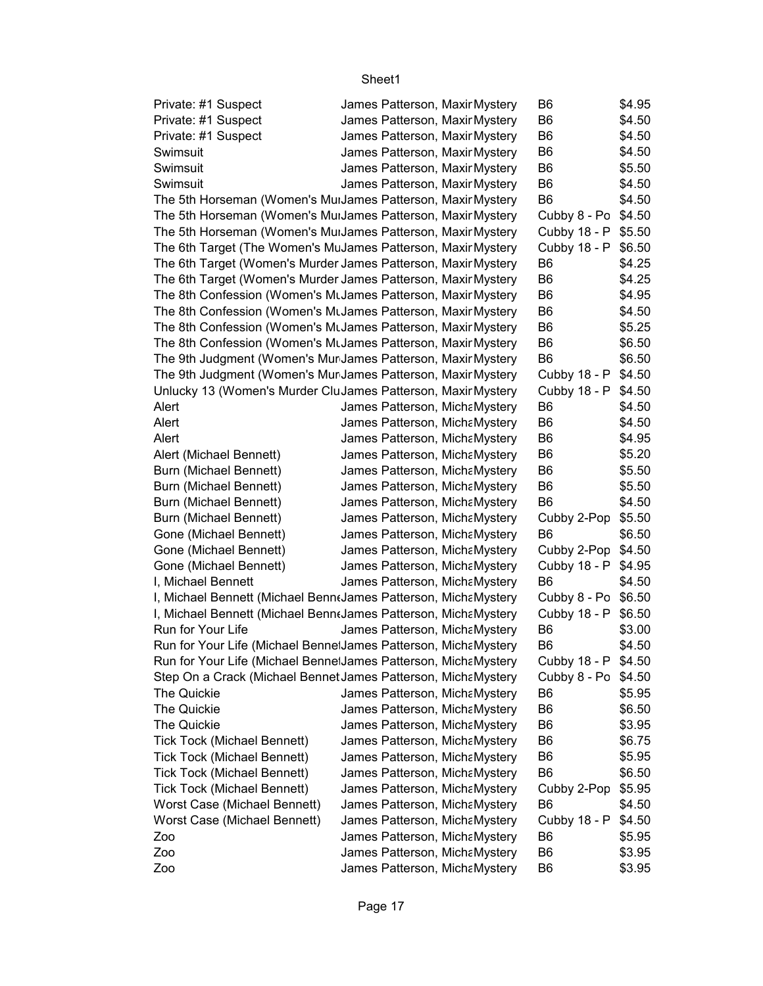| Private: #1 Suspect                                              |  | James Patterson, Maxir Mystery | B6                  | \$4.95 |
|------------------------------------------------------------------|--|--------------------------------|---------------------|--------|
| Private: #1 Suspect                                              |  | James Patterson, Maxir Mystery | B <sub>6</sub>      | \$4.50 |
| Private: #1 Suspect                                              |  | James Patterson, Maxir Mystery | B <sub>6</sub>      | \$4.50 |
| Swimsuit                                                         |  | James Patterson, Maxir Mystery | B <sub>6</sub>      | \$4.50 |
| Swimsuit                                                         |  | James Patterson, Maxir Mystery | B <sub>6</sub>      | \$5.50 |
| Swimsuit                                                         |  | James Patterson, Maxir Mystery | B <sub>6</sub>      | \$4.50 |
| The 5th Horseman (Women's MuiJames Patterson, Maxir Mystery      |  |                                | B <sub>6</sub>      | \$4.50 |
| The 5th Horseman (Women's MuiJames Patterson, Maxir Mystery      |  |                                | Cubby 8 - Po        | \$4.50 |
| The 5th Horseman (Women's MuiJames Patterson, Maxir Mystery      |  |                                | Cubby 18 - P        | \$5.50 |
| The 6th Target (The Women's MuJames Patterson, Maxir Mystery     |  |                                | Cubby 18 - P        | \$6.50 |
| The 6th Target (Women's Murder James Patterson, Maxir Mystery    |  |                                | B <sub>6</sub>      | \$4.25 |
| The 6th Target (Women's Murder James Patterson, Maxir Mystery    |  |                                | B <sub>6</sub>      | \$4.25 |
| The 8th Confession (Women's MtJames Patterson, Maxir Mystery     |  |                                | B <sub>6</sub>      | \$4.95 |
| The 8th Confession (Women's MtJames Patterson, Maxir Mystery     |  |                                | B <sub>6</sub>      | \$4.50 |
| The 8th Confession (Women's MtJames Patterson, Maxir Mystery     |  |                                | B <sub>6</sub>      | \$5.25 |
| The 8th Confession (Women's MuJames Patterson, Maxir Mystery     |  |                                | B <sub>6</sub>      | \$6.50 |
| The 9th Judgment (Women's Mur James Patterson, Maxir Mystery     |  |                                | B <sub>6</sub>      | \$6.50 |
| The 9th Judgment (Women's Mur James Patterson, Maxir Mystery     |  |                                | Cubby 18 - P        | \$4.50 |
| Unlucky 13 (Women's Murder CluJames Patterson, Maxir Mystery     |  |                                | Cubby 18 - P        | \$4.50 |
| Alert                                                            |  | James Patterson, MichaMystery  | B <sub>6</sub>      | \$4.50 |
| Alert                                                            |  | James Patterson, MichaMystery  | B <sub>6</sub>      | \$4.50 |
| Alert                                                            |  | James Patterson, MichaMystery  | B <sub>6</sub>      | \$4.95 |
| Alert (Michael Bennett)                                          |  | James Patterson, MichaMystery  | B <sub>6</sub>      | \$5.20 |
| Burn (Michael Bennett)                                           |  | James Patterson, MichaMystery  | B <sub>6</sub>      | \$5.50 |
| Burn (Michael Bennett)                                           |  | James Patterson, MichaMystery  | B <sub>6</sub>      | \$5.50 |
| Burn (Michael Bennett)                                           |  | James Patterson, MichaMystery  | B <sub>6</sub>      | \$4.50 |
| Burn (Michael Bennett)                                           |  | James Patterson, MichaMystery  | Cubby 2-Pop \$5.50  |        |
| Gone (Michael Bennett)                                           |  | James Patterson, MichaMystery  | B <sub>6</sub>      | \$6.50 |
| Gone (Michael Bennett)                                           |  | James Patterson, MichaMystery  | Cubby 2-Pop         | \$4.50 |
| Gone (Michael Bennett)                                           |  | James Patterson, MichaMystery  | Cubby 18 - P        | \$4.95 |
| I, Michael Bennett                                               |  | James Patterson, MichaMystery  | B <sub>6</sub>      | \$4.50 |
| I, Michael Bennett (Michael Bennt James Patterson, Micha Mystery |  |                                | Cubby 8 - Po        | \$6.50 |
| I, Michael Bennett (Michael BenntJames Patterson, MichaMystery   |  |                                | Cubby 18 - P        | \$6.50 |
| Run for Your Life                                                |  | James Patterson, MichaMystery  | B <sub>6</sub>      | \$3.00 |
| Run for Your Life (Michael Benne James Patterson, Micha Mystery  |  |                                | B <sub>6</sub>      | \$4.50 |
| Run for Your Life (Michael BennetJames Patterson, MichaMystery   |  |                                | Cubby 18 - P \$4.50 |        |
| Step On a Crack (Michael Bennet James Patterson, MichaMystery    |  |                                | Cubby 8 - Po \$4.50 |        |
| The Quickie                                                      |  | James Patterson, MichaMystery  | B6                  | \$5.95 |
| The Quickie                                                      |  | James Patterson, MichaMystery  | B <sub>6</sub>      | \$6.50 |
| The Quickie                                                      |  | James Patterson, MichaMystery  | B6                  | \$3.95 |
| <b>Tick Tock (Michael Bennett)</b>                               |  | James Patterson, MichaMystery  | B <sub>6</sub>      | \$6.75 |
| Tick Tock (Michael Bennett)                                      |  | James Patterson, MichaMystery  | B <sub>6</sub>      | \$5.95 |
| Tick Tock (Michael Bennett)                                      |  | James Patterson, MichaMystery  | B <sub>6</sub>      | \$6.50 |
| Tick Tock (Michael Bennett)                                      |  | James Patterson, MichaMystery  | Cubby 2-Pop         | \$5.95 |
| Worst Case (Michael Bennett)                                     |  | James Patterson, MichaMystery  | B <sub>6</sub>      | \$4.50 |
| Worst Case (Michael Bennett)                                     |  | James Patterson, MichaMystery  | Cubby 18 - P        | \$4.50 |
| Zoo                                                              |  | James Patterson, MichaMystery  | B6                  | \$5.95 |
| Zoo                                                              |  | James Patterson, MichaMystery  | B <sub>6</sub>      | \$3.95 |
| Zoo                                                              |  | James Patterson, MichaMystery  | B6                  | \$3.95 |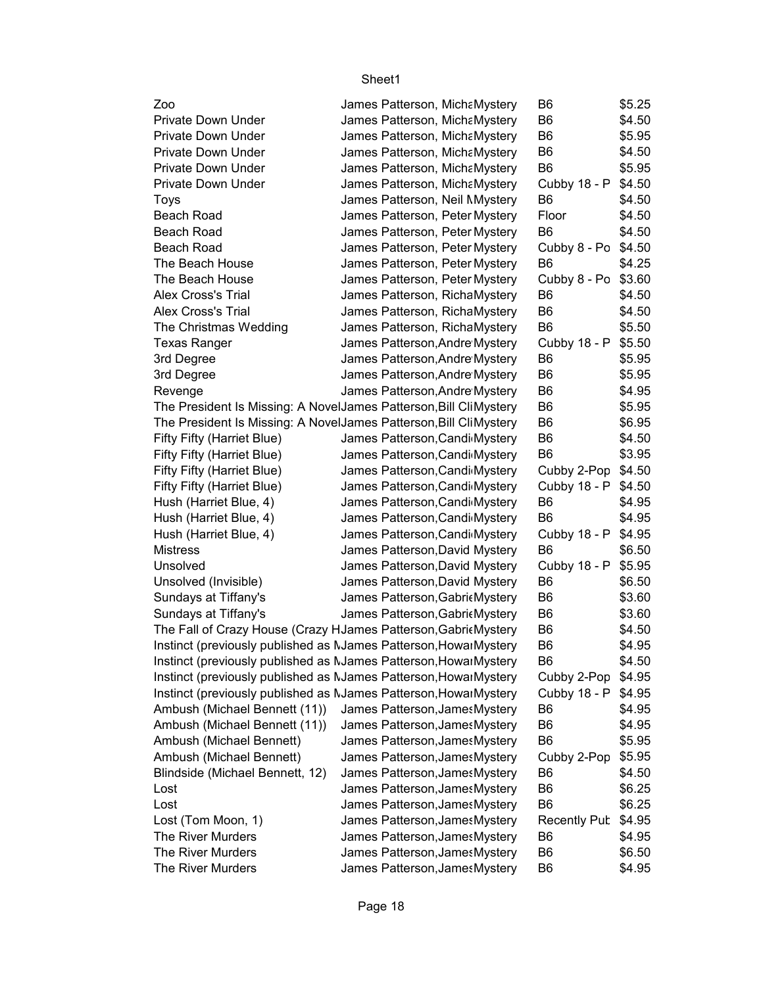| Zoo                                                               | James Patterson, MichaMystery  | B6                  | \$5.25 |
|-------------------------------------------------------------------|--------------------------------|---------------------|--------|
| <b>Private Down Under</b>                                         | James Patterson, MichaMystery  | B <sub>6</sub>      | \$4.50 |
| <b>Private Down Under</b>                                         | James Patterson, MichaMystery  | B <sub>6</sub>      | \$5.95 |
| <b>Private Down Under</b>                                         | James Patterson, MichaMystery  | B <sub>6</sub>      | \$4.50 |
| Private Down Under                                                | James Patterson, MichaMystery  | B <sub>6</sub>      | \$5.95 |
| <b>Private Down Under</b>                                         | James Patterson, MichaMystery  | Cubby 18 - P        | \$4.50 |
| Toys                                                              | James Patterson, Neil Mystery  | B <sub>6</sub>      | \$4.50 |
| Beach Road                                                        | James Patterson, Peter Mystery | Floor               | \$4.50 |
| Beach Road                                                        | James Patterson, Peter Mystery | B <sub>6</sub>      | \$4.50 |
| <b>Beach Road</b>                                                 | James Patterson, Peter Mystery | Cubby 8 - Po        | \$4.50 |
| The Beach House                                                   | James Patterson, Peter Mystery | B <sub>6</sub>      | \$4.25 |
| The Beach House                                                   | James Patterson, Peter Mystery | Cubby 8 - Po \$3.60 |        |
| Alex Cross's Trial                                                | James Patterson, RichaMystery  | B <sub>6</sub>      | \$4.50 |
| Alex Cross's Trial                                                | James Patterson, RichaMystery  | B <sub>6</sub>      | \$4.50 |
| The Christmas Wedding                                             | James Patterson, RichaMystery  | B <sub>6</sub>      | \$5.50 |
| <b>Texas Ranger</b>                                               | James Patterson, Andre Mystery | Cubby 18 - P        | \$5.50 |
| 3rd Degree                                                        | James Patterson, Andre Mystery | B <sub>6</sub>      | \$5.95 |
| 3rd Degree                                                        | James Patterson, Andre Mystery | B <sub>6</sub>      | \$5.95 |
| Revenge                                                           | James Patterson, Andre Mystery | B <sub>6</sub>      | \$4.95 |
| The President Is Missing: A NovelJames Patterson, Bill CliMystery |                                | B <sub>6</sub>      | \$5.95 |
| The President Is Missing: A NovelJames Patterson, Bill CliMystery |                                | B <sub>6</sub>      | \$6.95 |
| Fifty Fifty (Harriet Blue)                                        | James Patterson, Candi Mystery | B <sub>6</sub>      | \$4.50 |
| Fifty Fifty (Harriet Blue)                                        | James Patterson, Candi Mystery | B <sub>6</sub>      | \$3.95 |
| Fifty Fifty (Harriet Blue)                                        | James Patterson, Candi Mystery | Cubby 2-Pop         | \$4.50 |
| Fifty Fifty (Harriet Blue)                                        | James Patterson, Candi Mystery | Cubby 18 - P        | \$4.50 |
| Hush (Harriet Blue, 4)                                            | James Patterson, Candi Mystery | B <sub>6</sub>      | \$4.95 |
| Hush (Harriet Blue, 4)                                            | James Patterson, Candi Mystery | B <sub>6</sub>      | \$4.95 |
| Hush (Harriet Blue, 4)                                            | James Patterson, Candi Mystery | Cubby 18 - P        | \$4.95 |
| <b>Mistress</b>                                                   | James Patterson, David Mystery | B <sub>6</sub>      | \$6.50 |
| Unsolved                                                          | James Patterson, David Mystery | Cubby 18 - P        | \$5.95 |
| Unsolved (Invisible)                                              | James Patterson, David Mystery | B6                  | \$6.50 |
| Sundays at Tiffany's                                              | James Patterson, GabricMystery | B <sub>6</sub>      | \$3.60 |
| Sundays at Tiffany's                                              | James Patterson, GabricMystery | B <sub>6</sub>      | \$3.60 |
| The Fall of Crazy House (Crazy HJames Patterson, Gabrit Mystery   |                                | B <sub>6</sub>      | \$4.50 |
| Instinct (previously published as NJames Patterson, HowarMystery  |                                | B <sub>6</sub>      | \$4.95 |
| Instinct (previously published as NJames Patterson, HowarMystery  |                                | B6                  | \$4.50 |
| Instinct (previously published as NJames Patterson, HowarMystery  |                                | Cubby 2-Pop         | \$4.95 |
| Instinct (previously published as NJames Patterson, HowarMystery  |                                | Cubby 18 - P        | \$4.95 |
| Ambush (Michael Bennett (11))                                     | James Patterson, James Mystery | B6                  | \$4.95 |
| Ambush (Michael Bennett (11))                                     | James Patterson, James Mystery | B <sub>6</sub>      | \$4.95 |
| Ambush (Michael Bennett)                                          | James Patterson, James Mystery | B <sub>6</sub>      | \$5.95 |
| Ambush (Michael Bennett)                                          | James Patterson, James Mystery | Cubby 2-Pop         | \$5.95 |
| Blindside (Michael Bennett, 12)                                   | James Patterson, James Mystery | B <sub>6</sub>      | \$4.50 |
| Lost                                                              | James Patterson, James Mystery | B <sub>6</sub>      | \$6.25 |
| Lost                                                              | James Patterson, James Mystery | B <sub>6</sub>      | \$6.25 |
| Lost (Tom Moon, 1)                                                | James Patterson, James Mystery | <b>Recently Pub</b> | \$4.95 |
| The River Murders                                                 | James Patterson, James Mystery | B6                  | \$4.95 |
| The River Murders                                                 | James Patterson, James Mystery | B <sub>6</sub>      | \$6.50 |
| The River Murders                                                 | James Patterson, James Mystery | B <sub>6</sub>      | \$4.95 |
|                                                                   |                                |                     |        |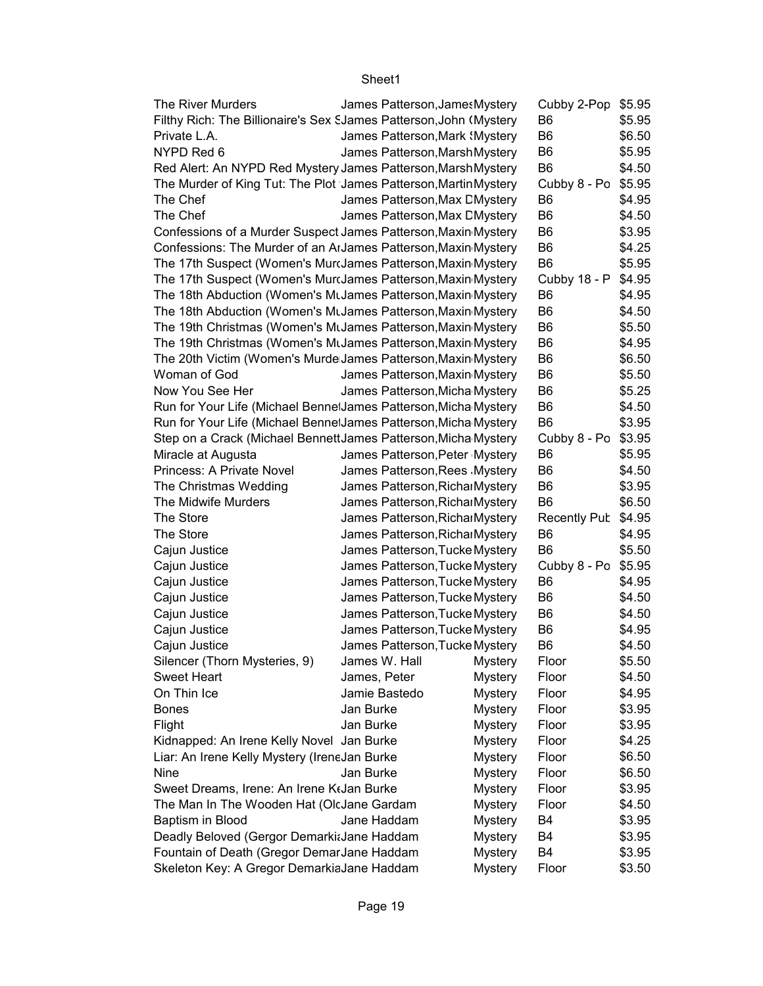| The River Murders                                                  |               | James Patterson, James Mystery |                | Cubby 2-Pop         | \$5.95 |
|--------------------------------------------------------------------|---------------|--------------------------------|----------------|---------------------|--------|
| Filthy Rich: The Billionaire's Sex SJames Patterson, John (Mystery |               |                                |                | B <sub>6</sub>      | \$5.95 |
| Private L.A.                                                       |               | James Patterson, Mark {Mystery |                | B <sub>6</sub>      | \$6.50 |
| NYPD Red 6                                                         |               | James Patterson, Marsh Mystery |                | B <sub>6</sub>      | \$5.95 |
| Red Alert: An NYPD Red Mystery James Patterson, Marsh Mystery      |               |                                |                | B <sub>6</sub>      | \$4.50 |
| The Murder of King Tut: The Plot James Patterson, Martin Mystery   |               |                                |                | Cubby 8 - Po \$5.95 |        |
| The Chef                                                           |               | James Patterson, Max DMystery  |                | B <sub>6</sub>      | \$4.95 |
| The Chef                                                           |               | James Patterson, Max DMystery  |                | B <sub>6</sub>      | \$4.50 |
| Confessions of a Murder Suspect James Patterson, Maxin Mystery     |               |                                |                | B <sub>6</sub>      | \$3.95 |
| Confessions: The Murder of an ArJames Patterson, Maxin Mystery     |               |                                |                | B <sub>6</sub>      | \$4.25 |
| The 17th Suspect (Women's Murdames Patterson, Maxin Mystery        |               |                                |                | B <sub>6</sub>      | \$5.95 |
| The 17th Suspect (Women's Murdames Patterson, Maxin Mystery        |               |                                |                | Cubby 18 - P \$4.95 |        |
| The 18th Abduction (Women's MtJames Patterson, Maxin Mystery       |               |                                |                | B <sub>6</sub>      | \$4.95 |
| The 18th Abduction (Women's MtJames Patterson, Maxin Mystery       |               |                                |                | B <sub>6</sub>      | \$4.50 |
| The 19th Christmas (Women's MtJames Patterson, Maxin Mystery       |               |                                |                | B <sub>6</sub>      | \$5.50 |
| The 19th Christmas (Women's MtJames Patterson, Maxin Mystery       |               |                                |                | B <sub>6</sub>      | \$4.95 |
| The 20th Victim (Women's Murde James Patterson, Maxin Mystery      |               |                                |                | B <sub>6</sub>      | \$6.50 |
| Woman of God                                                       |               | James Patterson, Maxin Mystery |                | B <sub>6</sub>      | \$5.50 |
| Now You See Her                                                    |               | James Patterson, Micha Mystery |                | B <sub>6</sub>      | \$5.25 |
| Run for Your Life (Michael Benne James Patterson, Micha Mystery    |               |                                |                | B <sub>6</sub>      | \$4.50 |
| Run for Your Life (Michael Benne James Patterson, Micha Mystery    |               |                                |                | B <sub>6</sub>      | \$3.95 |
| Step on a Crack (Michael BennettJames Patterson, Micha Mystery     |               |                                |                | Cubby 8 - Po \$3.95 |        |
| Miracle at Augusta                                                 |               | James Patterson, Peter Mystery |                | B <sub>6</sub>      | \$5.95 |
| Princess: A Private Novel                                          |               | James Patterson, Rees Mystery  |                | B <sub>6</sub>      | \$4.50 |
| The Christmas Wedding                                              |               | James Patterson, RicharMystery |                | B <sub>6</sub>      | \$3.95 |
| The Midwife Murders                                                |               | James Patterson, RicharMystery |                | B <sub>6</sub>      | \$6.50 |
| The Store                                                          |               | James Patterson, RicharMystery |                | Recently Pub \$4.95 |        |
| The Store                                                          |               | James Patterson, RicharMystery |                | B <sub>6</sub>      | \$4.95 |
| Cajun Justice                                                      |               | James Patterson, Tucke Mystery |                | B <sub>6</sub>      | \$5.50 |
| Cajun Justice                                                      |               | James Patterson, Tucke Mystery |                | Cubby 8 - Po \$5.95 |        |
| Cajun Justice                                                      |               | James Patterson, Tucke Mystery |                | B <sub>6</sub>      | \$4.95 |
| Cajun Justice                                                      |               | James Patterson, Tucke Mystery |                | B <sub>6</sub>      | \$4.50 |
| Cajun Justice                                                      |               | James Patterson, Tucke Mystery |                | B <sub>6</sub>      | \$4.50 |
| Cajun Justice                                                      |               | James Patterson, Tucke Mystery |                | B <sub>6</sub>      | \$4.95 |
| Cajun Justice                                                      |               | James Patterson, Tucke Mystery |                | B <sub>6</sub>      | \$4.50 |
| Silencer (Thorn Mysteries, 9)                                      | James W. Hall |                                | <b>Mystery</b> | Floor               | \$5.50 |
| <b>Sweet Heart</b>                                                 | James, Peter  |                                | <b>Mystery</b> | Floor               | \$4.50 |
| On Thin Ice                                                        | Jamie Bastedo |                                | <b>Mystery</b> | Floor               | \$4.95 |
| <b>Bones</b>                                                       | Jan Burke     |                                | <b>Mystery</b> | Floor               | \$3.95 |
| Flight                                                             | Jan Burke     |                                | <b>Mystery</b> | Floor               | \$3.95 |
| Kidnapped: An Irene Kelly Novel Jan Burke                          |               |                                | <b>Mystery</b> | Floor               | \$4.25 |
| Liar: An Irene Kelly Mystery (IreneJan Burke                       |               |                                | <b>Mystery</b> | Floor               | \$6.50 |
| Nine                                                               | Jan Burke     |                                | <b>Mystery</b> | Floor               | \$6.50 |
| Sweet Dreams, Irene: An Irene KtJan Burke                          |               |                                | <b>Mystery</b> | Floor               | \$3.95 |
| The Man In The Wooden Hat (OlcJane Gardam                          |               |                                | <b>Mystery</b> | Floor               | \$4.50 |
| Baptism in Blood                                                   | Jane Haddam   |                                | <b>Mystery</b> | B4                  | \$3.95 |
| Deadly Beloved (Gergor DemarkitJane Haddam                         |               |                                | <b>Mystery</b> | B <sub>4</sub>      | \$3.95 |
| Fountain of Death (Gregor DemarJane Haddam                         |               |                                | <b>Mystery</b> | B4                  | \$3.95 |
| Skeleton Key: A Gregor DemarkiaJane Haddam                         |               |                                | <b>Mystery</b> | Floor               | \$3.50 |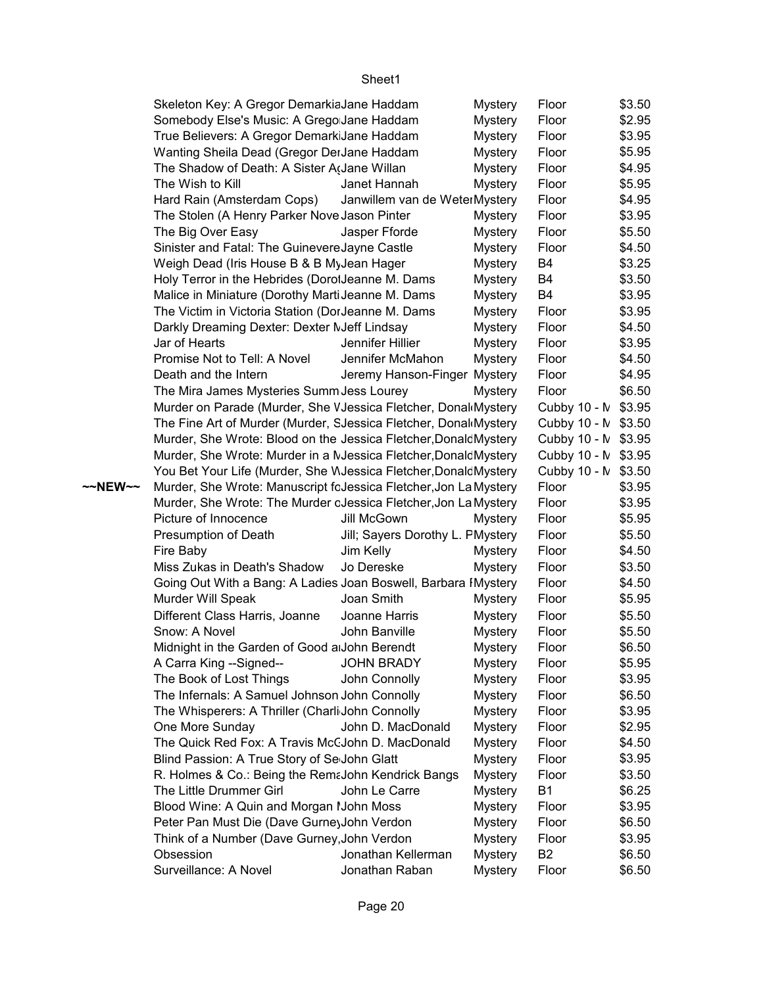|         | Skeleton Key: A Gregor DemarkiaJane Haddam                       |                                  | <b>Mystery</b> | Floor               | \$3.50 |
|---------|------------------------------------------------------------------|----------------------------------|----------------|---------------------|--------|
|         | Somebody Else's Music: A Grego Jane Haddam                       |                                  | <b>Mystery</b> | Floor               | \$2.95 |
|         | True Believers: A Gregor DemarkiJane Haddam                      |                                  | <b>Mystery</b> | Floor               | \$3.95 |
|         | Wanting Sheila Dead (Gregor DerJane Haddam                       |                                  | <b>Mystery</b> | Floor               | \$5.95 |
|         | The Shadow of Death: A Sister Addane Willan                      |                                  | <b>Mystery</b> | Floor               | \$4.95 |
|         | The Wish to Kill                                                 | Janet Hannah                     | <b>Mystery</b> | Floor               | \$5.95 |
|         | Hard Rain (Amsterdam Cops)                                       | Janwillem van de WeterMystery    |                | Floor               | \$4.95 |
|         | The Stolen (A Henry Parker Nove Jason Pinter                     |                                  | <b>Mystery</b> | Floor               | \$3.95 |
|         | The Big Over Easy                                                | Jasper Fforde                    | Mystery        | Floor               | \$5.50 |
|         | Sinister and Fatal: The GuinevereJayne Castle                    |                                  | <b>Mystery</b> | Floor               | \$4.50 |
|         | Weigh Dead (Iris House B & B MyJean Hager                        |                                  | <b>Mystery</b> | B4                  | \$3.25 |
|         | Holy Terror in the Hebrides (DorolJeanne M. Dams                 |                                  | <b>Mystery</b> | B4                  | \$3.50 |
|         | Malice in Miniature (Dorothy MartiJeanne M. Dams                 |                                  | <b>Mystery</b> | B4                  | \$3.95 |
|         | The Victim in Victoria Station (DorJeanne M. Dams                |                                  | <b>Mystery</b> | Floor               | \$3.95 |
|         | Darkly Dreaming Dexter: Dexter NJeff Lindsay                     |                                  |                | Floor               | \$4.50 |
|         |                                                                  |                                  | <b>Mystery</b> |                     |        |
|         | Jar of Hearts                                                    | Jennifer Hillier                 | Mystery        | Floor               | \$3.95 |
|         | Promise Not to Tell: A Novel                                     | Jennifer McMahon                 | <b>Mystery</b> | Floor               | \$4.50 |
|         | Death and the Intern                                             | Jeremy Hanson-Finger Mystery     |                | Floor               | \$4.95 |
|         | The Mira James Mysteries Summ Jess Lourey                        |                                  | Mystery        | Floor               | \$6.50 |
|         | Murder on Parade (Murder, She VJessica Fletcher, Donal Mystery   |                                  |                | Cubby 10 - N \$3.95 |        |
|         | The Fine Art of Murder (Murder, SJessica Fletcher, Donal Mystery |                                  |                | Cubby 10 - N \$3.50 |        |
|         | Murder, She Wrote: Blood on the Jessica Fletcher, Donald Mystery |                                  |                | Cubby 10 - N \$3.95 |        |
|         | Murder, She Wrote: Murder in a MJessica Fletcher, Donald Mystery |                                  |                | Cubby 10 - N \$3.95 |        |
|         | You Bet Your Life (Murder, She WJessica Fletcher, Donald Mystery |                                  |                | Cubby 10 - N \$3.50 |        |
| ~~NEW~~ | Murder, She Wrote: Manuscript fcJessica Fletcher, Jon La Mystery |                                  |                | Floor               | \$3.95 |
|         | Murder, She Wrote: The Murder cJessica Fletcher, Jon La Mystery  |                                  |                | Floor               | \$3.95 |
|         | Picture of Innocence                                             | Jill McGown                      | <b>Mystery</b> | Floor               | \$5.95 |
|         | Presumption of Death                                             | Jill; Sayers Dorothy L. PMystery |                | Floor               | \$5.50 |
|         | Fire Baby                                                        | Jim Kelly                        | Mystery        | Floor               | \$4.50 |
|         | Miss Zukas in Death's Shadow                                     | Jo Dereske                       | <b>Mystery</b> | Floor               | \$3.50 |
|         | Going Out With a Bang: A Ladies Joan Boswell, Barbara IMystery   |                                  |                | Floor               | \$4.50 |
|         | Murder Will Speak                                                | Joan Smith                       | <b>Mystery</b> | Floor               | \$5.95 |
|         | Different Class Harris, Joanne                                   | Joanne Harris                    | <b>Mystery</b> | Floor               | \$5.50 |
|         | Snow: A Novel                                                    | John Banville                    | <b>Mystery</b> | Floor               | \$5.50 |
|         | Midnight in the Garden of Good a John Berendt                    |                                  | Mystery        | Floor               | \$6.50 |
|         | A Carra King --Signed--                                          | <b>JOHN BRADY</b>                | <b>Mystery</b> | Floor               | \$5.95 |
|         | The Book of Lost Things                                          | John Connolly                    | <b>Mystery</b> | Floor               | \$3.95 |
|         | The Infernals: A Samuel Johnson John Connolly                    |                                  | <b>Mystery</b> | Floor               | \$6.50 |
|         | The Whisperers: A Thriller (Charli John Connolly                 |                                  | <b>Mystery</b> | Floor               | \$3.95 |
|         | One More Sunday                                                  | John D. MacDonald                | <b>Mystery</b> | Floor               | \$2.95 |
|         | The Quick Red Fox: A Travis McCJohn D. MacDonald                 |                                  | <b>Mystery</b> | Floor               | \$4.50 |
|         | Blind Passion: A True Story of Se John Glatt                     |                                  | <b>Mystery</b> | Floor               | \$3.95 |
|         | R. Holmes & Co.: Being the RemaJohn Kendrick Bangs               |                                  | Mystery        | Floor               | \$3.50 |
|         | The Little Drummer Girl                                          | John Le Carre                    | <b>Mystery</b> | <b>B1</b>           | \$6.25 |
|         | Blood Wine: A Quin and Morgan I John Moss                        |                                  | <b>Mystery</b> | Floor               | \$3.95 |
|         | Peter Pan Must Die (Dave Gurne) John Verdon                      |                                  | <b>Mystery</b> | Floor               | \$6.50 |
|         | Think of a Number (Dave Gurney, John Verdon                      |                                  | <b>Mystery</b> | Floor               | \$3.95 |
|         | Obsession                                                        | Jonathan Kellerman               |                | B <sub>2</sub>      | \$6.50 |
|         |                                                                  |                                  | <b>Mystery</b> |                     |        |
|         | Surveillance: A Novel                                            | Jonathan Raban                   | <b>Mystery</b> | Floor               | \$6.50 |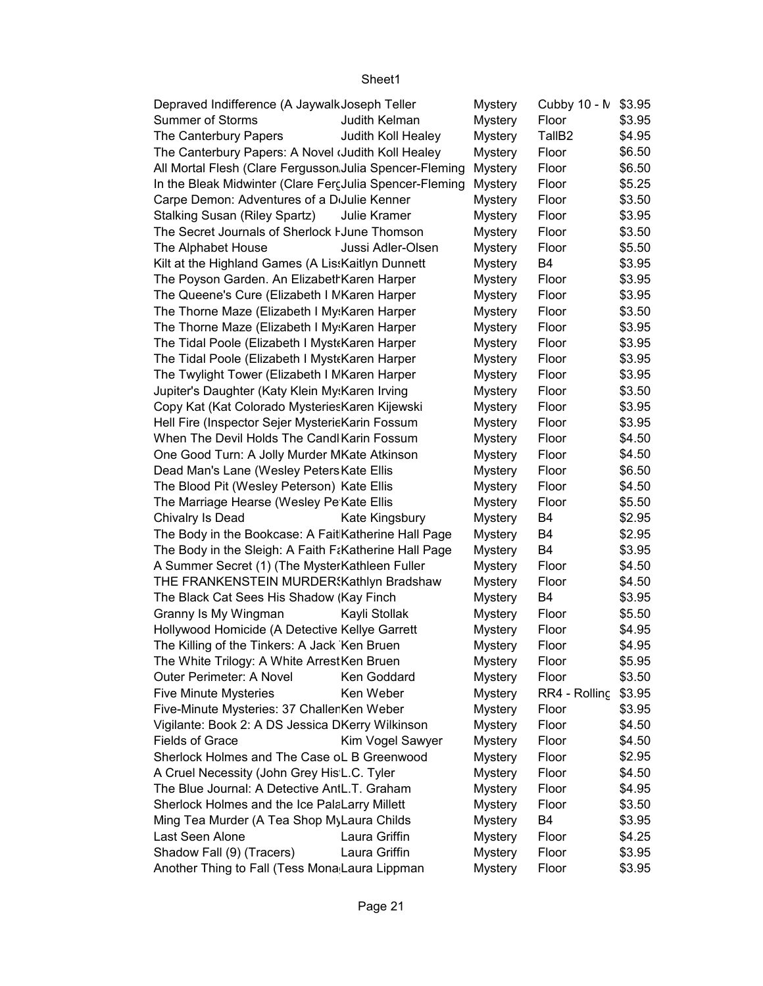| Depraved Indifference (A Jaywalk Joseph Teller          |                    | <b>Mystery</b> | Cubby 10 - N       | \$3.95 |
|---------------------------------------------------------|--------------------|----------------|--------------------|--------|
| <b>Summer of Storms</b>                                 | Judith Kelman      | <b>Mystery</b> | Floor              | \$3.95 |
| The Canterbury Papers                                   | Judith Koll Healey | <b>Mystery</b> | TallB <sub>2</sub> | \$4.95 |
| The Canterbury Papers: A Novel (Judith Koll Healey      |                    | <b>Mystery</b> | Floor              | \$6.50 |
| All Mortal Flesh (Clare Fergusson Julia Spencer-Fleming |                    | <b>Mystery</b> | Floor              | \$6.50 |
| In the Bleak Midwinter (Clare FercJulia Spencer-Fleming |                    | <b>Mystery</b> | Floor              | \$5.25 |
| Carpe Demon: Adventures of a DiJulie Kenner             |                    | <b>Mystery</b> | Floor              | \$3.50 |
| <b>Stalking Susan (Riley Spartz)</b>                    | Julie Kramer       | <b>Mystery</b> | Floor              | \$3.95 |
| The Secret Journals of Sherlock I June Thomson          |                    | <b>Mystery</b> | Floor              | \$3.50 |
| The Alphabet House                                      | Jussi Adler-Olsen  | <b>Mystery</b> | Floor              | \$5.50 |
| Kilt at the Highland Games (A Lis: Kaitlyn Dunnett      |                    | <b>Mystery</b> | B4                 | \$3.95 |
| The Poyson Garden. An Elizabeth Karen Harper            |                    | <b>Mystery</b> | Floor              | \$3.95 |
| The Queene's Cure (Elizabeth I MKaren Harper            |                    | <b>Mystery</b> | Floor              | \$3.95 |
| The Thorne Maze (Elizabeth I My: Karen Harper           |                    | <b>Mystery</b> | Floor              | \$3.50 |
| The Thorne Maze (Elizabeth I My: Karen Harper           |                    | Mystery        | Floor              | \$3.95 |
| The Tidal Poole (Elizabeth I Myst Karen Harper          |                    | <b>Mystery</b> | Floor              | \$3.95 |
| The Tidal Poole (Elizabeth I Myst Karen Harper          |                    | <b>Mystery</b> | Floor              | \$3.95 |
| The Twylight Tower (Elizabeth I MKaren Harper           |                    | <b>Mystery</b> | Floor              | \$3.95 |
| Jupiter's Daughter (Katy Klein My:Karen Irving          |                    | <b>Mystery</b> | Floor              | \$3.50 |
| Copy Kat (Kat Colorado Mysteries Karen Kijewski         |                    | <b>Mystery</b> | Floor              | \$3.95 |
| Hell Fire (Inspector Sejer MysterieKarin Fossum         |                    | <b>Mystery</b> | Floor              | \$3.95 |
| When The Devil Holds The Candl Karin Fossum             |                    | <b>Mystery</b> | Floor              | \$4.50 |
| One Good Turn: A Jolly Murder MKate Atkinson            |                    | <b>Mystery</b> | Floor              | \$4.50 |
| Dead Man's Lane (Wesley Peters Kate Ellis               |                    | <b>Mystery</b> | Floor              | \$6.50 |
| The Blood Pit (Wesley Peterson) Kate Ellis              |                    | <b>Mystery</b> | Floor              | \$4.50 |
| The Marriage Hearse (Wesley Pe Kate Ellis               |                    | <b>Mystery</b> | Floor              | \$5.50 |
| Chivalry Is Dead                                        | Kate Kingsbury     | <b>Mystery</b> | B4                 | \$2.95 |
| The Body in the Bookcase: A Fait Katherine Hall Page    |                    | <b>Mystery</b> | B4                 | \$2.95 |
| The Body in the Sleigh: A Faith F&Katherine Hall Page   |                    | <b>Mystery</b> | B4                 | \$3.95 |
| A Summer Secret (1) (The MysterKathleen Fuller          |                    | Mystery        | Floor              | \$4.50 |
| THE FRANKENSTEIN MURDER: Kathlyn Bradshaw               |                    | Mystery        | Floor              | \$4.50 |
| The Black Cat Sees His Shadow (Kay Finch                |                    | <b>Mystery</b> | B4                 | \$3.95 |
| Granny Is My Wingman                                    | Kayli Stollak      | <b>Mystery</b> | Floor              | \$5.50 |
| Hollywood Homicide (A Detective Kellye Garrett          |                    | <b>Mystery</b> | Floor              | \$4.95 |
| The Killing of the Tinkers: A Jack Ken Bruen            |                    | <b>Mystery</b> | Floor              | \$4.95 |
| The White Trilogy: A White ArrestKen Bruen              |                    | <b>Mystery</b> | Floor              | \$5.95 |
| Outer Perimeter: A Novel                                | Ken Goddard        | <b>Mystery</b> | Floor              | \$3.50 |
| <b>Five Minute Mysteries</b>                            | Ken Weber          | <b>Mystery</b> | RR4 - Rolling      | \$3.95 |
| Five-Minute Mysteries: 37 Challer Ken Weber             |                    | <b>Mystery</b> | Floor              | \$3.95 |
| Vigilante: Book 2: A DS Jessica DKerry Wilkinson        |                    | <b>Mystery</b> | Floor              | \$4.50 |
| <b>Fields of Grace</b>                                  | Kim Vogel Sawyer   | <b>Mystery</b> | Floor              | \$4.50 |
| Sherlock Holmes and The Case oL B Greenwood             |                    | <b>Mystery</b> | Floor              | \$2.95 |
| A Cruel Necessity (John Grey His L.C. Tyler             |                    | <b>Mystery</b> | Floor              | \$4.50 |
| The Blue Journal: A Detective AntL.T. Graham            |                    | <b>Mystery</b> | Floor              | \$4.95 |
| Sherlock Holmes and the Ice PalaLarry Millett           |                    | <b>Mystery</b> | Floor              | \$3.50 |
| Ming Tea Murder (A Tea Shop My Laura Childs             |                    | <b>Mystery</b> | B4                 | \$3.95 |
| Last Seen Alone                                         | Laura Griffin      | <b>Mystery</b> | Floor              | \$4.25 |
| Shadow Fall (9) (Tracers)                               | Laura Griffin      | <b>Mystery</b> | Floor              | \$3.95 |
| Another Thing to Fall (Tess Mona Laura Lippman          |                    | <b>Mystery</b> | Floor              | \$3.95 |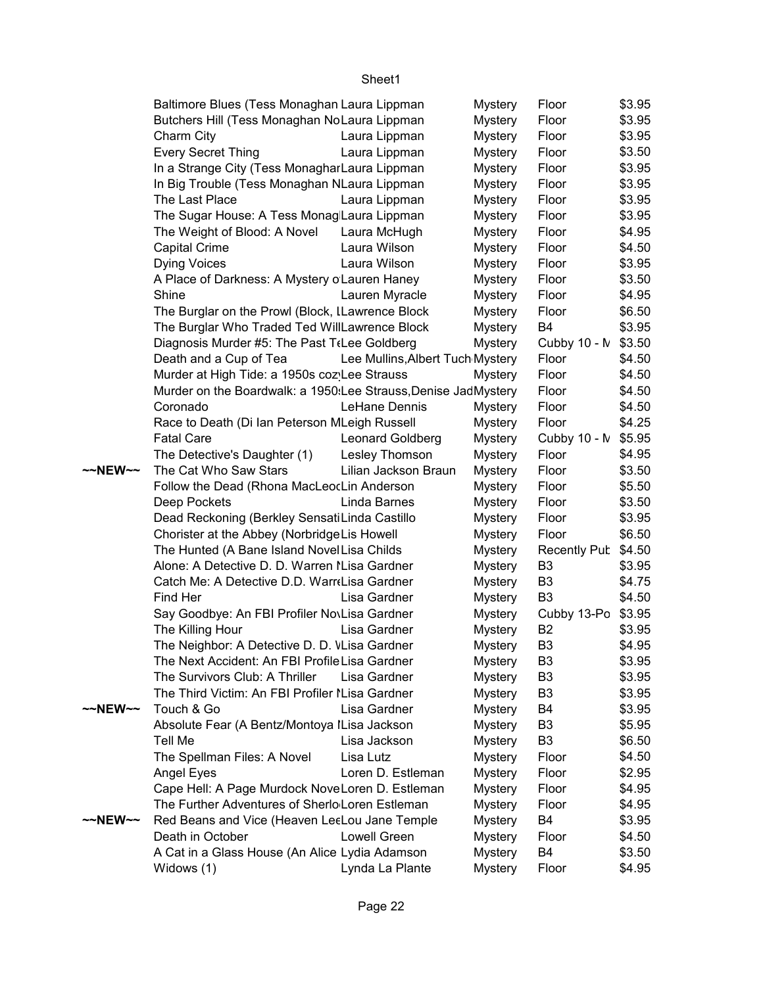|         | Baltimore Blues (Tess Monaghan Laura Lippman                   |                                  | <b>Mystery</b> | Floor               | \$3.95 |
|---------|----------------------------------------------------------------|----------------------------------|----------------|---------------------|--------|
|         | Butchers Hill (Tess Monaghan NoLaura Lippman                   |                                  | <b>Mystery</b> | Floor               | \$3.95 |
|         | Charm City                                                     | Laura Lippman                    | <b>Mystery</b> | Floor               | \$3.95 |
|         | <b>Every Secret Thing</b>                                      | Laura Lippman                    | <b>Mystery</b> | Floor               | \$3.50 |
|         | In a Strange City (Tess Monaghar Laura Lippman                 |                                  | <b>Mystery</b> | Floor               | \$3.95 |
|         | In Big Trouble (Tess Monaghan NLaura Lippman                   |                                  | <b>Mystery</b> | Floor               | \$3.95 |
|         | The Last Place                                                 | Laura Lippman                    | <b>Mystery</b> | Floor               | \$3.95 |
|         | The Sugar House: A Tess Monag Laura Lippman                    |                                  | <b>Mystery</b> | Floor               | \$3.95 |
|         | The Weight of Blood: A Novel                                   | Laura McHugh                     | <b>Mystery</b> | Floor               | \$4.95 |
|         | <b>Capital Crime</b>                                           | Laura Wilson                     | <b>Mystery</b> | Floor               | \$4.50 |
|         | <b>Dying Voices</b>                                            | Laura Wilson                     | <b>Mystery</b> | Floor               | \$3.95 |
|         | A Place of Darkness: A Mystery o Lauren Haney                  |                                  | <b>Mystery</b> | Floor               | \$3.50 |
|         | Shine                                                          | Lauren Myracle                   | <b>Mystery</b> | Floor               | \$4.95 |
|         | The Burglar on the Prowl (Block, ILawrence Block               |                                  | <b>Mystery</b> | Floor               | \$6.50 |
|         | The Burglar Who Traded Ted WillLawrence Block                  |                                  | <b>Mystery</b> | B4                  | \$3.95 |
|         | Diagnosis Murder #5: The Past T(Lee Goldberg                   |                                  | <b>Mystery</b> | Cubby 10 - N        | \$3.50 |
|         | Death and a Cup of Tea                                         | Lee Mullins, Albert Tuch Mystery |                | Floor               | \$4.50 |
|         | Murder at High Tide: a 1950s coz Lee Strauss                   |                                  | <b>Mystery</b> | Floor               | \$4.50 |
|         | Murder on the Boardwalk: a 1950:Lee Strauss, Denise JadMystery |                                  |                | Floor               | \$4.50 |
|         | Coronado                                                       | LeHane Dennis                    | <b>Mystery</b> | Floor               | \$4.50 |
|         | Race to Death (Di Ian Peterson MLeigh Russell                  |                                  | <b>Mystery</b> | Floor               | \$4.25 |
|         | <b>Fatal Care</b>                                              | Leonard Goldberg                 | <b>Mystery</b> | Cubby 10 - M        | \$5.95 |
|         | The Detective's Daughter (1)                                   | Lesley Thomson                   | <b>Mystery</b> | Floor               | \$4.95 |
| ~~NEW~~ | The Cat Who Saw Stars                                          | Lilian Jackson Braun             | <b>Mystery</b> | Floor               | \$3.50 |
|         | Follow the Dead (Rhona MacLeocLin Anderson                     |                                  | <b>Mystery</b> | Floor               | \$5.50 |
|         | Deep Pockets                                                   | Linda Barnes                     | <b>Mystery</b> | Floor               | \$3.50 |
|         | Dead Reckoning (Berkley Sensati Linda Castillo                 |                                  | <b>Mystery</b> | Floor               | \$3.95 |
|         | Chorister at the Abbey (Norbridge Lis Howell                   |                                  | <b>Mystery</b> | Floor               | \$6.50 |
|         | The Hunted (A Bane Island Novel Lisa Childs                    |                                  | <b>Mystery</b> | <b>Recently Pub</b> | \$4.50 |
|         | Alone: A Detective D. D. Warren I Lisa Gardner                 |                                  | <b>Mystery</b> | B <sub>3</sub>      | \$3.95 |
|         | Catch Me: A Detective D.D. Warr Lisa Gardner                   |                                  | <b>Mystery</b> | B <sub>3</sub>      | \$4.75 |
|         | Find Her                                                       | Lisa Gardner                     | <b>Mystery</b> | B <sub>3</sub>      | \$4.50 |
|         | Say Goodbye: An FBI Profiler NovLisa Gardner                   |                                  | <b>Mystery</b> | Cubby 13-Po         | \$3.95 |
|         | The Killing Hour                                               | Lisa Gardner                     | <b>Mystery</b> | B <sub>2</sub>      | \$3.95 |
|         | The Neighbor: A Detective D. D. VLisa Gardner                  |                                  | <b>Mystery</b> | B <sub>3</sub>      | \$4.95 |
|         | The Next Accident: An FBI Profile Lisa Gardner                 |                                  | <b>Mystery</b> | B3                  | \$3.95 |
|         | The Survivors Club: A Thriller                                 | Lisa Gardner                     | <b>Mystery</b> | B3                  | \$3.95 |
|         | The Third Victim: An FBI Profiler I Lisa Gardner               |                                  | <b>Mystery</b> | B <sub>3</sub>      | \$3.95 |
| ~~NEW~~ | Touch & Go                                                     | Lisa Gardner                     | <b>Mystery</b> | B4                  | \$3.95 |
|         | Absolute Fear (A Bentz/Montoya ILisa Jackson                   |                                  | <b>Mystery</b> | B <sub>3</sub>      | \$5.95 |
|         | <b>Tell Me</b>                                                 | Lisa Jackson                     | <b>Mystery</b> | B <sub>3</sub>      | \$6.50 |
|         | The Spellman Files: A Novel                                    | Lisa Lutz                        | <b>Mystery</b> | Floor               | \$4.50 |
|         | Angel Eyes                                                     | Loren D. Estleman                | <b>Mystery</b> | Floor               | \$2.95 |
|         | Cape Hell: A Page Murdock NoveLoren D. Estleman                |                                  | <b>Mystery</b> | Floor               | \$4.95 |
|         | The Further Adventures of Sherlo Loren Estleman                |                                  | <b>Mystery</b> | Floor               | \$4.95 |
| ~~NEW~~ | Red Beans and Vice (Heaven LeeLou Jane Temple                  |                                  | <b>Mystery</b> | B4                  | \$3.95 |
|         | Death in October                                               | Lowell Green                     | <b>Mystery</b> | Floor               | \$4.50 |
|         | A Cat in a Glass House (An Alice Lydia Adamson                 |                                  | <b>Mystery</b> | B4                  | \$3.50 |
|         | Widows (1)                                                     | Lynda La Plante                  | <b>Mystery</b> | Floor               | \$4.95 |
|         |                                                                |                                  |                |                     |        |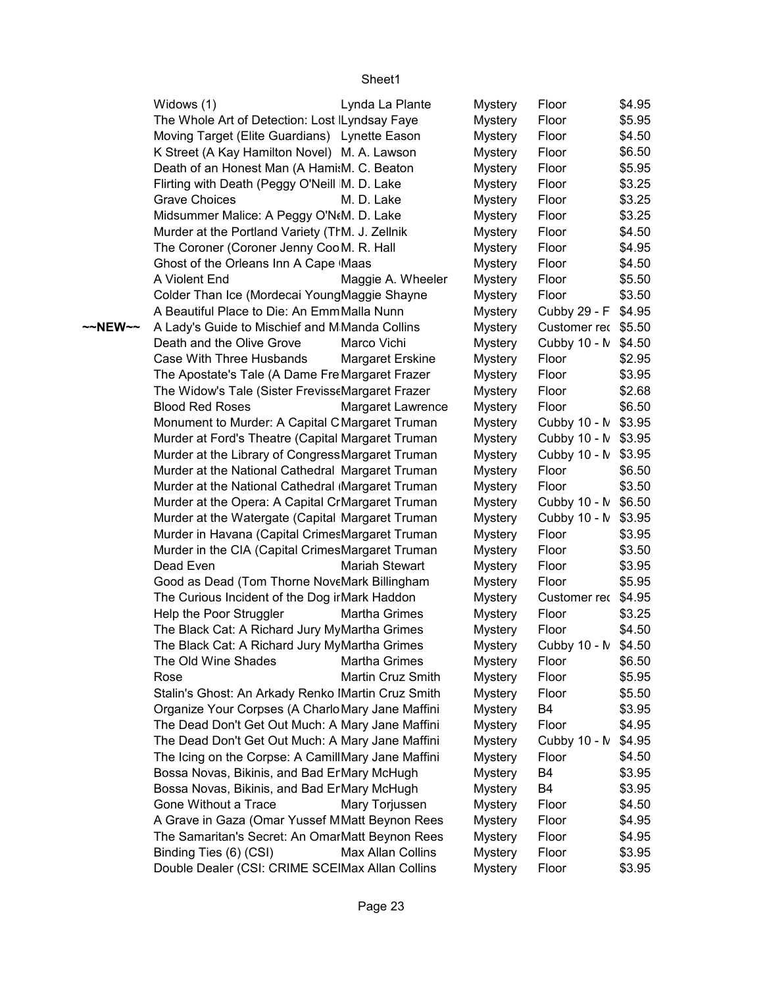|         | Widows (1)                                         | Lynda La Plante         | <b>Mystery</b> | Floor               | \$4.95 |
|---------|----------------------------------------------------|-------------------------|----------------|---------------------|--------|
|         | The Whole Art of Detection: Lost Lyndsay Faye      |                         | <b>Mystery</b> | Floor               | \$5.95 |
|         | Moving Target (Elite Guardians) Lynette Eason      |                         | Mystery        | Floor               | \$4.50 |
|         | K Street (A Kay Hamilton Novel) M. A. Lawson       |                         | <b>Mystery</b> | Floor               | \$6.50 |
|         | Death of an Honest Man (A Hami:M. C. Beaton        |                         | <b>Mystery</b> | Floor               | \$5.95 |
|         | Flirting with Death (Peggy O'Neill M. D. Lake      |                         | <b>Mystery</b> | Floor               | \$3.25 |
|         | <b>Grave Choices</b>                               | M. D. Lake              | <b>Mystery</b> | Floor               | \$3.25 |
|         | Midsummer Malice: A Peggy O'N(M. D. Lake           |                         | <b>Mystery</b> | Floor               | \$3.25 |
|         | Murder at the Portland Variety (TrM. J. Zellnik    |                         | <b>Mystery</b> | Floor               | \$4.50 |
|         | The Coroner (Coroner Jenny Coo M. R. Hall          |                         | <b>Mystery</b> | Floor               | \$4.95 |
|         | Ghost of the Orleans Inn A Cape Maas               |                         | <b>Mystery</b> | Floor               | \$4.50 |
|         | A Violent End                                      | Maggie A. Wheeler       | <b>Mystery</b> | Floor               | \$5.50 |
|         | Colder Than Ice (Mordecai YoungMaggie Shayne       |                         | <b>Mystery</b> | Floor               | \$3.50 |
|         | A Beautiful Place to Die: An EmmMalla Nunn         |                         | <b>Mystery</b> | Cubby 29 - F        | \$4.95 |
| ~~NEW~~ | A Lady's Guide to Mischief and M Manda Collins     |                         | <b>Mystery</b> | Customer rec \$5.50 |        |
|         | Death and the Olive Grove                          | Marco Vichi             | <b>Mystery</b> | Cubby 10 - N        | \$4.50 |
|         | Case With Three Husbands                           | <b>Margaret Erskine</b> | <b>Mystery</b> | Floor               | \$2.95 |
|         | The Apostate's Tale (A Dame Fre Margaret Frazer    |                         | <b>Mystery</b> | Floor               | \$3.95 |
|         | The Widow's Tale (Sister FrevisseMargaret Frazer   |                         | <b>Mystery</b> | Floor               | \$2.68 |
|         | <b>Blood Red Roses</b>                             | Margaret Lawrence       | <b>Mystery</b> | Floor               | \$6.50 |
|         | Monument to Murder: A Capital C Margaret Truman    |                         | <b>Mystery</b> | Cubby 10 - N \$3.95 |        |
|         | Murder at Ford's Theatre (Capital Margaret Truman  |                         | <b>Mystery</b> | Cubby 10 - N \$3.95 |        |
|         | Murder at the Library of Congress Margaret Truman  |                         | <b>Mystery</b> | Cubby 10 - N        | \$3.95 |
|         | Murder at the National Cathedral Margaret Truman   |                         | <b>Mystery</b> | Floor               | \$6.50 |
|         | Murder at the National Cathedral Margaret Truman   |                         | <b>Mystery</b> | Floor               | \$3.50 |
|         | Murder at the Opera: A Capital CrMargaret Truman   |                         | <b>Mystery</b> | Cubby 10 - N \$6.50 |        |
|         | Murder at the Watergate (Capital Margaret Truman   |                         | <b>Mystery</b> | Cubby 10 - N \$3.95 |        |
|         | Murder in Havana (Capital CrimesMargaret Truman    |                         | <b>Mystery</b> | Floor               | \$3.95 |
|         | Murder in the CIA (Capital CrimesMargaret Truman   |                         | <b>Mystery</b> | Floor               | \$3.50 |
|         | Dead Even                                          | <b>Mariah Stewart</b>   | <b>Mystery</b> | Floor               | \$3.95 |
|         | Good as Dead (Tom Thorne NoveMark Billingham       |                         | <b>Mystery</b> | Floor               | \$5.95 |
|         | The Curious Incident of the Dog ir Mark Haddon     |                         | <b>Mystery</b> | Customer rec \$4.95 |        |
|         | Help the Poor Struggler                            | Martha Grimes           | <b>Mystery</b> | Floor               | \$3.25 |
|         | The Black Cat: A Richard Jury MyMartha Grimes      |                         | <b>Mystery</b> | Floor               | \$4.50 |
|         | The Black Cat: A Richard Jury MyMartha Grimes      |                         | <b>Mystery</b> | Cubby 10 - N \$4.50 |        |
|         | The Old Wine Shades                                | <b>Martha Grimes</b>    | <b>Mystery</b> | Floor               | \$6.50 |
|         | Rose                                               | Martin Cruz Smith       | <b>Mystery</b> | Floor               | \$5.95 |
|         | Stalin's Ghost: An Arkady Renko IMartin Cruz Smith |                         | <b>Mystery</b> | Floor               | \$5.50 |
|         | Organize Your Corpses (A Charlo Mary Jane Maffini  |                         | <b>Mystery</b> | B4                  | \$3.95 |
|         | The Dead Don't Get Out Much: A Mary Jane Maffini   |                         | Mystery        | Floor               | \$4.95 |
|         | The Dead Don't Get Out Much: A Mary Jane Maffini   |                         | <b>Mystery</b> | Cubby 10 - N        | \$4.95 |
|         | The Icing on the Corpse: A CamillMary Jane Maffini |                         | <b>Mystery</b> | Floor               | \$4.50 |
|         | Bossa Novas, Bikinis, and Bad ErMary McHugh        |                         | <b>Mystery</b> | B4                  | \$3.95 |
|         | Bossa Novas, Bikinis, and Bad ErMary McHugh        |                         | Mystery        | B4                  | \$3.95 |
|         | Gone Without a Trace                               | Mary Torjussen          | <b>Mystery</b> | Floor               | \$4.50 |
|         | A Grave in Gaza (Omar Yussef MMatt Beynon Rees     |                         | <b>Mystery</b> | Floor               | \$4.95 |
|         | The Samaritan's Secret: An OmarMatt Beynon Rees    |                         | <b>Mystery</b> | Floor               | \$4.95 |
|         | Binding Ties (6) (CSI)                             | Max Allan Collins       | Mystery        | Floor               | \$3.95 |
|         | Double Dealer (CSI: CRIME SCEIMax Allan Collins    |                         | <b>Mystery</b> | Floor               | \$3.95 |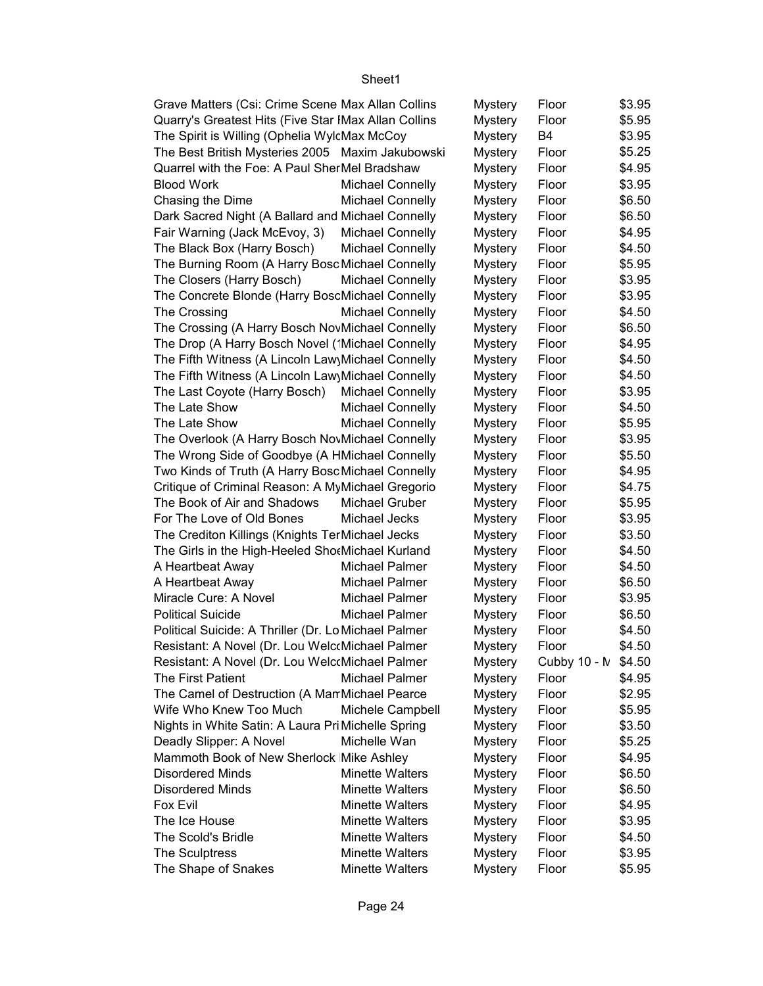| Grave Matters (Csi: Crime Scene Max Allan Collins    |                         | <b>Mystery</b> | Floor               | \$3.95 |
|------------------------------------------------------|-------------------------|----------------|---------------------|--------|
| Quarry's Greatest Hits (Five Star IMax Allan Collins |                         | <b>Mystery</b> | Floor               | \$5.95 |
| The Spirit is Willing (Ophelia WylcMax McCoy         |                         | <b>Mystery</b> | B <sub>4</sub>      | \$3.95 |
| The Best British Mysteries 2005 Maxim Jakubowski     |                         | <b>Mystery</b> | Floor               | \$5.25 |
| Quarrel with the Foe: A Paul SherMel Bradshaw        |                         | <b>Mystery</b> | Floor               | \$4.95 |
| <b>Blood Work</b>                                    | <b>Michael Connelly</b> | <b>Mystery</b> | Floor               | \$3.95 |
| Chasing the Dime                                     | <b>Michael Connelly</b> | <b>Mystery</b> | Floor               | \$6.50 |
| Dark Sacred Night (A Ballard and Michael Connelly    |                         | <b>Mystery</b> | Floor               | \$6.50 |
| Fair Warning (Jack McEvoy, 3)                        | Michael Connelly        | <b>Mystery</b> | Floor               | \$4.95 |
| The Black Box (Harry Bosch)                          | <b>Michael Connelly</b> | <b>Mystery</b> | Floor               | \$4.50 |
| The Burning Room (A Harry Bosc Michael Connelly      |                         | <b>Mystery</b> | Floor               | \$5.95 |
| The Closers (Harry Bosch)                            | <b>Michael Connelly</b> | <b>Mystery</b> | Floor               | \$3.95 |
| The Concrete Blonde (Harry BoscMichael Connelly      |                         | <b>Mystery</b> | Floor               | \$3.95 |
| The Crossing                                         | <b>Michael Connelly</b> | <b>Mystery</b> | Floor               | \$4.50 |
| The Crossing (A Harry Bosch NovMichael Connelly      |                         | <b>Mystery</b> | Floor               | \$6.50 |
| The Drop (A Harry Bosch Novel ('Michael Connelly     |                         | <b>Mystery</b> | Floor               | \$4.95 |
| The Fifth Witness (A Lincoln Law Michael Connelly    |                         | <b>Mystery</b> | Floor               | \$4.50 |
| The Fifth Witness (A Lincoln Law Michael Connelly    |                         | <b>Mystery</b> | Floor               | \$4.50 |
| The Last Coyote (Harry Bosch)                        | <b>Michael Connelly</b> | <b>Mystery</b> | Floor               | \$3.95 |
| The Late Show                                        | <b>Michael Connelly</b> | <b>Mystery</b> | Floor               | \$4.50 |
| The Late Show                                        | <b>Michael Connelly</b> | <b>Mystery</b> | Floor               | \$5.95 |
| The Overlook (A Harry Bosch NovMichael Connelly      |                         | <b>Mystery</b> | Floor               | \$3.95 |
| The Wrong Side of Goodbye (A HMichael Connelly       |                         | <b>Mystery</b> | Floor               | \$5.50 |
| Two Kinds of Truth (A Harry Bosc Michael Connelly    |                         | <b>Mystery</b> | Floor               | \$4.95 |
| Critique of Criminal Reason: A MyMichael Gregorio    |                         | <b>Mystery</b> | Floor               | \$4.75 |
| The Book of Air and Shadows                          | Michael Gruber          | <b>Mystery</b> | Floor               | \$5.95 |
| For The Love of Old Bones                            | Michael Jecks           | <b>Mystery</b> | Floor               | \$3.95 |
| The Crediton Killings (Knights TerMichael Jecks      |                         | <b>Mystery</b> | Floor               | \$3.50 |
| The Girls in the High-Heeled ShotMichael Kurland     |                         | <b>Mystery</b> | Floor               | \$4.50 |
| A Heartbeat Away                                     | Michael Palmer          | <b>Mystery</b> | Floor               | \$4.50 |
| A Heartbeat Away                                     | Michael Palmer          | <b>Mystery</b> | Floor               | \$6.50 |
| Miracle Cure: A Novel                                | Michael Palmer          | <b>Mystery</b> | Floor               | \$3.95 |
| <b>Political Suicide</b>                             | Michael Palmer          | <b>Mystery</b> | Floor               | \$6.50 |
| Political Suicide: A Thriller (Dr. Lo Michael Palmer |                         | <b>Mystery</b> | Floor               | \$4.50 |
| Resistant: A Novel (Dr. Lou WelcoMichael Palmer      |                         | <b>Mystery</b> | Floor               | \$4.50 |
| Resistant: A Novel (Dr. Lou WelcoMichael Palmer      |                         | <b>Mystery</b> | Cubby 10 - N \$4.50 |        |
| The First Patient                                    | Michael Palmer          | <b>Mystery</b> | Floor               | \$4.95 |
| The Camel of Destruction (A Man Michael Pearce       |                         | <b>Mystery</b> | Floor               | \$2.95 |
| Wife Who Knew Too Much                               | Michele Campbell        | <b>Mystery</b> | Floor               | \$5.95 |
| Nights in White Satin: A Laura Pri Michelle Spring   |                         | <b>Mystery</b> | Floor               | \$3.50 |
| Deadly Slipper: A Novel                              | Michelle Wan            | <b>Mystery</b> | Floor               | \$5.25 |
| Mammoth Book of New Sherlock Mike Ashley             |                         | <b>Mystery</b> | Floor               | \$4.95 |
| <b>Disordered Minds</b>                              | <b>Minette Walters</b>  | <b>Mystery</b> | Floor               | \$6.50 |
| <b>Disordered Minds</b>                              | <b>Minette Walters</b>  | <b>Mystery</b> | Floor               | \$6.50 |
| Fox Evil                                             | <b>Minette Walters</b>  | <b>Mystery</b> | Floor               | \$4.95 |
| The Ice House                                        | <b>Minette Walters</b>  | <b>Mystery</b> | Floor               | \$3.95 |
| The Scold's Bridle                                   | <b>Minette Walters</b>  | <b>Mystery</b> | Floor               | \$4.50 |
| The Sculptress                                       | <b>Minette Walters</b>  | <b>Mystery</b> | Floor               | \$3.95 |
| The Shape of Snakes                                  | <b>Minette Walters</b>  | <b>Mystery</b> | Floor               | \$5.95 |
|                                                      |                         |                |                     |        |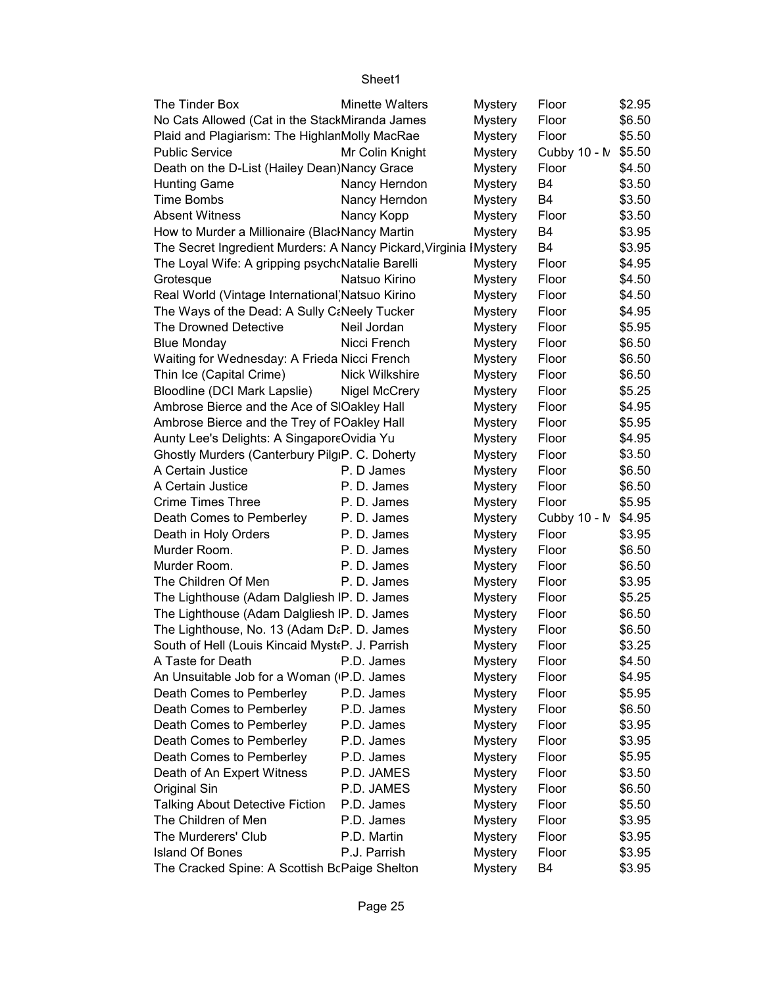| The Tinder Box                                                    | <b>Minette Walters</b> | Mystery        | Floor        | \$2.95 |
|-------------------------------------------------------------------|------------------------|----------------|--------------|--------|
| No Cats Allowed (Cat in the StackMiranda James                    |                        | <b>Mystery</b> | Floor        | \$6.50 |
| Plaid and Plagiarism: The HighlanMolly MacRae                     |                        | <b>Mystery</b> | Floor        | \$5.50 |
| <b>Public Service</b>                                             | Mr Colin Knight        | <b>Mystery</b> | Cubby 10 - N | \$5.50 |
| Death on the D-List (Hailey Dean) Nancy Grace                     |                        | <b>Mystery</b> | Floor        | \$4.50 |
| <b>Hunting Game</b>                                               | Nancy Herndon          | Mystery        | <b>B4</b>    | \$3.50 |
| <b>Time Bombs</b>                                                 | Nancy Herndon          | <b>Mystery</b> | B4           | \$3.50 |
| <b>Absent Witness</b>                                             | Nancy Kopp             | <b>Mystery</b> | Floor        | \$3.50 |
| How to Murder a Millionaire (BlacINancy Martin                    |                        | <b>Mystery</b> | B4           | \$3.95 |
| The Secret Ingredient Murders: A Nancy Pickard, Virginia IMystery |                        |                | B4           | \$3.95 |
| The Loyal Wife: A gripping psych Natalie Barelli                  |                        | <b>Mystery</b> | Floor        | \$4.95 |
| Grotesque                                                         | Natsuo Kirino          | <b>Mystery</b> | Floor        | \$4.50 |
| Real World (Vintage International Natsuo Kirino                   |                        | <b>Mystery</b> | Floor        | \$4.50 |
| The Ways of the Dead: A Sully C:Neely Tucker                      |                        | <b>Mystery</b> | Floor        | \$4.95 |
| The Drowned Detective                                             | Neil Jordan            | <b>Mystery</b> | Floor        | \$5.95 |
| <b>Blue Monday</b>                                                | Nicci French           | <b>Mystery</b> | Floor        | \$6.50 |
| Waiting for Wednesday: A Frieda Nicci French                      |                        | <b>Mystery</b> | Floor        | \$6.50 |
| Thin Ice (Capital Crime)                                          | Nick Wilkshire         | <b>Mystery</b> | Floor        | \$6.50 |
| Bloodline (DCI Mark Lapslie)                                      | <b>Nigel McCrery</b>   | <b>Mystery</b> | Floor        | \$5.25 |
| Ambrose Bierce and the Ace of S Oakley Hall                       |                        | <b>Mystery</b> | Floor        | \$4.95 |
| Ambrose Bierce and the Trey of FOakley Hall                       |                        | <b>Mystery</b> | Floor        | \$5.95 |
| Aunty Lee's Delights: A SingaporeOvidia Yu                        |                        | <b>Mystery</b> | Floor        | \$4.95 |
| Ghostly Murders (Canterbury Pilg <sub>IP</sub> . C. Doherty       |                        | Mystery        | Floor        | \$3.50 |
| A Certain Justice                                                 | P. D James             | <b>Mystery</b> | Floor        | \$6.50 |
| A Certain Justice                                                 | P.D. James             | <b>Mystery</b> | Floor        | \$6.50 |
| <b>Crime Times Three</b>                                          | P.D. James             | <b>Mystery</b> | Floor        | \$5.95 |
| Death Comes to Pemberley                                          | P.D. James             | <b>Mystery</b> | Cubby 10 - N | \$4.95 |
| Death in Holy Orders                                              | P.D. James             | <b>Mystery</b> | Floor        | \$3.95 |
| Murder Room.                                                      | P.D. James             | <b>Mystery</b> | Floor        | \$6.50 |
| Murder Room.                                                      | P.D. James             | <b>Mystery</b> | Floor        | \$6.50 |
| The Children Of Men                                               | P.D. James             | Mystery        | Floor        | \$3.95 |
| The Lighthouse (Adam Dalgliesh IP. D. James                       |                        | <b>Mystery</b> | Floor        | \$5.25 |
| The Lighthouse (Adam Dalgliesh IP. D. James                       |                        | <b>Mystery</b> | Floor        | \$6.50 |
| The Lighthouse, No. 13 (Adam D&P. D. James                        |                        | <b>Mystery</b> | Floor        | \$6.50 |
| South of Hell (Louis Kincaid Myst (P. J. Parrish                  |                        | <b>Mystery</b> | Floor        | \$3.25 |
| A Taste for Death                                                 | P.D. James             | <b>Mystery</b> | Floor        | \$4.50 |
| An Unsuitable Job for a Woman (P.D. James                         |                        | <b>Mystery</b> | Floor        | \$4.95 |
| Death Comes to Pemberley                                          | P.D. James             | <b>Mystery</b> | Floor        | \$5.95 |
| Death Comes to Pemberley                                          | P.D. James             | <b>Mystery</b> | Floor        | \$6.50 |
| Death Comes to Pemberley                                          | P.D. James             | <b>Mystery</b> | Floor        | \$3.95 |
| Death Comes to Pemberley                                          | P.D. James             | <b>Mystery</b> | Floor        | \$3.95 |
| Death Comes to Pemberley                                          | P.D. James             | <b>Mystery</b> | Floor        | \$5.95 |
| Death of An Expert Witness                                        | P.D. JAMES             | <b>Mystery</b> | Floor        | \$3.50 |
| Original Sin                                                      | P.D. JAMES             | <b>Mystery</b> | Floor        | \$6.50 |
| <b>Talking About Detective Fiction</b>                            | P.D. James             | <b>Mystery</b> | Floor        | \$5.50 |
| The Children of Men                                               | P.D. James             | <b>Mystery</b> | Floor        | \$3.95 |
| The Murderers' Club                                               | P.D. Martin            | <b>Mystery</b> | Floor        | \$3.95 |
| <b>Island Of Bones</b>                                            | P.J. Parrish           | Mystery        | Floor        | \$3.95 |
| The Cracked Spine: A Scottish BcPaige Shelton                     |                        | Mystery        | B4           | \$3.95 |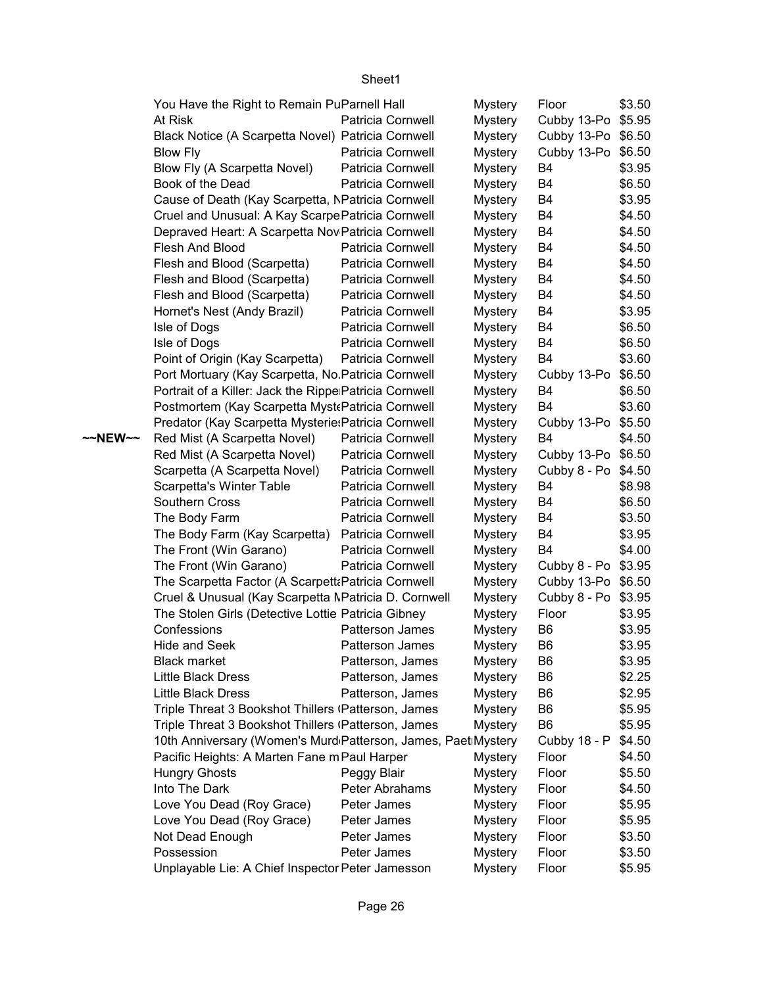|         | You Have the Right to Remain PuParnell Hall                   |                   |                | Floor               | \$3.50 |
|---------|---------------------------------------------------------------|-------------------|----------------|---------------------|--------|
|         | At Risk                                                       | Patricia Cornwell | <b>Mystery</b> |                     |        |
|         |                                                               |                   | <b>Mystery</b> | Cubby 13-Po \$5.95  |        |
|         | Black Notice (A Scarpetta Novel) Patricia Cornwell            |                   | <b>Mystery</b> | Cubby 13-Po \$6.50  |        |
|         | <b>Blow Fly</b>                                               | Patricia Cornwell | <b>Mystery</b> | Cubby 13-Po \$6.50  |        |
|         | Blow Fly (A Scarpetta Novel)                                  | Patricia Cornwell | <b>Mystery</b> | B4                  | \$3.95 |
|         | Book of the Dead                                              | Patricia Cornwell | <b>Mystery</b> | B4                  | \$6.50 |
|         | Cause of Death (Kay Scarpetta, NPatricia Cornwell             |                   | <b>Mystery</b> | <b>B4</b>           | \$3.95 |
|         | Cruel and Unusual: A Kay Scarpe Patricia Cornwell             |                   | <b>Mystery</b> | B4                  | \$4.50 |
|         | Depraved Heart: A Scarpetta Nov Patricia Cornwell             |                   | <b>Mystery</b> | B4                  | \$4.50 |
|         | Flesh And Blood                                               | Patricia Cornwell | <b>Mystery</b> | B4                  | \$4.50 |
|         | Flesh and Blood (Scarpetta)                                   | Patricia Cornwell | <b>Mystery</b> | B4                  | \$4.50 |
|         | Flesh and Blood (Scarpetta)                                   | Patricia Cornwell | <b>Mystery</b> | <b>B4</b>           | \$4.50 |
|         | Flesh and Blood (Scarpetta)                                   | Patricia Cornwell | <b>Mystery</b> | B4                  | \$4.50 |
|         | Hornet's Nest (Andy Brazil)                                   | Patricia Cornwell | <b>Mystery</b> | B <sub>4</sub>      | \$3.95 |
|         | Isle of Dogs                                                  | Patricia Cornwell | <b>Mystery</b> | <b>B4</b>           | \$6.50 |
|         | Isle of Dogs                                                  | Patricia Cornwell | <b>Mystery</b> | <b>B4</b>           | \$6.50 |
|         | Point of Origin (Kay Scarpetta)                               | Patricia Cornwell | <b>Mystery</b> | B4                  | \$3.60 |
|         | Port Mortuary (Kay Scarpetta, No Patricia Cornwell            |                   | <b>Mystery</b> | Cubby 13-Po         | \$6.50 |
|         | Portrait of a Killer: Jack the Rippe Patricia Cornwell        |                   | <b>Mystery</b> | B4                  | \$6.50 |
|         | Postmortem (Kay Scarpetta Myst Patricia Cornwell              |                   | <b>Mystery</b> | <b>B4</b>           | \$3.60 |
|         | Predator (Kay Scarpetta Mysterie: Patricia Cornwell           |                   | <b>Mystery</b> | Cubby 13-Po \$5.50  |        |
| ~~NEW~~ | Red Mist (A Scarpetta Novel)                                  | Patricia Cornwell | <b>Mystery</b> | B <sub>4</sub>      | \$4.50 |
|         | Red Mist (A Scarpetta Novel)                                  | Patricia Cornwell | <b>Mystery</b> | Cubby 13-Po \$6.50  |        |
|         | Scarpetta (A Scarpetta Novel)                                 | Patricia Cornwell | <b>Mystery</b> | Cubby 8 - Po        | \$4.50 |
|         | Scarpetta's Winter Table                                      | Patricia Cornwell | <b>Mystery</b> | B4                  | \$8.98 |
|         | Southern Cross                                                | Patricia Cornwell | <b>Mystery</b> | B4                  | \$6.50 |
|         | The Body Farm                                                 | Patricia Cornwell | <b>Mystery</b> | B4                  | \$3.50 |
|         | The Body Farm (Kay Scarpetta)                                 | Patricia Cornwell | <b>Mystery</b> | B4                  | \$3.95 |
|         | The Front (Win Garano)                                        | Patricia Cornwell | <b>Mystery</b> | B4                  | \$4.00 |
|         | The Front (Win Garano)                                        | Patricia Cornwell | <b>Mystery</b> | Cubby 8 - Po \$3.95 |        |
|         | The Scarpetta Factor (A Scarpett: Patricia Cornwell           |                   | Mystery        | Cubby 13-Po \$6.50  |        |
|         |                                                               |                   |                |                     |        |
|         | Cruel & Unusual (Kay Scarpetta MPatricia D. Cornwell          |                   | <b>Mystery</b> | Cubby 8 - Po        | \$3.95 |
|         | The Stolen Girls (Detective Lottie Patricia Gibney            |                   | <b>Mystery</b> | Floor               | \$3.95 |
|         | Confessions                                                   | Patterson James   | <b>Mystery</b> | B <sub>6</sub>      | \$3.95 |
|         | Hide and Seek                                                 | Patterson James   | <b>Mystery</b> | B <sub>6</sub>      | \$3.95 |
|         | <b>Black market</b>                                           | Patterson, James  | <b>Mystery</b> | B6                  | \$3.95 |
|         | Little Black Dress                                            | Patterson, James  | <b>Mystery</b> | B <sub>6</sub>      | \$2.25 |
|         | Little Black Dress                                            | Patterson, James  | <b>Mystery</b> | B6                  | \$2.95 |
|         | Triple Threat 3 Bookshot Thillers (Patterson, James           |                   | <b>Mystery</b> | B <sub>6</sub>      | \$5.95 |
|         | Triple Threat 3 Bookshot Thillers (Patterson, James           |                   | <b>Mystery</b> | B <sub>6</sub>      | \$5.95 |
|         | 10th Anniversary (Women's Murd Patterson, James, Paet Mystery |                   |                | Cubby 18 - P        | \$4.50 |
|         | Pacific Heights: A Marten Fane m Paul Harper                  |                   | <b>Mystery</b> | Floor               | \$4.50 |
|         | <b>Hungry Ghosts</b>                                          | Peggy Blair       | <b>Mystery</b> | Floor               | \$5.50 |
|         | Into The Dark                                                 | Peter Abrahams    | <b>Mystery</b> | Floor               | \$4.50 |
|         | Love You Dead (Roy Grace)                                     | Peter James       | <b>Mystery</b> | Floor               | \$5.95 |
|         | Love You Dead (Roy Grace)                                     | Peter James       | <b>Mystery</b> | Floor               | \$5.95 |
|         | Not Dead Enough                                               | Peter James       | <b>Mystery</b> | Floor               | \$3.50 |
|         | Possession                                                    | Peter James       | <b>Mystery</b> | Floor               | \$3.50 |
|         | Unplayable Lie: A Chief Inspector Peter Jamesson              |                   | <b>Mystery</b> | Floor               | \$5.95 |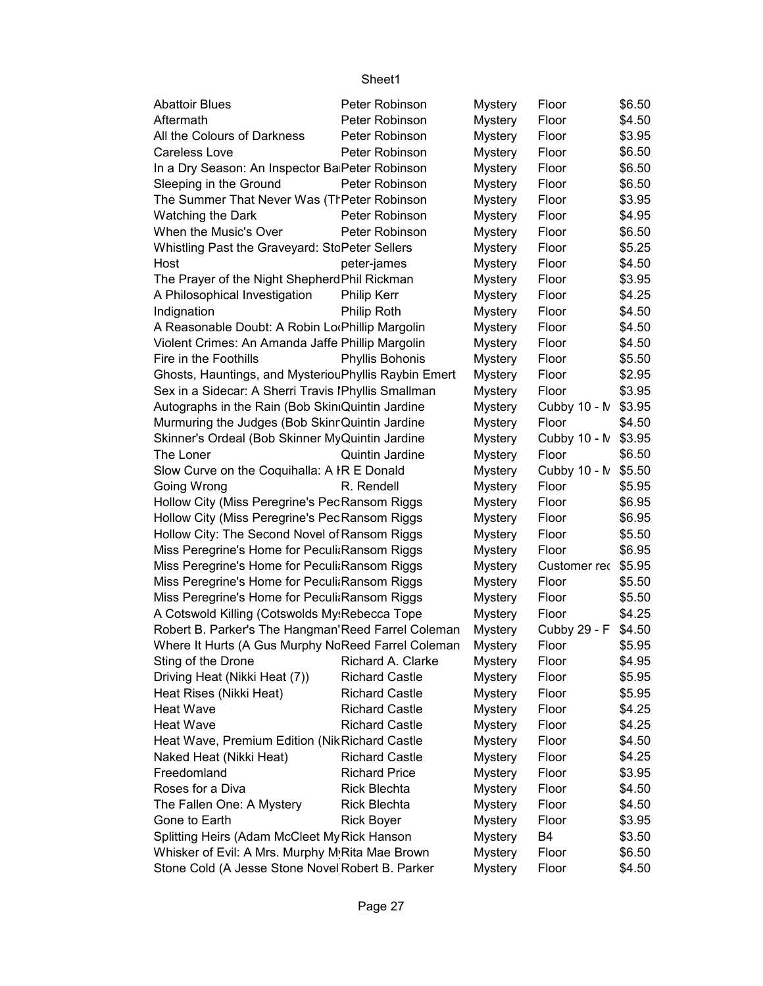| <b>Abattoir Blues</b>                                | Peter Robinson        | Mystery        | Floor          | \$6.50 |
|------------------------------------------------------|-----------------------|----------------|----------------|--------|
| Aftermath                                            | Peter Robinson        | <b>Mystery</b> | Floor          | \$4.50 |
| All the Colours of Darkness                          | Peter Robinson        | <b>Mystery</b> | Floor          | \$3.95 |
| <b>Careless Love</b>                                 | Peter Robinson        | <b>Mystery</b> | Floor          | \$6.50 |
| In a Dry Season: An Inspector Ba Peter Robinson      |                       | <b>Mystery</b> | Floor          | \$6.50 |
| Sleeping in the Ground                               | Peter Robinson        | <b>Mystery</b> | Floor          | \$6.50 |
| The Summer That Never Was (TrPeter Robinson          |                       | <b>Mystery</b> | Floor          | \$3.95 |
| <b>Watching the Dark</b>                             | Peter Robinson        | <b>Mystery</b> | Floor          | \$4.95 |
| When the Music's Over                                | Peter Robinson        | <b>Mystery</b> | Floor          | \$6.50 |
| Whistling Past the Graveyard: StoPeter Sellers       |                       | <b>Mystery</b> | Floor          | \$5.25 |
| Host                                                 | peter-james           | <b>Mystery</b> | Floor          | \$4.50 |
| The Prayer of the Night ShepherdPhil Rickman         |                       | <b>Mystery</b> | Floor          | \$3.95 |
| A Philosophical Investigation                        | Philip Kerr           | <b>Mystery</b> | Floor          | \$4.25 |
| Indignation                                          | Philip Roth           | <b>Mystery</b> | Floor          | \$4.50 |
| A Reasonable Doubt: A Robin LorPhillip Margolin      |                       | <b>Mystery</b> | Floor          | \$4.50 |
| Violent Crimes: An Amanda Jaffe Phillip Margolin     |                       | <b>Mystery</b> | Floor          | \$4.50 |
| Fire in the Foothills                                | Phyllis Bohonis       | <b>Mystery</b> | Floor          | \$5.50 |
| Ghosts, Hauntings, and MysteriouPhyllis Raybin Emert |                       | <b>Mystery</b> | Floor          | \$2.95 |
| Sex in a Sidecar: A Sherri Travis IPhyllis Smallman  |                       | <b>Mystery</b> | Floor          | \$3.95 |
| Autographs in the Rain (Bob SkiniQuintin Jardine     |                       | <b>Mystery</b> | Cubby 10 - M   | \$3.95 |
| Murmuring the Judges (Bob Skinr Quintin Jardine      |                       | <b>Mystery</b> | Floor          | \$4.50 |
| Skinner's Ordeal (Bob Skinner MyQuintin Jardine      |                       | <b>Mystery</b> | Cubby 10 - N   | \$3.95 |
| The Loner                                            | Quintin Jardine       | <b>Mystery</b> | Floor          | \$6.50 |
| Slow Curve on the Coquihalla: A IR E Donald          |                       | <b>Mystery</b> | Cubby 10 - M   | \$5.50 |
| Going Wrong                                          | R. Rendell            | <b>Mystery</b> | Floor          | \$5.95 |
| Hollow City (Miss Peregrine's PecRansom Riggs        |                       | <b>Mystery</b> | Floor          | \$6.95 |
| Hollow City (Miss Peregrine's PecRansom Riggs        |                       | <b>Mystery</b> | Floor          | \$6.95 |
| Hollow City: The Second Novel of Ransom Riggs        |                       | <b>Mystery</b> | Floor          | \$5.50 |
| Miss Peregrine's Home for Peculi Ransom Riggs        |                       | <b>Mystery</b> | Floor          | \$6.95 |
| Miss Peregrine's Home for Peculi: Ransom Riggs       |                       | <b>Mystery</b> | Customer rec   | \$5.95 |
| Miss Peregrine's Home for Peculi: Ransom Riggs       |                       | <b>Mystery</b> | Floor          | \$5.50 |
| Miss Peregrine's Home for Peculi: Ransom Riggs       |                       | <b>Mystery</b> | Floor          | \$5.50 |
| A Cotswold Killing (Cotswolds My:Rebecca Tope        |                       | <b>Mystery</b> | Floor          | \$4.25 |
| Robert B. Parker's The Hangman'Reed Farrel Coleman   |                       | <b>Mystery</b> | Cubby 29 - F   | \$4.50 |
| Where It Hurts (A Gus Murphy NcReed Farrel Coleman   |                       | <b>Mystery</b> | Floor          | \$5.95 |
| Sting of the Drone                                   | Richard A. Clarke     | <b>Mystery</b> | Floor          | \$4.95 |
| Driving Heat (Nikki Heat (7))                        | <b>Richard Castle</b> | <b>Mystery</b> | Floor          | \$5.95 |
| Heat Rises (Nikki Heat)                              | <b>Richard Castle</b> | <b>Mystery</b> | Floor          | \$5.95 |
| <b>Heat Wave</b>                                     | <b>Richard Castle</b> | <b>Mystery</b> | Floor          | \$4.25 |
| <b>Heat Wave</b>                                     | <b>Richard Castle</b> | <b>Mystery</b> | Floor          | \$4.25 |
| Heat Wave, Premium Edition (Nik Richard Castle       |                       | <b>Mystery</b> | Floor          | \$4.50 |
| Naked Heat (Nikki Heat)                              | <b>Richard Castle</b> | <b>Mystery</b> | Floor          | \$4.25 |
| Freedomland                                          | <b>Richard Price</b>  | <b>Mystery</b> | Floor          | \$3.95 |
| Roses for a Diva                                     | <b>Rick Blechta</b>   | <b>Mystery</b> | Floor          | \$4.50 |
| The Fallen One: A Mystery                            | <b>Rick Blechta</b>   | <b>Mystery</b> | Floor          | \$4.50 |
| Gone to Earth                                        | <b>Rick Boyer</b>     | <b>Mystery</b> | Floor          | \$3.95 |
| Splitting Heirs (Adam McCleet My Rick Hanson         |                       | <b>Mystery</b> | B <sub>4</sub> | \$3.50 |
| Whisker of Evil: A Mrs. Murphy M Rita Mae Brown      |                       | <b>Mystery</b> | Floor          | \$6.50 |
| Stone Cold (A Jesse Stone Novel Robert B. Parker     |                       | <b>Mystery</b> | Floor          | \$4.50 |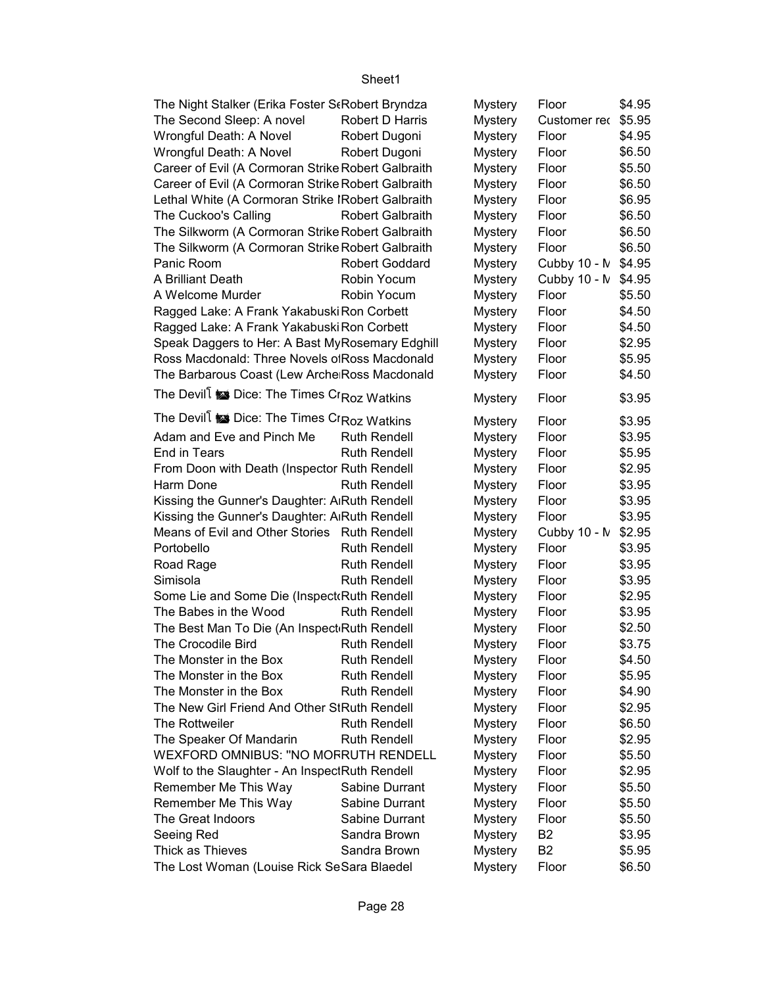| The Night Stalker (Erika Foster StRobert Bryndza   |                         | Mystery        | Floor          | \$4.95 |
|----------------------------------------------------|-------------------------|----------------|----------------|--------|
| The Second Sleep: A novel                          | Robert D Harris         | Mystery        | Customer rec   | \$5.95 |
| Wrongful Death: A Novel                            | Robert Dugoni           | Mystery        | Floor          | \$4.95 |
| Wrongful Death: A Novel                            | Robert Dugoni           | Mystery        | Floor          | \$6.50 |
| Career of Evil (A Cormoran Strike Robert Galbraith |                         | <b>Mystery</b> | Floor          | \$5.50 |
| Career of Evil (A Cormoran Strike Robert Galbraith |                         | <b>Mystery</b> | Floor          | \$6.50 |
| Lethal White (A Cormoran Strike IRobert Galbraith  |                         | <b>Mystery</b> | Floor          | \$6.95 |
| The Cuckoo's Calling                               | <b>Robert Galbraith</b> | <b>Mystery</b> | Floor          | \$6.50 |
| The Silkworm (A Cormoran Strike Robert Galbraith   |                         | <b>Mystery</b> | Floor          | \$6.50 |
| The Silkworm (A Cormoran Strike Robert Galbraith   |                         | <b>Mystery</b> | Floor          | \$6.50 |
| Panic Room                                         | <b>Robert Goddard</b>   | Mystery        | Cubby 10 - N   | \$4.95 |
| A Brilliant Death                                  | Robin Yocum             | Mystery        | Cubby 10 - N   | \$4.95 |
| A Welcome Murder                                   | Robin Yocum             | Mystery        | Floor          | \$5.50 |
| Ragged Lake: A Frank Yakabuski Ron Corbett         |                         | <b>Mystery</b> | Floor          | \$4.50 |
| Ragged Lake: A Frank Yakabuski Ron Corbett         |                         | <b>Mystery</b> | Floor          | \$4.50 |
| Speak Daggers to Her: A Bast MyRosemary Edghill    |                         | <b>Mystery</b> | Floor          | \$2.95 |
| Ross Macdonald: Three Novels of Ross Macdonald     |                         | Mystery        | Floor          | \$5.95 |
| The Barbarous Coast (Lew Arche Ross Macdonald      |                         | Mystery        | Floor          | \$4.50 |
|                                                    |                         |                |                |        |
| The Devill is Dice: The Times Cr Roz Watkins       |                         | <b>Mystery</b> | Floor          | \$3.95 |
| The Devill is Dice: The Times Cr Roz Watkins       |                         | Mystery        | Floor          | \$3.95 |
| Adam and Eve and Pinch Me                          | <b>Ruth Rendell</b>     | Mystery        | Floor          | \$3.95 |
| End in Tears                                       | <b>Ruth Rendell</b>     | Mystery        | Floor          | \$5.95 |
| From Doon with Death (Inspector Ruth Rendell       |                         | Mystery        | Floor          | \$2.95 |
| Harm Done                                          | <b>Ruth Rendell</b>     | <b>Mystery</b> | Floor          | \$3.95 |
| Kissing the Gunner's Daughter: A Ruth Rendell      |                         | Mystery        | Floor          | \$3.95 |
| Kissing the Gunner's Daughter: A Ruth Rendell      |                         | Mystery        | Floor          | \$3.95 |
| Means of Evil and Other Stories Ruth Rendell       |                         | Mystery        | Cubby $10 - N$ | \$2.95 |
| Portobello                                         | <b>Ruth Rendell</b>     | Mystery        | Floor          | \$3.95 |
| Road Rage                                          | <b>Ruth Rendell</b>     | Mystery        | Floor          | \$3.95 |
| Simisola                                           | <b>Ruth Rendell</b>     | Mystery        | Floor          | \$3.95 |
| Some Lie and Some Die (Inspect Ruth Rendell        |                         | Mystery        | Floor          | \$2.95 |
| The Babes in the Wood                              | <b>Ruth Rendell</b>     | <b>Mystery</b> | Floor          | \$3.95 |
| The Best Man To Die (An Inspect Ruth Rendell       |                         | <b>Mystery</b> | Floor          | \$2.50 |
| The Crocodile Bird                                 | <b>Ruth Rendell</b>     | <b>Mystery</b> | Floor          | \$3.75 |
| The Monster in the Box                             | <b>Ruth Rendell</b>     | Mystery        | Floor          | \$4.50 |
| The Monster in the Box                             | <b>Ruth Rendell</b>     | Mystery        | Floor          | \$5.95 |
| The Monster in the Box                             | <b>Ruth Rendell</b>     | <b>Mystery</b> | Floor          | \$4.90 |
| The New Girl Friend And Other StRuth Rendell       |                         |                |                | \$2.95 |
| The Rottweiler                                     | <b>Ruth Rendell</b>     | <b>Mystery</b> | Floor<br>Floor | \$6.50 |
| The Speaker Of Mandarin                            | <b>Ruth Rendell</b>     | Mystery        |                | \$2.95 |
| WEXFORD OMNIBUS: "NO MOFRUTH RENDELL               |                         | <b>Mystery</b> | Floor          | \$5.50 |
|                                                    |                         | Mystery        | Floor          |        |
| Wolf to the Slaughter - An InspectRuth Rendell     |                         | Mystery        | Floor          | \$2.95 |
| Remember Me This Way                               | Sabine Durrant          | Mystery        | Floor          | \$5.50 |
| Remember Me This Way                               | Sabine Durrant          | Mystery        | Floor          | \$5.50 |
| The Great Indoors                                  | Sabine Durrant          | <b>Mystery</b> | Floor          | \$5.50 |
| Seeing Red                                         | Sandra Brown            | <b>Mystery</b> | B <sub>2</sub> | \$3.95 |
| Thick as Thieves                                   | Sandra Brown            | <b>Mystery</b> | B <sub>2</sub> | \$5.95 |
| The Lost Woman (Louise Rick SeSara Blaedel         |                         | <b>Mystery</b> | Floor          | \$6.50 |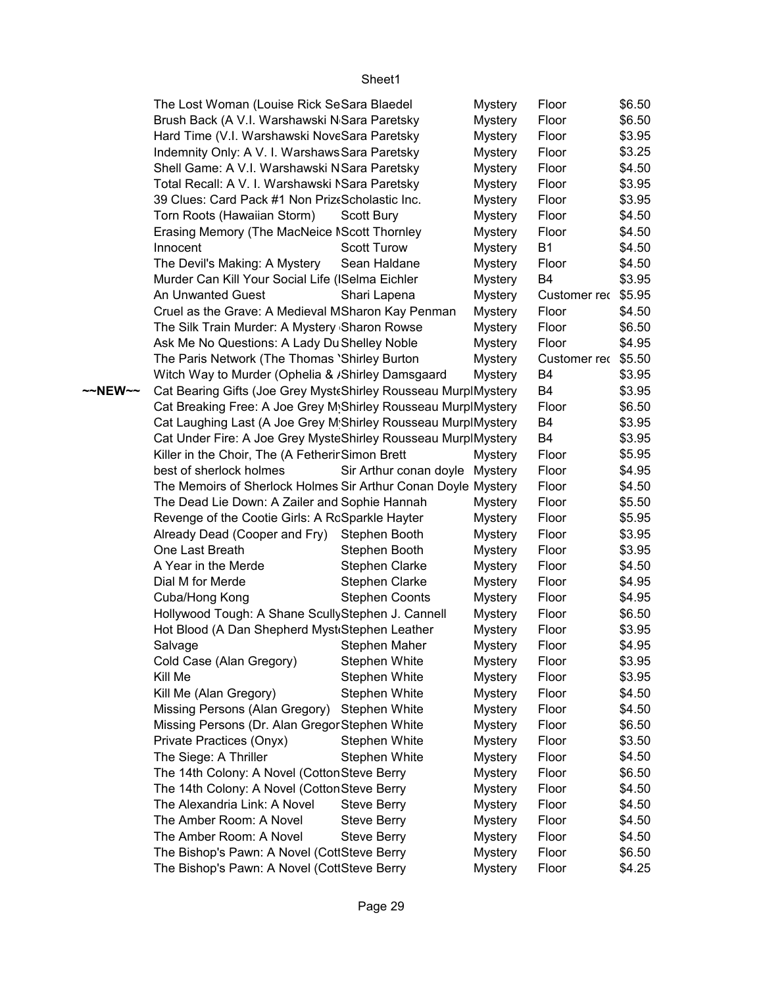|         | The Lost Woman (Louise Rick SeSara Blaedel                     |                                | <b>Mystery</b> | Floor        | \$6.50 |
|---------|----------------------------------------------------------------|--------------------------------|----------------|--------------|--------|
|         | Brush Back (A V.I. Warshawski N Sara Paretsky                  |                                | <b>Mystery</b> | Floor        | \$6.50 |
|         | Hard Time (V.I. Warshawski NoveSara Paretsky                   |                                | <b>Mystery</b> | Floor        | \$3.95 |
|         | Indemnity Only: A V. I. Warshaws Sara Paretsky                 |                                | <b>Mystery</b> | Floor        | \$3.25 |
|         | Shell Game: A V.I. Warshawski NSara Paretsky                   |                                | <b>Mystery</b> | Floor        | \$4.50 |
|         | Total Recall: A V. I. Warshawski NSara Paretsky                |                                | <b>Mystery</b> | Floor        | \$3.95 |
|         | 39 Clues: Card Pack #1 Non Prizt Scholastic Inc.               |                                | <b>Mystery</b> | Floor        | \$3.95 |
|         | Torn Roots (Hawaiian Storm)                                    | Scott Bury                     | <b>Mystery</b> | Floor        | \$4.50 |
|         | Erasing Memory (The MacNeice NScott Thornley                   |                                | <b>Mystery</b> | Floor        | \$4.50 |
|         | Innocent                                                       | <b>Scott Turow</b>             | <b>Mystery</b> | <b>B1</b>    | \$4.50 |
|         | The Devil's Making: A Mystery                                  | Sean Haldane                   | <b>Mystery</b> | Floor        | \$4.50 |
|         | Murder Can Kill Your Social Life (ISelma Eichler               |                                | <b>Mystery</b> | <b>B4</b>    | \$3.95 |
|         | An Unwanted Guest                                              | Shari Lapena                   | <b>Mystery</b> | Customer rec | \$5.95 |
|         | Cruel as the Grave: A Medieval MSharon Kay Penman              |                                | <b>Mystery</b> | Floor        | \$4.50 |
|         | The Silk Train Murder: A Mystery Sharon Rowse                  |                                | <b>Mystery</b> | Floor        | \$6.50 |
|         | Ask Me No Questions: A Lady Du Shelley Noble                   |                                | <b>Mystery</b> | Floor        | \$4.95 |
|         | The Paris Network (The Thomas 'Shirley Burton                  |                                | <b>Mystery</b> | Customer rec | \$5.50 |
|         | Witch Way to Murder (Ophelia & /Shirley Damsgaard              |                                | <b>Mystery</b> | B4           | \$3.95 |
| ~~NEW~~ | Cat Bearing Gifts (Joe Grey Myst Shirley Rousseau MurplMystery |                                |                | B4           | \$3.95 |
|         | Cat Breaking Free: A Joe Grey M Shirley Rousseau MurplMystery  |                                |                | Floor        | \$6.50 |
|         | Cat Laughing Last (A Joe Grey M Shirley Rousseau MurplMystery  |                                |                | B4           | \$3.95 |
|         | Cat Under Fire: A Joe Grey MysteShirley Rousseau MurplMystery  |                                |                | B4           | \$3.95 |
|         | Killer in the Choir, The (A Fetherir Simon Brett               |                                | <b>Mystery</b> | Floor        | \$5.95 |
|         | best of sherlock holmes                                        | Sir Arthur conan doyle Mystery |                | Floor        | \$4.95 |
|         | The Memoirs of Sherlock Holmes Sir Arthur Conan Doyle Mystery  |                                |                | Floor        | \$4.50 |
|         | The Dead Lie Down: A Zailer and Sophie Hannah                  |                                | <b>Mystery</b> | Floor        | \$5.50 |
|         | Revenge of the Cootie Girls: A RcSparkle Hayter                |                                | <b>Mystery</b> | Floor        | \$5.95 |
|         | Already Dead (Cooper and Fry)                                  | Stephen Booth                  | <b>Mystery</b> | Floor        | \$3.95 |
|         | One Last Breath                                                | Stephen Booth                  | <b>Mystery</b> | Floor        | \$3.95 |
|         | A Year in the Merde                                            | <b>Stephen Clarke</b>          | <b>Mystery</b> | Floor        | \$4.50 |
|         | Dial M for Merde                                               | Stephen Clarke                 | <b>Mystery</b> | Floor        | \$4.95 |
|         | Cuba/Hong Kong                                                 | <b>Stephen Coonts</b>          | <b>Mystery</b> | Floor        | \$4.95 |
|         | Hollywood Tough: A Shane Scully Stephen J. Cannell             |                                | <b>Mystery</b> | Floor        | \$6.50 |
|         | Hot Blood (A Dan Shepherd Myst Stephen Leather                 |                                | <b>Mystery</b> | Floor        | \$3.95 |
|         | Salvage                                                        | Stephen Maher                  | <b>Mystery</b> | Floor        | \$4.95 |
|         | Cold Case (Alan Gregory)                                       | <b>Stephen White</b>           | <b>Mystery</b> | Floor        | \$3.95 |
|         | Kill Me                                                        | Stephen White                  | <b>Mystery</b> | Floor        | \$3.95 |
|         | Kill Me (Alan Gregory)                                         | Stephen White                  | <b>Mystery</b> | Floor        | \$4.50 |
|         | Missing Persons (Alan Gregory)                                 | Stephen White                  | <b>Mystery</b> | Floor        | \$4.50 |
|         | Missing Persons (Dr. Alan Gregor Stephen White                 |                                | Mystery        | Floor        | \$6.50 |
|         | Private Practices (Onyx)                                       | <b>Stephen White</b>           | <b>Mystery</b> | Floor        | \$3.50 |
|         | The Siege: A Thriller                                          | Stephen White                  | <b>Mystery</b> | Floor        | \$4.50 |
|         | The 14th Colony: A Novel (Cotton Steve Berry                   |                                | <b>Mystery</b> | Floor        | \$6.50 |
|         | The 14th Colony: A Novel (Cotton Steve Berry                   |                                | <b>Mystery</b> | Floor        | \$4.50 |
|         | The Alexandria Link: A Novel                                   | <b>Steve Berry</b>             | <b>Mystery</b> | Floor        | \$4.50 |
|         | The Amber Room: A Novel                                        | <b>Steve Berry</b>             | <b>Mystery</b> | Floor        | \$4.50 |
|         | The Amber Room: A Novel                                        | <b>Steve Berry</b>             | <b>Mystery</b> | Floor        | \$4.50 |
|         | The Bishop's Pawn: A Novel (CottSteve Berry                    |                                | <b>Mystery</b> | Floor        | \$6.50 |
|         | The Bishop's Pawn: A Novel (CottSteve Berry                    |                                | Mystery        | Floor        | \$4.25 |
|         |                                                                |                                |                |              |        |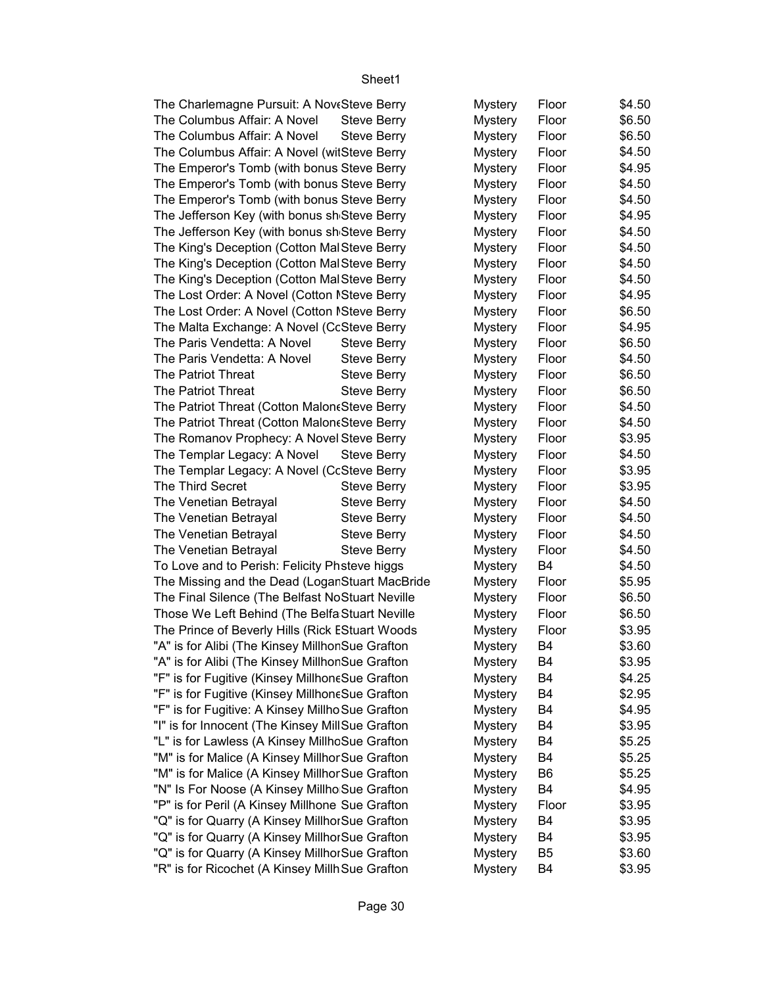| The Charlemagne Pursuit: A NoveSteve Berry       |                    | Mystery        | Floor          | \$4.50 |
|--------------------------------------------------|--------------------|----------------|----------------|--------|
| The Columbus Affair: A Novel                     | <b>Steve Berry</b> | <b>Mystery</b> | Floor          | \$6.50 |
| The Columbus Affair: A Novel                     | <b>Steve Berry</b> | <b>Mystery</b> | Floor          | \$6.50 |
| The Columbus Affair: A Novel (witSteve Berry     |                    | <b>Mystery</b> | Floor          | \$4.50 |
| The Emperor's Tomb (with bonus Steve Berry       |                    | <b>Mystery</b> | Floor          | \$4.95 |
| The Emperor's Tomb (with bonus Steve Berry       |                    | <b>Mystery</b> | Floor          | \$4.50 |
| The Emperor's Tomb (with bonus Steve Berry       |                    | <b>Mystery</b> | Floor          | \$4.50 |
| The Jefferson Key (with bonus sh Steve Berry     |                    | <b>Mystery</b> | Floor          | \$4.95 |
| The Jefferson Key (with bonus sh Steve Berry     |                    | <b>Mystery</b> | Floor          | \$4.50 |
| The King's Deception (Cotton MalSteve Berry      |                    | <b>Mystery</b> | Floor          | \$4.50 |
| The King's Deception (Cotton MalSteve Berry      |                    | <b>Mystery</b> | Floor          | \$4.50 |
| The King's Deception (Cotton MalSteve Berry      |                    | <b>Mystery</b> | Floor          | \$4.50 |
| The Lost Order: A Novel (Cotton ISteve Berry     |                    | <b>Mystery</b> | Floor          | \$4.95 |
| The Lost Order: A Novel (Cotton ISteve Berry     |                    | <b>Mystery</b> | Floor          | \$6.50 |
| The Malta Exchange: A Novel (CcSteve Berry       |                    | <b>Mystery</b> | Floor          | \$4.95 |
| The Paris Vendetta: A Novel                      | <b>Steve Berry</b> | <b>Mystery</b> | Floor          | \$6.50 |
| The Paris Vendetta: A Novel                      | <b>Steve Berry</b> | <b>Mystery</b> | Floor          | \$4.50 |
| The Patriot Threat                               |                    |                | Floor          | \$6.50 |
| The Patriot Threat                               | <b>Steve Berry</b> | <b>Mystery</b> |                |        |
|                                                  | <b>Steve Berry</b> | <b>Mystery</b> | Floor          | \$6.50 |
| The Patriot Threat (Cotton Malon & Steve Berry   |                    | <b>Mystery</b> | Floor          | \$4.50 |
| The Patriot Threat (Cotton Malon & Steve Berry   |                    | <b>Mystery</b> | Floor          | \$4.50 |
| The Romanov Prophecy: A Novel Steve Berry        |                    | <b>Mystery</b> | Floor          | \$3.95 |
| The Templar Legacy: A Novel                      | <b>Steve Berry</b> | <b>Mystery</b> | Floor          | \$4.50 |
| The Templar Legacy: A Novel (CcSteve Berry       |                    | <b>Mystery</b> | Floor          | \$3.95 |
| The Third Secret                                 | <b>Steve Berry</b> | <b>Mystery</b> | Floor          | \$3.95 |
| The Venetian Betrayal                            | <b>Steve Berry</b> | <b>Mystery</b> | Floor          | \$4.50 |
| The Venetian Betrayal                            | <b>Steve Berry</b> | <b>Mystery</b> | Floor          | \$4.50 |
| The Venetian Betrayal                            | <b>Steve Berry</b> | <b>Mystery</b> | Floor          | \$4.50 |
| The Venetian Betrayal                            | <b>Steve Berry</b> | <b>Mystery</b> | Floor          | \$4.50 |
| To Love and to Perish: Felicity Phsteve higgs    |                    | <b>Mystery</b> | B4             | \$4.50 |
| The Missing and the Dead (Logar Stuart MacBride  |                    | <b>Mystery</b> | Floor          | \$5.95 |
| The Final Silence (The Belfast NoStuart Neville  |                    | <b>Mystery</b> | Floor          | \$6.50 |
| Those We Left Behind (The Belfa Stuart Neville   |                    | <b>Mystery</b> | Floor          | \$6.50 |
| The Prince of Beverly Hills (Rick EStuart Woods  |                    | <b>Mystery</b> | Floor          | \$3.95 |
| "A" is for Alibi (The Kinsey MillhonSue Grafton  |                    | <b>Mystery</b> | B4             | \$3.60 |
| "A" is for Alibi (The Kinsey MillhonSue Grafton  |                    | <b>Mystery</b> | B4             | \$3.95 |
| "F" is for Fugitive (Kinsey MillhoneSue Grafton  |                    | <b>Mystery</b> | B4             | \$4.25 |
| "F" is for Fugitive (Kinsey MillhoneSue Grafton  |                    | <b>Mystery</b> | B4             | \$2.95 |
| "F" is for Fugitive: A Kinsey Millho Sue Grafton |                    | <b>Mystery</b> | B4             | \$4.95 |
| "I" is for Innocent (The Kinsey MillSue Grafton  |                    | <b>Mystery</b> | B4             | \$3.95 |
| "L" is for Lawless (A Kinsey MillhoSue Grafton   |                    | <b>Mystery</b> | B4             | \$5.25 |
| "M" is for Malice (A Kinsey Millhor Sue Grafton  |                    | <b>Mystery</b> | B4             | \$5.25 |
| "M" is for Malice (A Kinsey Millhor Sue Grafton  |                    | <b>Mystery</b> | B6             | \$5.25 |
| "N" Is For Noose (A Kinsey Millho Sue Grafton    |                    | <b>Mystery</b> | B4             | \$4.95 |
| "P" is for Peril (A Kinsey Millhone Sue Grafton  |                    | <b>Mystery</b> | Floor          | \$3.95 |
| "Q" is for Quarry (A Kinsey MillhorSue Grafton   |                    | <b>Mystery</b> | B4             | \$3.95 |
| "Q" is for Quarry (A Kinsey MillhorSue Grafton   |                    | <b>Mystery</b> | B4             | \$3.95 |
| "Q" is for Quarry (A Kinsey MillhorSue Grafton   |                    | <b>Mystery</b> | B <sub>5</sub> | \$3.60 |
| "R" is for Ricochet (A Kinsey Millh Sue Grafton  |                    | <b>Mystery</b> | B4             | \$3.95 |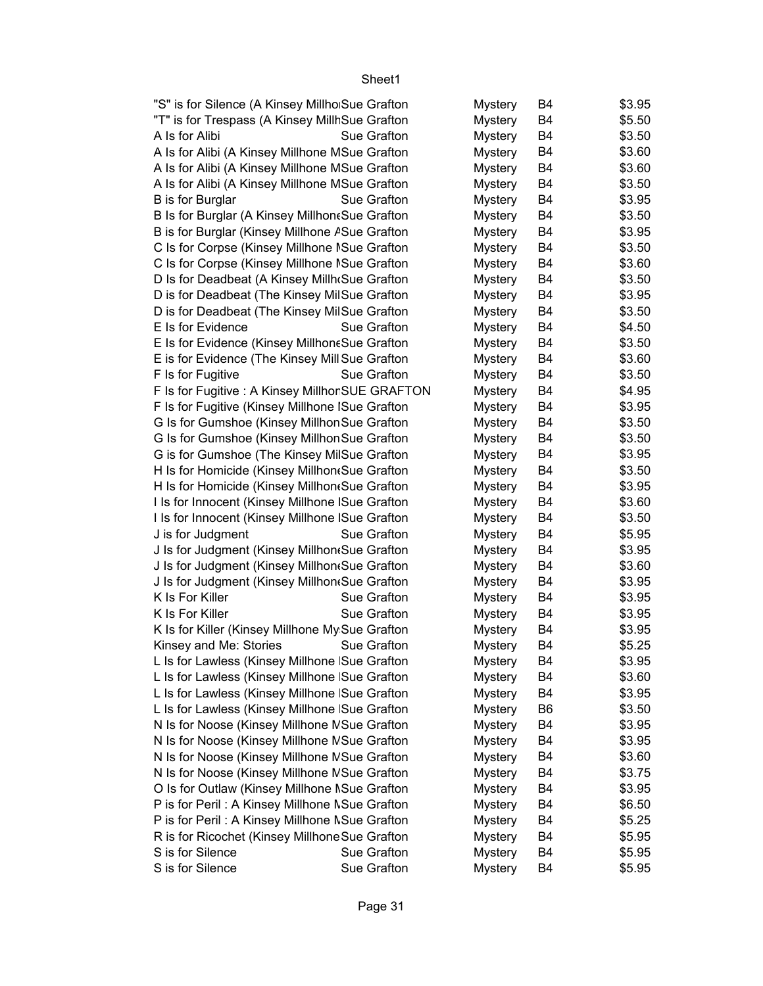| "S" is for Silence (A Kinsey Millho Sue Grafton  |             | <b>Mystery</b> | B4             | \$3.95 |
|--------------------------------------------------|-------------|----------------|----------------|--------|
| "T" is for Trespass (A Kinsey MillhSue Grafton   |             | <b>Mystery</b> | B4             | \$5.50 |
| A Is for Alibi                                   | Sue Grafton | <b>Mystery</b> | B4             | \$3.50 |
| A Is for Alibi (A Kinsey Millhone MSue Grafton   |             | <b>Mystery</b> | B4             | \$3.60 |
| A Is for Alibi (A Kinsey Millhone MSue Grafton   |             | <b>Mystery</b> | B4             | \$3.60 |
| A Is for Alibi (A Kinsey Millhone MSue Grafton   |             | <b>Mystery</b> | B4             | \$3.50 |
| B is for Burglar                                 | Sue Grafton | <b>Mystery</b> | B4             | \$3.95 |
| B Is for Burglar (A Kinsey Millhon & Sue Grafton |             | <b>Mystery</b> | B4             | \$3.50 |
| B is for Burglar (Kinsey Millhone A Sue Grafton  |             | <b>Mystery</b> | <b>B4</b>      | \$3.95 |
| C Is for Corpse (Kinsey Millhone ISue Grafton    |             | <b>Mystery</b> | B4             | \$3.50 |
| C Is for Corpse (Kinsey Millhone ISue Grafton    |             | <b>Mystery</b> | B4             | \$3.60 |
| D Is for Deadbeat (A Kinsey Millh Sue Grafton    |             | <b>Mystery</b> | B4             | \$3.50 |
| D is for Deadbeat (The Kinsey MilSue Grafton     |             | <b>Mystery</b> | B4             | \$3.95 |
| D is for Deadbeat (The Kinsey MilSue Grafton     |             | <b>Mystery</b> | B <sub>4</sub> | \$3.50 |
| E Is for Evidence                                | Sue Grafton | <b>Mystery</b> | B4             | \$4.50 |
| E Is for Evidence (Kinsey Millhone Sue Grafton   |             | <b>Mystery</b> | B4             | \$3.50 |
| E is for Evidence (The Kinsey Mill Sue Grafton   |             | <b>Mystery</b> | B4             | \$3.60 |
| F Is for Fugitive                                | Sue Grafton | <b>Mystery</b> | B <sub>4</sub> | \$3.50 |
| F Is for Fugitive : A Kinsey Millhor SUE GRAFTON |             | <b>Mystery</b> | B4             | \$4.95 |
| F Is for Fugitive (Kinsey Millhone ISue Grafton  |             | <b>Mystery</b> | B4             | \$3.95 |
| G Is for Gumshoe (Kinsey Millhon Sue Grafton     |             | <b>Mystery</b> | B4             | \$3.50 |
| G Is for Gumshoe (Kinsey Millhon Sue Grafton     |             | <b>Mystery</b> | B4             | \$3.50 |
| G is for Gumshoe (The Kinsey MilSue Grafton      |             | <b>Mystery</b> | B <sub>4</sub> | \$3.95 |
| H Is for Homicide (Kinsey Millhon Sue Grafton    |             | <b>Mystery</b> | B4             | \$3.50 |
| H Is for Homicide (Kinsey Millhon Sue Grafton    |             | <b>Mystery</b> | B4             | \$3.95 |
| I Is for Innocent (Kinsey Millhone ISue Grafton  |             | <b>Mystery</b> | B4             | \$3.60 |
| I Is for Innocent (Kinsey Millhone ISue Grafton  |             | <b>Mystery</b> | <b>B4</b>      | \$3.50 |
| J is for Judgment                                | Sue Grafton | <b>Mystery</b> | B4             | \$5.95 |
| J Is for Judgment (Kinsey Millhon(Sue Grafton    |             | <b>Mystery</b> | B4             | \$3.95 |
| J Is for Judgment (Kinsey Millhon(Sue Grafton    |             | <b>Mystery</b> | B4             | \$3.60 |
| J Is for Judgment (Kinsey Millhon Sue Grafton    |             | <b>Mystery</b> | B <sub>4</sub> | \$3.95 |
| K Is For Killer                                  | Sue Grafton | <b>Mystery</b> | B4             | \$3.95 |
| K Is For Killer                                  | Sue Grafton | <b>Mystery</b> | B <sub>4</sub> | \$3.95 |
| K Is for Killer (Kinsey Millhone My Sue Grafton  |             | <b>Mystery</b> | B4             | \$3.95 |
| Kinsey and Me: Stories                           | Sue Grafton | <b>Mystery</b> | <b>B4</b>      | \$5.25 |
| L Is for Lawless (Kinsey Millhone Sue Grafton    |             | <b>Mystery</b> | B4             | \$3.95 |
| L Is for Lawless (Kinsey Millhone   Sue Grafton  |             | <b>Mystery</b> | B4             | \$3.60 |
| L Is for Lawless (Kinsey Millhone   Sue Grafton  |             | <b>Mystery</b> | B4             | \$3.95 |
| L Is for Lawless (Kinsey Millhone   Sue Grafton  |             | <b>Mystery</b> | B <sub>6</sub> | \$3.50 |
| N Is for Noose (Kinsey Millhone NSue Grafton     |             | <b>Mystery</b> | B4             | \$3.95 |
| N Is for Noose (Kinsey Millhone NSue Grafton     |             | <b>Mystery</b> | B4             | \$3.95 |
| N Is for Noose (Kinsey Millhone NSue Grafton     |             | <b>Mystery</b> | B4             | \$3.60 |
| N Is for Noose (Kinsey Millhone NSue Grafton     |             | <b>Mystery</b> | B4             | \$3.75 |
| O Is for Outlaw (Kinsey Millhone NSue Grafton    |             | <b>Mystery</b> | B4             | \$3.95 |
| P is for Peril: A Kinsey Millhone NSue Grafton   |             | <b>Mystery</b> | B4             | \$6.50 |
| P is for Peril: A Kinsey Millhone NSue Grafton   |             | <b>Mystery</b> | B4             | \$5.25 |
| R is for Ricochet (Kinsey Millhone Sue Grafton   |             | <b>Mystery</b> | B4             | \$5.95 |
| S is for Silence                                 | Sue Grafton | <b>Mystery</b> | B4             | \$5.95 |
| S is for Silence                                 | Sue Grafton | <b>Mystery</b> | B4             | \$5.95 |
|                                                  |             |                |                |        |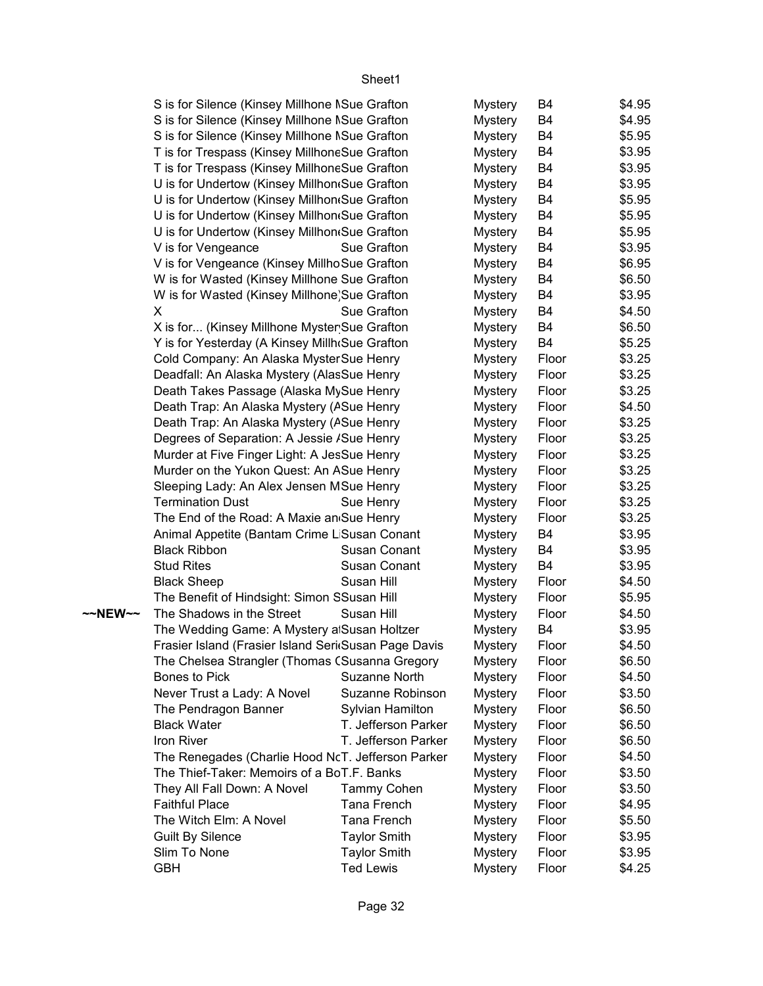|         | S is for Silence (Kinsey Millhone NSue Grafton       |                     | <b>Mystery</b> | B4             | \$4.95 |
|---------|------------------------------------------------------|---------------------|----------------|----------------|--------|
|         | S is for Silence (Kinsey Millhone NSue Grafton       |                     | <b>Mystery</b> | B4             | \$4.95 |
|         | S is for Silence (Kinsey Millhone NSue Grafton       |                     | <b>Mystery</b> | B4             | \$5.95 |
|         | T is for Trespass (Kinsey MillhoneSue Grafton        |                     | <b>Mystery</b> | B4             | \$3.95 |
|         | T is for Trespass (Kinsey MillhoneSue Grafton        |                     | <b>Mystery</b> | B4             | \$3.95 |
|         | U is for Undertow (Kinsey Millhon Sue Grafton        |                     | <b>Mystery</b> | B4             | \$3.95 |
|         | U is for Undertow (Kinsey Millhon Sue Grafton        |                     | <b>Mystery</b> | B4             | \$5.95 |
|         | U is for Undertow (Kinsey Millhon Sue Grafton        |                     | <b>Mystery</b> | B4             | \$5.95 |
|         | U is for Undertow (Kinsey Millhon Sue Grafton        |                     | <b>Mystery</b> | <b>B4</b>      | \$5.95 |
|         | V is for Vengeance                                   | Sue Grafton         | <b>Mystery</b> | B4             | \$3.95 |
|         | V is for Vengeance (Kinsey Millho Sue Grafton        |                     | <b>Mystery</b> | B4             | \$6.95 |
|         | W is for Wasted (Kinsey Millhone Sue Grafton         |                     | <b>Mystery</b> | B4             | \$6.50 |
|         | W is for Wasted (Kinsey Millhone)Sue Grafton         |                     | <b>Mystery</b> | B4             | \$3.95 |
|         | X                                                    | Sue Grafton         | <b>Mystery</b> | B4             | \$4.50 |
|         | X is for (Kinsey Millhone Myster Sue Grafton         |                     | <b>Mystery</b> | B4             | \$6.50 |
|         | Y is for Yesterday (A Kinsey Millh(Sue Grafton       |                     | <b>Mystery</b> | B4             | \$5.25 |
|         | Cold Company: An Alaska Myster Sue Henry             |                     | <b>Mystery</b> | Floor          | \$3.25 |
|         | Deadfall: An Alaska Mystery (AlasSue Henry           |                     | <b>Mystery</b> | Floor          | \$3.25 |
|         | Death Takes Passage (Alaska MySue Henry              |                     | <b>Mystery</b> | Floor          | \$3.25 |
|         | Death Trap: An Alaska Mystery (ASue Henry            |                     | <b>Mystery</b> | Floor          | \$4.50 |
|         | Death Trap: An Alaska Mystery (ASue Henry            |                     | <b>Mystery</b> | Floor          | \$3.25 |
|         | Degrees of Separation: A Jessie / Sue Henry          |                     | <b>Mystery</b> | Floor          | \$3.25 |
|         | Murder at Five Finger Light: A JesSue Henry          |                     | <b>Mystery</b> | Floor          | \$3.25 |
|         | Murder on the Yukon Quest: An ASue Henry             |                     | <b>Mystery</b> | Floor          | \$3.25 |
|         | Sleeping Lady: An Alex Jensen MSue Henry             |                     | <b>Mystery</b> | Floor          | \$3.25 |
|         | <b>Termination Dust</b>                              | Sue Henry           | <b>Mystery</b> | Floor          | \$3.25 |
|         | The End of the Road: A Maxie an Sue Henry            |                     | <b>Mystery</b> | Floor          | \$3.25 |
|         | Animal Appetite (Bantam Crime L Susan Conant         |                     | <b>Mystery</b> | B4             | \$3.95 |
|         | <b>Black Ribbon</b>                                  | Susan Conant        | <b>Mystery</b> | B4             | \$3.95 |
|         | <b>Stud Rites</b>                                    | Susan Conant        | <b>Mystery</b> | B <sub>4</sub> | \$3.95 |
|         | <b>Black Sheep</b>                                   | Susan Hill          | <b>Mystery</b> | Floor          | \$4.50 |
|         | The Benefit of Hindsight: Simon SSusan Hill          |                     | <b>Mystery</b> | Floor          | \$5.95 |
| ~~NEW~~ | The Shadows in the Street                            | Susan Hill          | <b>Mystery</b> | Floor          | \$4.50 |
|         | The Wedding Game: A Mystery a Susan Holtzer          |                     | <b>Mystery</b> | B4             | \$3.95 |
|         | Frasier Island (Frasier Island Seri Susan Page Davis |                     | <b>Mystery</b> | Floor          | \$4.50 |
|         | The Chelsea Strangler (Thomas (Susanna Gregory       |                     | <b>Mystery</b> | Floor          | \$6.50 |
|         | <b>Bones to Pick</b>                                 | Suzanne North       | <b>Mystery</b> | Floor          | \$4.50 |
|         | Never Trust a Lady: A Novel                          | Suzanne Robinson    | <b>Mystery</b> | Floor          | \$3.50 |
|         | The Pendragon Banner                                 | Sylvian Hamilton    | <b>Mystery</b> | Floor          | \$6.50 |
|         | <b>Black Water</b>                                   | T. Jefferson Parker | <b>Mystery</b> | Floor          | \$6.50 |
|         | Iron River                                           | T. Jefferson Parker | <b>Mystery</b> | Floor          | \$6.50 |
|         | The Renegades (Charlie Hood NcT. Jefferson Parker    |                     | <b>Mystery</b> | Floor          | \$4.50 |
|         | The Thief-Taker: Memoirs of a BoT.F. Banks           |                     | <b>Mystery</b> | Floor          | \$3.50 |
|         | They All Fall Down: A Novel                          | Tammy Cohen         | <b>Mystery</b> | Floor          | \$3.50 |
|         | <b>Faithful Place</b>                                | Tana French         | <b>Mystery</b> | Floor          | \$4.95 |
|         | The Witch Elm: A Novel                               | Tana French         | <b>Mystery</b> | Floor          | \$5.50 |
|         | <b>Guilt By Silence</b>                              | <b>Taylor Smith</b> | <b>Mystery</b> | Floor          | \$3.95 |
|         | Slim To None                                         | <b>Taylor Smith</b> | <b>Mystery</b> | Floor          | \$3.95 |
|         | <b>GBH</b>                                           | <b>Ted Lewis</b>    | <b>Mystery</b> | Floor          | \$4.25 |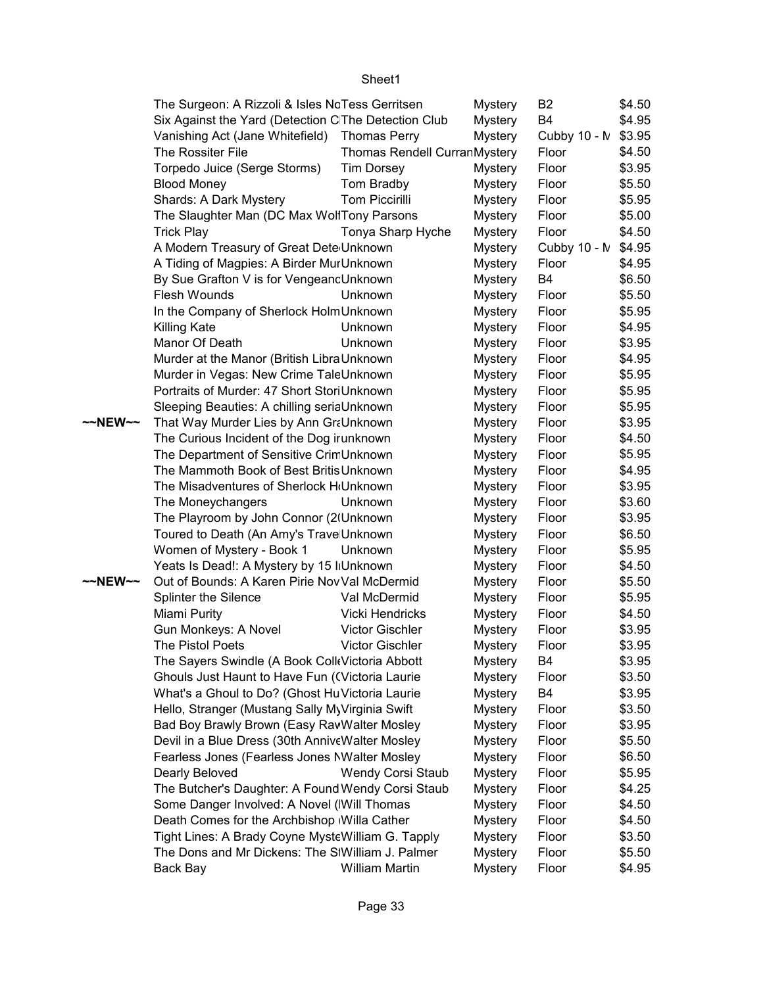|         | The Surgeon: A Rizzoli & Isles NcTess Gerritsen      |                              | Mystery        | B <sub>2</sub>      | \$4.50 |
|---------|------------------------------------------------------|------------------------------|----------------|---------------------|--------|
|         | Six Against the Yard (Detection C The Detection Club |                              | <b>Mystery</b> | B <sub>4</sub>      | \$4.95 |
|         | Vanishing Act (Jane Whitefield) Thomas Perry         |                              | <b>Mystery</b> | Cubby 10 - N \$3.95 |        |
|         | The Rossiter File                                    | Thomas Rendell CurranMystery |                | Floor               | \$4.50 |
|         | Torpedo Juice (Serge Storms)                         | <b>Tim Dorsey</b>            | Mystery        | Floor               | \$3.95 |
|         | <b>Blood Money</b>                                   | Tom Bradby                   | <b>Mystery</b> | Floor               | \$5.50 |
|         | Shards: A Dark Mystery                               | <b>Tom Piccirilli</b>        | <b>Mystery</b> | Floor               | \$5.95 |
|         | The Slaughter Man (DC Max WollTony Parsons           |                              | <b>Mystery</b> | Floor               | \$5.00 |
|         | <b>Trick Play</b>                                    | Tonya Sharp Hyche            | <b>Mystery</b> | Floor               | \$4.50 |
|         | A Modern Treasury of Great Dete Unknown              |                              | <b>Mystery</b> | Cubby 10 - N        | \$4.95 |
|         | A Tiding of Magpies: A Birder MurUnknown             |                              | <b>Mystery</b> | Floor               | \$4.95 |
|         | By Sue Grafton V is for VengeancUnknown              |                              | <b>Mystery</b> | <b>B4</b>           | \$6.50 |
|         | Flesh Wounds                                         | Unknown                      | <b>Mystery</b> | Floor               | \$5.50 |
|         | In the Company of Sherlock HolmUnknown               |                              | <b>Mystery</b> | Floor               | \$5.95 |
|         | Killing Kate                                         | Unknown                      | <b>Mystery</b> | Floor               | \$4.95 |
|         | Manor Of Death                                       | Unknown                      | <b>Mystery</b> | Floor               | \$3.95 |
|         | Murder at the Manor (British LibraUnknown            |                              | <b>Mystery</b> | Floor               | \$4.95 |
|         | Murder in Vegas: New Crime TaleUnknown               |                              | <b>Mystery</b> | Floor               | \$5.95 |
|         | Portraits of Murder: 47 Short StoriUnknown           |                              | <b>Mystery</b> | Floor               | \$5.95 |
|         | Sleeping Beauties: A chilling seriaUnknown           |                              | <b>Mystery</b> | Floor               | \$5.95 |
| ~~NEW~~ | That Way Murder Lies by Ann GraUnknown               |                              | <b>Mystery</b> | Floor               | \$3.95 |
|         | The Curious Incident of the Dog irunknown            |                              | <b>Mystery</b> | Floor               | \$4.50 |
|         | The Department of Sensitive CrimUnknown              |                              | <b>Mystery</b> | Floor               | \$5.95 |
|         | The Mammoth Book of Best Britis Unknown              |                              | <b>Mystery</b> | Floor               | \$4.95 |
|         | The Misadventures of Sherlock H <sub>'</sub> Unknown |                              | <b>Mystery</b> | Floor               | \$3.95 |
|         | The Moneychangers                                    | Unknown                      | <b>Mystery</b> | Floor               | \$3.60 |
|         | The Playroom by John Connor (2(Unknown               |                              | <b>Mystery</b> | Floor               | \$3.95 |
|         | Toured to Death (An Amy's Trave Unknown              |                              | <b>Mystery</b> | Floor               | \$6.50 |
|         | Women of Mystery - Book 1                            | Unknown                      | <b>Mystery</b> | Floor               | \$5.95 |
|         | Yeats Is Dead!: A Mystery by 15 IIUnknown            |                              | <b>Mystery</b> | Floor               | \$4.50 |
| ~~NEW~~ | Out of Bounds: A Karen Pirie Nov Val McDermid        |                              | <b>Mystery</b> | Floor               | \$5.50 |
|         | Splinter the Silence                                 | Val McDermid                 | <b>Mystery</b> | Floor               | \$5.95 |
|         | Miami Purity                                         | Vicki Hendricks              | <b>Mystery</b> | Floor               | \$4.50 |
|         | Gun Monkeys: A Novel                                 | Victor Gischler              | <b>Mystery</b> | Floor               | \$3.95 |
|         | <b>The Pistol Poets</b>                              | <b>Victor Gischler</b>       | <b>Mystery</b> | Floor               | \$3.95 |
|         | The Sayers Swindle (A Book Coll Victoria Abbott      |                              | <b>Mystery</b> | B <sub>4</sub>      | \$3.95 |
|         | Ghouls Just Haunt to Have Fun ((Victoria Laurie      |                              | <b>Mystery</b> | Floor               | \$3.50 |
|         | What's a Ghoul to Do? (Ghost Hu Victoria Laurie      |                              | <b>Mystery</b> | B <sub>4</sub>      | \$3.95 |
|         | Hello, Stranger (Mustang Sally MyVirginia Swift      |                              | <b>Mystery</b> | Floor               | \$3.50 |
|         | Bad Boy Brawly Brown (Easy RavWalter Mosley          |                              | <b>Mystery</b> | Floor               | \$3.95 |
|         | Devil in a Blue Dress (30th AnniveWalter Mosley      |                              | <b>Mystery</b> | Floor               | \$5.50 |
|         | Fearless Jones (Fearless Jones NWalter Mosley        |                              | <b>Mystery</b> | Floor               | \$6.50 |
|         | Dearly Beloved                                       | Wendy Corsi Staub            | <b>Mystery</b> | Floor               | \$5.95 |
|         | The Butcher's Daughter: A Found Wendy Corsi Staub    |                              | <b>Mystery</b> | Floor               | \$4.25 |
|         | Some Danger Involved: A Novel (Will Thomas           |                              | <b>Mystery</b> | Floor               | \$4.50 |
|         | Death Comes for the Archbishop Willa Cather          |                              | <b>Mystery</b> | Floor               | \$4.50 |
|         | Tight Lines: A Brady Coyne MysteWilliam G. Tapply    |                              | <b>Mystery</b> | Floor               | \$3.50 |
|         | The Dons and Mr Dickens: The SIWilliam J. Palmer     |                              | <b>Mystery</b> | Floor               | \$5.50 |
|         | Back Bay                                             | William Martin               | <b>Mystery</b> | Floor               | \$4.95 |